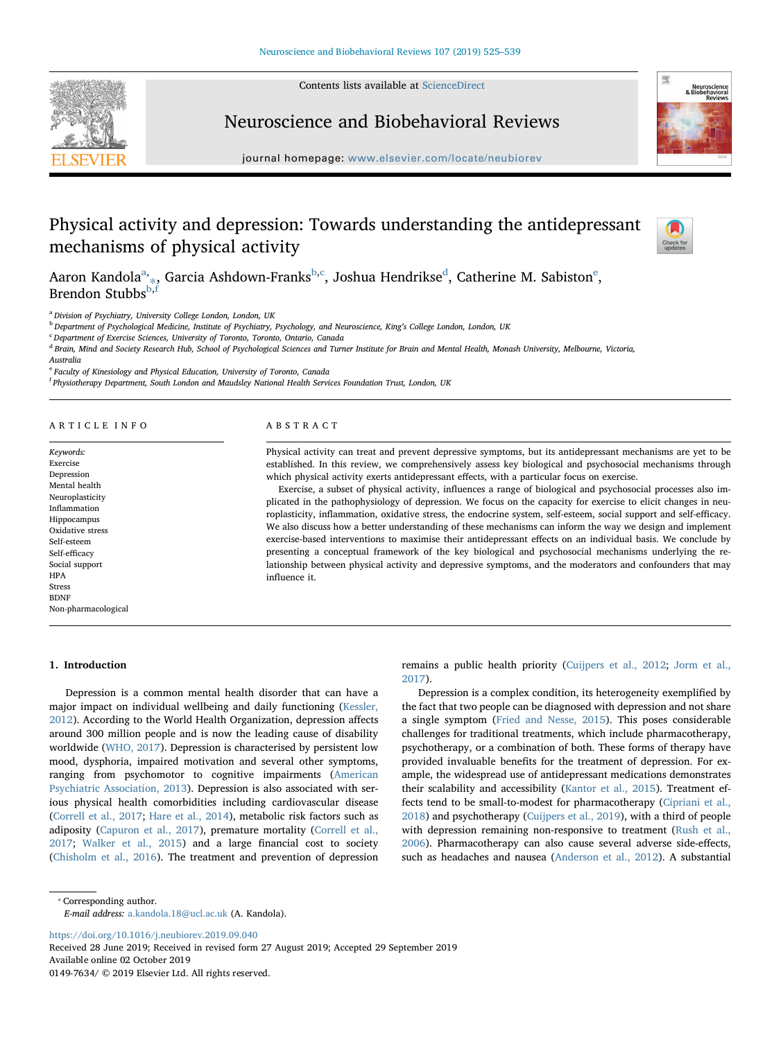



# Neuroscience and Biobehavioral Reviews



journal homepage: [www.elsevier.com/locate/neubiorev](https://www.elsevier.com/locate/neubiorev)

# Physical activity and depression: Towards understanding the antidepressant mechanisms of physical activity



Aaron Kan[d](#page-0-4)ola $\mathrm{^{a,j}}_{*},$  $\mathrm{^{a,j}}_{*},$  $\mathrm{^{a,j}}_{*},$  Gar[c](#page-0-3)ia Ashdown-Franks $\mathrm{^{b,c}}$  $\mathrm{^{b,c}}$  $\mathrm{^{b,c}}$ , Joshua H[e](#page-0-5)ndrikse $\mathrm{^{d}}$ , Catherine M. Sabiston $\mathrm{^{e}},$ Brendon Stu[b](#page-0-2)bs $<sup>b,f</sup>$  $<sup>b,f</sup>$  $<sup>b,f</sup>$ </sup>

<span id="page-0-0"></span><sup>a</sup> Division of Psychiatry, University College London, London, UK

<span id="page-0-2"></span><sup>b</sup> Department of Psychological Medicine, Institute of Psychiatry, Psychology, and Neuroscience, King's College London, London, UK

<span id="page-0-3"></span> $c$  Department of Exercise Sciences, University of Toronto, Toronto, Ontario, Canada

<span id="page-0-4"></span><sup>d</sup> Brain, Mind and Society Research Hub, School of Psychological Sciences and Turner Institute for Brain and Mental Health, Monash University, Melbourne, Victoria,

Australia

<span id="page-0-5"></span><sup>e</sup> Faculty of Kinesiology and Physical Education, University of Toronto, Canada

<span id="page-0-6"></span><sup>f</sup> Physiotherapy Department, South London and Maudsley National Health Services Foundation Trust, London, UK

# ARTICLE INFO

Keywords: Exercise **Depression** Mental health Neuroplasticity Inflammation Hippocampus Oxidative stress Self-esteem Self-efficacy Social support HPA **Stress** BDNF Non-pharmacological

## ABSTRACT

Physical activity can treat and prevent depressive symptoms, but its antidepressant mechanisms are yet to be established. In this review, we comprehensively assess key biological and psychosocial mechanisms through which physical activity exerts antidepressant effects, with a particular focus on exercise.

Exercise, a subset of physical activity, influences a range of biological and psychosocial processes also implicated in the pathophysiology of depression. We focus on the capacity for exercise to elicit changes in neuroplasticity, inflammation, oxidative stress, the endocrine system, self-esteem, social support and self-efficacy. We also discuss how a better understanding of these mechanisms can inform the way we design and implement exercise-based interventions to maximise their antidepressant effects on an individual basis. We conclude by presenting a conceptual framework of the key biological and psychosocial mechanisms underlying the relationship between physical activity and depressive symptoms, and the moderators and confounders that may influence it.

# 1. Introduction

Depression is a common mental health disorder that can have a major impact on individual wellbeing and daily functioning ([Kessler,](#page-11-0) [2012\)](#page-11-0). According to the World Health Organization, depression affects around 300 million people and is now the leading cause of disability worldwide ([WHO, 2017](#page-14-0)). Depression is characterised by persistent low mood, dysphoria, impaired motivation and several other symptoms, ranging from psychomotor to cognitive impairments ([American](#page-9-0) [Psychiatric Association, 2013\)](#page-9-0). Depression is also associated with serious physical health comorbidities including cardiovascular disease ([Correll et al., 2017;](#page-10-0) [Hare et al., 2014\)](#page-11-1), metabolic risk factors such as adiposity [\(Capuron et al., 2017](#page-9-1)), premature mortality [\(Correll et al.,](#page-10-0) [2017;](#page-10-0) [Walker et al., 2015\)](#page-13-0) and a large financial cost to society ([Chisholm et al., 2016\)](#page-9-2). The treatment and prevention of depression remains a public health priority [\(Cuijpers et al., 2012](#page-10-1); [Jorm et al.,](#page-11-2) [2017\)](#page-11-2).

Depression is a complex condition, its heterogeneity exemplified by the fact that two people can be diagnosed with depression and not share a single symptom ([Fried and Nesse, 2015](#page-10-2)). This poses considerable challenges for traditional treatments, which include pharmacotherapy, psychotherapy, or a combination of both. These forms of therapy have provided invaluable benefits for the treatment of depression. For example, the widespread use of antidepressant medications demonstrates their scalability and accessibility [\(Kantor et al., 2015](#page-11-3)). Treatment effects tend to be small-to-modest for pharmacotherapy ([Cipriani et al.,](#page-10-3) [2018\)](#page-10-3) and psychotherapy ([Cuijpers et al., 2019](#page-10-4)), with a third of people with depression remaining non-responsive to treatment [\(Rush et al.,](#page-13-1) [2006\)](#page-13-1). Pharmacotherapy can also cause several adverse side-effects, such as headaches and nausea [\(Anderson et al., 2012](#page-9-3)). A substantial

<span id="page-0-1"></span>⁎ Corresponding author.

E-mail address: [a.kandola.18@ucl.ac.uk](mailto:a.kandola.18@ucl.ac.uk) (A. Kandola).

<https://doi.org/10.1016/j.neubiorev.2019.09.040>

Received 28 June 2019; Received in revised form 27 August 2019; Accepted 29 September 2019 Available online 02 October 2019 0149-7634/ © 2019 Elsevier Ltd. All rights reserved.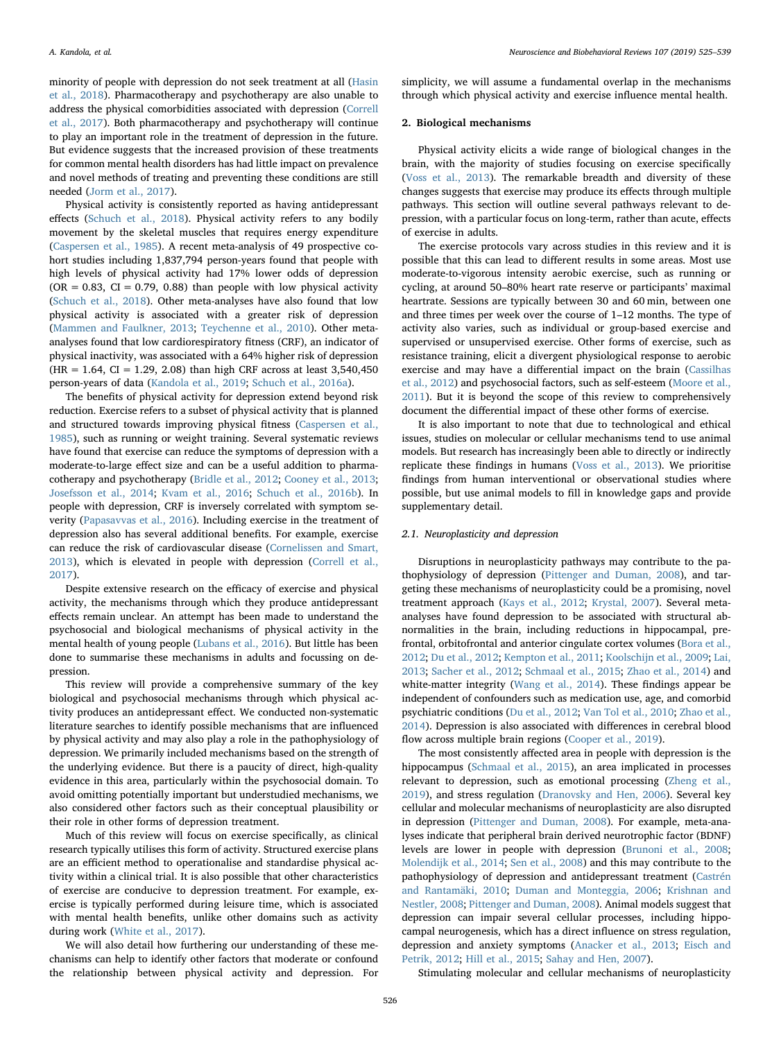minority of people with depression do not seek treatment at all ([Hasin](#page-11-4) [et al., 2018](#page-11-4)). Pharmacotherapy and psychotherapy are also unable to address the physical comorbidities associated with depression [\(Correll](#page-10-0) [et al., 2017\)](#page-10-0). Both pharmacotherapy and psychotherapy will continue to play an important role in the treatment of depression in the future. But evidence suggests that the increased provision of these treatments for common mental health disorders has had little impact on prevalence and novel methods of treating and preventing these conditions are still needed [\(Jorm et al., 2017\)](#page-11-2).

Physical activity is consistently reported as having antidepressant effects [\(Schuch et al., 2018\)](#page-13-2). Physical activity refers to any bodily movement by the skeletal muscles that requires energy expenditure ([Caspersen et al., 1985](#page-9-4)). A recent meta-analysis of 49 prospective cohort studies including 1,837,794 person-years found that people with high levels of physical activity had 17% lower odds of depression  $(OR = 0.83, CI = 0.79, 0.88)$  than people with low physical activity ([Schuch et al., 2018\)](#page-13-2). Other meta-analyses have also found that low physical activity is associated with a greater risk of depression ([Mammen and Faulkner, 2013;](#page-12-0) [Teychenne et al., 2010\)](#page-13-3). Other metaanalyses found that low cardiorespiratory fitness (CRF), an indicator of physical inactivity, was associated with a 64% higher risk of depression  $(HR = 1.64, CI = 1.29, 2.08)$  than high CRF across at least 3,540,450 person-years of data [\(Kandola et al., 2019;](#page-11-5) [Schuch et al., 2016a](#page-13-4)).

The benefits of physical activity for depression extend beyond risk reduction. Exercise refers to a subset of physical activity that is planned and structured towards improving physical fitness [\(Caspersen et al.,](#page-9-4) [1985\)](#page-9-4), such as running or weight training. Several systematic reviews have found that exercise can reduce the symptoms of depression with a moderate-to-large effect size and can be a useful addition to pharmacotherapy and psychotherapy ([Bridle et al., 2012](#page-9-5); [Cooney et al., 2013](#page-10-5); [Josefsson et al., 2014](#page-11-6); [Kvam et al., 2016](#page-12-1); [Schuch et al., 2016b\)](#page-13-5). In people with depression, CRF is inversely correlated with symptom severity ([Papasavvas et al., 2016](#page-12-2)). Including exercise in the treatment of depression also has several additional benefits. For example, exercise can reduce the risk of cardiovascular disease ([Cornelissen and Smart,](#page-10-6) [2013\)](#page-10-6), which is elevated in people with depression [\(Correll et al.,](#page-10-0) [2017\)](#page-10-0).

Despite extensive research on the efficacy of exercise and physical activity, the mechanisms through which they produce antidepressant effects remain unclear. An attempt has been made to understand the psychosocial and biological mechanisms of physical activity in the mental health of young people [\(Lubans et al., 2016](#page-12-3)). But little has been done to summarise these mechanisms in adults and focussing on depression.

This review will provide a comprehensive summary of the key biological and psychosocial mechanisms through which physical activity produces an antidepressant effect. We conducted non-systematic literature searches to identify possible mechanisms that are influenced by physical activity and may also play a role in the pathophysiology of depression. We primarily included mechanisms based on the strength of the underlying evidence. But there is a paucity of direct, high-quality evidence in this area, particularly within the psychosocial domain. To avoid omitting potentially important but understudied mechanisms, we also considered other factors such as their conceptual plausibility or their role in other forms of depression treatment.

Much of this review will focus on exercise specifically, as clinical research typically utilises this form of activity. Structured exercise plans are an efficient method to operationalise and standardise physical activity within a clinical trial. It is also possible that other characteristics of exercise are conducive to depression treatment. For example, exercise is typically performed during leisure time, which is associated with mental health benefits, unlike other domains such as activity during work [\(White et al., 2017\)](#page-14-1).

We will also detail how furthering our understanding of these mechanisms can help to identify other factors that moderate or confound the relationship between physical activity and depression. For

simplicity, we will assume a fundamental overlap in the mechanisms through which physical activity and exercise influence mental health.

# 2. Biological mechanisms

Physical activity elicits a wide range of biological changes in the brain, with the majority of studies focusing on exercise specifically ([Voss et al., 2013\)](#page-13-6). The remarkable breadth and diversity of these changes suggests that exercise may produce its effects through multiple pathways. This section will outline several pathways relevant to depression, with a particular focus on long-term, rather than acute, effects of exercise in adults.

The exercise protocols vary across studies in this review and it is possible that this can lead to different results in some areas. Most use moderate-to-vigorous intensity aerobic exercise, such as running or cycling, at around 50–80% heart rate reserve or participants' maximal heartrate. Sessions are typically between 30 and 60 min, between one and three times per week over the course of 1–12 months. The type of activity also varies, such as individual or group-based exercise and supervised or unsupervised exercise. Other forms of exercise, such as resistance training, elicit a divergent physiological response to aerobic exercise and may have a differential impact on the brain ([Cassilhas](#page-9-6) [et al., 2012](#page-9-6)) and psychosocial factors, such as self-esteem [\(Moore et al.,](#page-12-4) [2011\)](#page-12-4). But it is beyond the scope of this review to comprehensively document the differential impact of these other forms of exercise.

It is also important to note that due to technological and ethical issues, studies on molecular or cellular mechanisms tend to use animal models. But research has increasingly been able to directly or indirectly replicate these findings in humans [\(Voss et al., 2013\)](#page-13-6). We prioritise findings from human interventional or observational studies where possible, but use animal models to fill in knowledge gaps and provide supplementary detail.

# 2.1. Neuroplasticity and depression

Disruptions in neuroplasticity pathways may contribute to the pathophysiology of depression ([Pittenger and Duman, 2008\)](#page-12-5), and targeting these mechanisms of neuroplasticity could be a promising, novel treatment approach (Kays [et al., 2012;](#page-11-7) [Krystal, 2007\)](#page-12-6). Several metaanalyses have found depression to be associated with structural abnormalities in the brain, including reductions in hippocampal, prefrontal, orbitofrontal and anterior cingulate cortex volumes ([Bora et al.,](#page-9-7) [2012;](#page-9-7) [Du et al., 2012](#page-10-7); [Kempton et al., 2011;](#page-11-8) [Koolschijn et al., 2009;](#page-11-9) [Lai,](#page-12-7) [2013;](#page-12-7) [Sacher et al., 2012;](#page-13-7) [Schmaal et al., 2015;](#page-13-8) [Zhao et al., 2014](#page-14-2)) and white-matter integrity [\(Wang et al., 2014\)](#page-13-9). These findings appear be independent of confounders such as medication use, age, and comorbid psychiatric conditions ([Du et al., 2012;](#page-10-7) [Van Tol et al., 2010](#page-13-10); [Zhao et al.,](#page-14-2) [2014\)](#page-14-2). Depression is also associated with differences in cerebral blood flow across multiple brain regions ([Cooper et al., 2019](#page-10-8)).

The most consistently affected area in people with depression is the hippocampus ([Schmaal et al., 2015\)](#page-13-8), an area implicated in processes relevant to depression, such as emotional processing [\(Zheng et al.,](#page-14-3) [2019\)](#page-14-3), and stress regulation ([Dranovsky and Hen, 2006](#page-10-9)). Several key cellular and molecular mechanisms of neuroplasticity are also disrupted in depression [\(Pittenger and Duman, 2008\)](#page-12-5). For example, meta-analyses indicate that peripheral brain derived neurotrophic factor (BDNF) levels are lower in people with depression ([Brunoni et al., 2008](#page-9-8); [Molendijk et al., 2014;](#page-12-8) [Sen et al., 2008\)](#page-13-11) and this may contribute to the pathophysiology of depression and antidepressant treatment [\(Castrén](#page-9-9) [and Rantamäki, 2010;](#page-9-9) [Duman and Monteggia, 2006](#page-10-10); [Krishnan and](#page-11-10) [Nestler, 2008;](#page-11-10) [Pittenger and Duman, 2008](#page-12-5)). Animal models suggest that depression can impair several cellular processes, including hippocampal neurogenesis, which has a direct influence on stress regulation, depression and anxiety symptoms [\(Anacker et al., 2013](#page-9-10); [Eisch and](#page-10-11) [Petrik, 2012](#page-10-11); [Hill et al., 2015;](#page-11-11) [Sahay and Hen, 2007](#page-13-12)).

Stimulating molecular and cellular mechanisms of neuroplasticity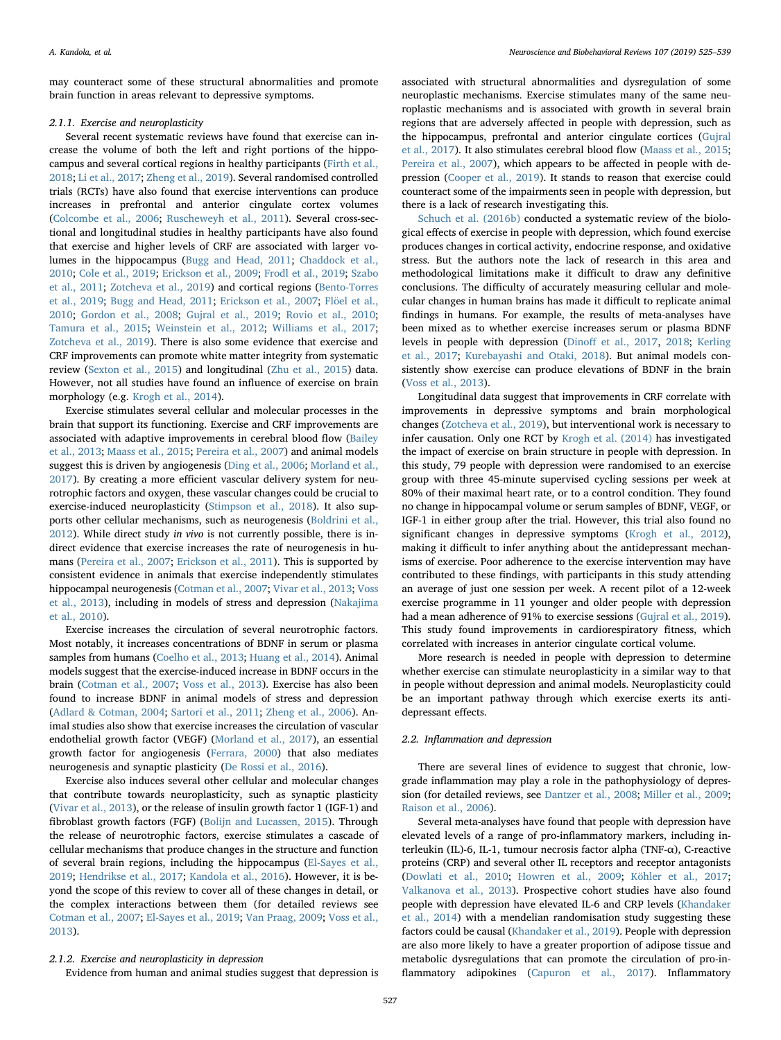may counteract some of these structural abnormalities and promote brain function in areas relevant to depressive symptoms.

## 2.1.1. Exercise and neuroplasticity

Several recent systematic reviews have found that exercise can increase the volume of both the left and right portions of the hippocampus and several cortical regions in healthy participants ([Firth et al.,](#page-10-12) [2018;](#page-10-12) [Li et al., 2017;](#page-12-9) [Zheng et al., 2019\)](#page-14-3). Several randomised controlled trials (RCTs) have also found that exercise interventions can produce increases in prefrontal and anterior cingulate cortex volumes ([Colcombe et al., 2006](#page-10-13); [Ruscheweyh et al., 2011](#page-13-13)). Several cross-sectional and longitudinal studies in healthy participants have also found that exercise and higher levels of CRF are associated with larger volumes in the hippocampus ([Bugg and Head, 2011;](#page-9-11) [Chaddock et al.,](#page-9-12) [2010;](#page-9-12) [Cole et al., 2019;](#page-10-14) [Erickson et al., 2009;](#page-10-15) [Frodl et al., 2019](#page-10-16); [Szabo](#page-13-14) [et al., 2011;](#page-13-14) [Zotcheva et al., 2019](#page-14-4)) and cortical regions [\(Bento-Torres](#page-9-13) [et al., 2019](#page-9-13); [Bugg and Head, 2011;](#page-9-11) [Erickson et al., 2007;](#page-10-17) [Flöel et al.,](#page-10-18) [2010;](#page-10-18) [Gordon et al., 2008;](#page-11-12) [Gujral et al., 2019;](#page-11-13) [Rovio et al., 2010](#page-13-15); [Tamura et al., 2015;](#page-13-16) [Weinstein et al., 2012](#page-14-5); [Williams et al., 2017](#page-14-6); [Zotcheva et al., 2019](#page-14-4)). There is also some evidence that exercise and CRF improvements can promote white matter integrity from systematic review [\(Sexton et al., 2015\)](#page-13-17) and longitudinal ([Zhu et al., 2015](#page-14-7)) data. However, not all studies have found an influence of exercise on brain morphology (e.g. [Krogh et al., 2014\)](#page-12-10).

Exercise stimulates several cellular and molecular processes in the brain that support its functioning. Exercise and CRF improvements are associated with adaptive improvements in cerebral blood flow ([Bailey](#page-9-14) [et al., 2013](#page-9-14); [Maass et al., 2015](#page-12-11); [Pereira et al., 2007\)](#page-12-12) and animal models suggest this is driven by angiogenesis ([Ding et al., 2006;](#page-10-19) [Morland et al.,](#page-12-13) [2017\)](#page-12-13). By creating a more efficient vascular delivery system for neurotrophic factors and oxygen, these vascular changes could be crucial to exercise-induced neuroplasticity [\(Stimpson et al., 2018](#page-13-18)). It also supports other cellular mechanisms, such as neurogenesis [\(Boldrini et al.,](#page-9-15) [2012\)](#page-9-15). While direct study in vivo is not currently possible, there is indirect evidence that exercise increases the rate of neurogenesis in humans ([Pereira et al., 2007](#page-12-12); [Erickson et al., 2011\)](#page-10-20). This is supported by consistent evidence in animals that exercise independently stimulates hippocampal neurogenesis ([Cotman et al., 2007](#page-10-21); [Vivar et al., 2013;](#page-13-19) [Voss](#page-13-6) [et al., 2013](#page-13-6)), including in models of stress and depression ([Nakajima](#page-12-14) [et al., 2010](#page-12-14)).

Exercise increases the circulation of several neurotrophic factors. Most notably, it increases concentrations of BDNF in serum or plasma samples from humans ([Coelho et al., 2013](#page-10-22); [Huang et al., 2014\)](#page-11-14). Animal models suggest that the exercise-induced increase in BDNF occurs in the brain [\(Cotman et al., 2007](#page-10-21); [Voss et al., 2013\)](#page-13-6). Exercise has also been found to increase BDNF in animal models of stress and depression ([Adlard & Cotman, 2004;](#page-9-16) [Sartori et al., 2011](#page-13-20); [Zheng et al., 2006](#page-14-8)). Animal studies also show that exercise increases the circulation of vascular endothelial growth factor (VEGF) ([Morland et al., 2017\)](#page-12-13), an essential growth factor for angiogenesis ([Ferrara, 2000\)](#page-10-23) that also mediates neurogenesis and synaptic plasticity [\(De Rossi et al., 2016](#page-10-24)).

Exercise also induces several other cellular and molecular changes that contribute towards neuroplasticity, such as synaptic plasticity ([Vivar et al., 2013](#page-13-19)), or the release of insulin growth factor 1 (IGF-1) and fibroblast growth factors (FGF) ([Bolijn and Lucassen, 2015](#page-9-17)). Through the release of neurotrophic factors, exercise stimulates a cascade of cellular mechanisms that produce changes in the structure and function of several brain regions, including the hippocampus ([El-Sayes et al.,](#page-10-25) [2019;](#page-10-25) [Hendrikse et al., 2017;](#page-11-15) [Kandola et al., 2016](#page-11-16)). However, it is beyond the scope of this review to cover all of these changes in detail, or the complex interactions between them (for detailed reviews see [Cotman et al., 2007](#page-10-21); [El-Sayes et al., 2019](#page-10-25); [Van Praag, 2009](#page-13-21); [Voss et al.,](#page-13-6) [2013\)](#page-13-6).

#### 2.1.2. Exercise and neuroplasticity in depression

Evidence from human and animal studies suggest that depression is

associated with structural abnormalities and dysregulation of some neuroplastic mechanisms. Exercise stimulates many of the same neuroplastic mechanisms and is associated with growth in several brain regions that are adversely affected in people with depression, such as the hippocampus, prefrontal and anterior cingulate cortices ([Gujral](#page-11-17) [et al., 2017\)](#page-11-17). It also stimulates cerebral blood flow [\(Maass et al., 2015](#page-12-11); [Pereira et al., 2007](#page-12-12)), which appears to be affected in people with depression ([Cooper et al., 2019\)](#page-10-8). It stands to reason that exercise could counteract some of the impairments seen in people with depression, but there is a lack of research investigating this.

[Schuch et al. \(2016b\)](#page-13-5) conducted a systematic review of the biological effects of exercise in people with depression, which found exercise produces changes in cortical activity, endocrine response, and oxidative stress. But the authors note the lack of research in this area and methodological limitations make it difficult to draw any definitive conclusions. The difficulty of accurately measuring cellular and molecular changes in human brains has made it difficult to replicate animal findings in humans. For example, the results of meta-analyses have been mixed as to whether exercise increases serum or plasma BDNF levels in people with depression (Dinoff [et al., 2017,](#page-10-26) [2018;](#page-10-27) [Kerling](#page-11-18) [et al., 2017](#page-11-18); [Kurebayashi and Otaki, 2018\)](#page-12-15). But animal models consistently show exercise can produce elevations of BDNF in the brain ([Voss et al., 2013](#page-13-6)).

Longitudinal data suggest that improvements in CRF correlate with improvements in depressive symptoms and brain morphological changes ([Zotcheva et al., 2019\)](#page-14-4), but interventional work is necessary to infer causation. Only one RCT by [Krogh et al. \(2014\)](#page-12-10) has investigated the impact of exercise on brain structure in people with depression. In this study, 79 people with depression were randomised to an exercise group with three 45-minute supervised cycling sessions per week at 80% of their maximal heart rate, or to a control condition. They found no change in hippocampal volume or serum samples of BDNF, VEGF, or IGF-1 in either group after the trial. However, this trial also found no significant changes in depressive symptoms ([Krogh et al., 2012](#page-12-16)), making it difficult to infer anything about the antidepressant mechanisms of exercise. Poor adherence to the exercise intervention may have contributed to these findings, with participants in this study attending an average of just one session per week. A recent pilot of a 12-week exercise programme in 11 younger and older people with depression had a mean adherence of 91% to exercise sessions [\(Gujral et al., 2019](#page-11-13)). This study found improvements in cardiorespiratory fitness, which correlated with increases in anterior cingulate cortical volume.

More research is needed in people with depression to determine whether exercise can stimulate neuroplasticity in a similar way to that in people without depression and animal models. Neuroplasticity could be an important pathway through which exercise exerts its antidepressant effects.

#### 2.2. Inflammation and depression

There are several lines of evidence to suggest that chronic, lowgrade inflammation may play a role in the pathophysiology of depression (for detailed reviews, see [Dantzer et al., 2008](#page-10-28); [Miller et al., 2009](#page-12-17); [Raison et al., 2006\)](#page-12-18).

Several meta-analyses have found that people with depression have elevated levels of a range of pro-inflammatory markers, including interleukin (IL)-6, IL-1, tumour necrosis factor alpha (TNF-α), C-reactive proteins (CRP) and several other IL receptors and receptor antagonists ([Dowlati et al., 2010;](#page-10-29) [Howren et al., 2009](#page-11-19); [Köhler et al., 2017](#page-11-20); [Valkanova et al., 2013\)](#page-13-22). Prospective cohort studies have also found people with depression have elevated IL-6 and CRP levels ([Khandaker](#page-11-21) [et al., 2014\)](#page-11-21) with a mendelian randomisation study suggesting these factors could be causal ([Khandaker et al., 2019\)](#page-11-22). People with depression are also more likely to have a greater proportion of adipose tissue and metabolic dysregulations that can promote the circulation of pro-in-flammatory adipokines [\(Capuron et al., 2017\)](#page-9-1). Inflammatory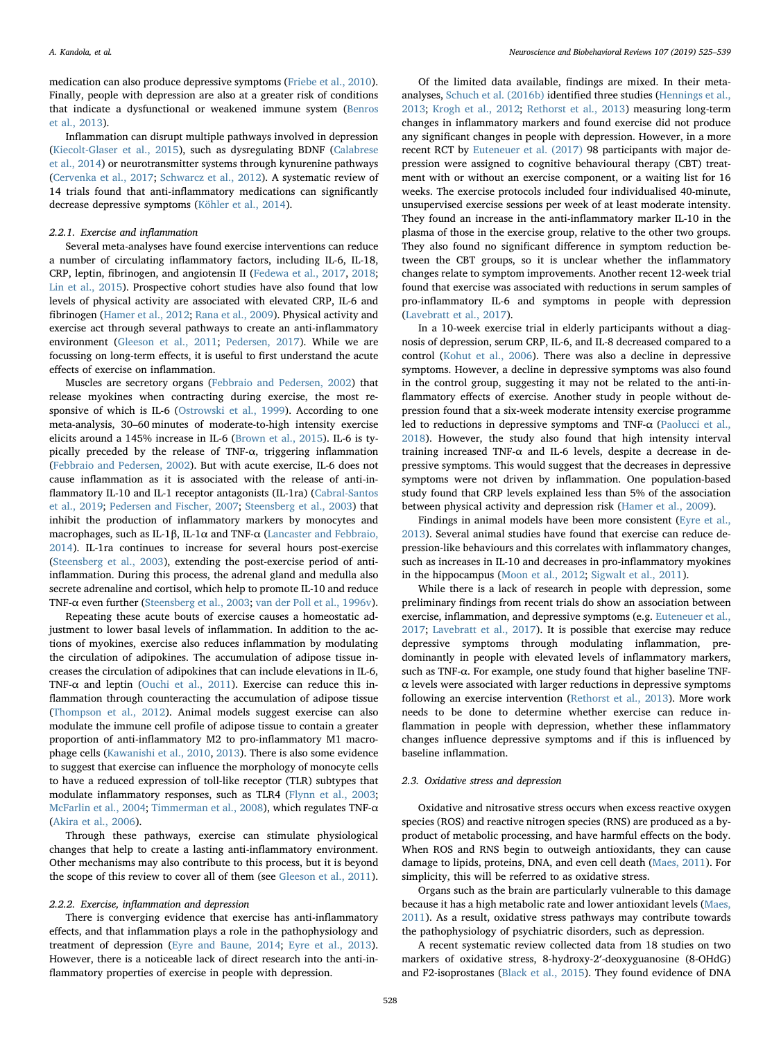medication can also produce depressive symptoms ([Friebe et al., 2010](#page-10-30)). Finally, people with depression are also at a greater risk of conditions that indicate a dysfunctional or weakened immune system ([Benros](#page-9-18) [et al., 2013](#page-9-18)).

Inflammation can disrupt multiple pathways involved in depression ([Kiecolt-Glaser et al., 2015](#page-11-23)), such as dysregulating BDNF ([Calabrese](#page-9-19) [et al., 2014](#page-9-19)) or neurotransmitter systems through kynurenine pathways ([Cervenka et al., 2017](#page-9-20); [Schwarcz et al., 2012](#page-13-23)). A systematic review of 14 trials found that anti-inflammatory medications can significantly decrease depressive symptoms [\(Köhler et al., 2014](#page-11-24)).

## 2.2.1. Exercise and inflammation

Several meta-analyses have found exercise interventions can reduce a number of circulating inflammatory factors, including IL-6, IL-18, CRP, leptin, fibrinogen, and angiotensin II ([Fedewa et al., 2017,](#page-10-31) [2018](#page-10-32); [Lin et al., 2015](#page-12-19)). Prospective cohort studies have also found that low levels of physical activity are associated with elevated CRP, IL-6 and fibrinogen [\(Hamer et al., 2012;](#page-11-25) [Rana et al., 2009\)](#page-12-20). Physical activity and exercise act through several pathways to create an anti-inflammatory environment ([Gleeson et al., 2011;](#page-10-33) [Pedersen, 2017\)](#page-12-21). While we are focussing on long-term effects, it is useful to first understand the acute effects of exercise on inflammation.

Muscles are secretory organs ([Febbraio and Pedersen, 2002](#page-10-34)) that release myokines when contracting during exercise, the most responsive of which is IL-6 [\(Ostrowski et al., 1999](#page-12-22)). According to one meta-analysis, 30–60 minutes of moderate-to-high intensity exercise elicits around a 145% increase in IL-6 ([Brown et al., 2015](#page-9-21)). IL-6 is typically preceded by the release of TNF-α, triggering inflammation ([Febbraio and Pedersen, 2002\)](#page-10-34). But with acute exercise, IL-6 does not cause inflammation as it is associated with the release of anti-inflammatory IL-10 and IL-1 receptor antagonists (IL-1ra) [\(Cabral-Santos](#page-9-22) [et al., 2019;](#page-9-22) [Pedersen and Fischer, 2007](#page-12-23); Steensberg [et al., 2003\)](#page-13-24) that inhibit the production of inflammatory markers by monocytes and macrophages, such as IL-1 $\beta$ , IL-1 $\alpha$  and TNF- $\alpha$  [\(Lancaster and Febbraio,](#page-12-24) [2014\)](#page-12-24). IL-1ra continues to increase for several hours post-exercise ([Steensberg et al., 2003\)](#page-13-24), extending the post-exercise period of antiinflammation. During this process, the adrenal gland and medulla also secrete adrenaline and cortisol, which help to promote IL-10 and reduce TNF-α even further ([Steensberg et al., 2003;](#page-13-24) [van der Poll et al., 1996v](#page-13-25)).

Repeating these acute bouts of exercise causes a homeostatic adjustment to lower basal levels of inflammation. In addition to the actions of myokines, exercise also reduces inflammation by modulating the circulation of adipokines. The accumulation of adipose tissue increases the circulation of adipokines that can include elevations in IL-6, TNF-α and leptin [\(Ouchi et al., 2011\)](#page-12-25). Exercise can reduce this inflammation through counteracting the accumulation of adipose tissue ([Thompson et al., 2012](#page-13-26)). Animal models suggest exercise can also modulate the immune cell profile of adipose tissue to contain a greater proportion of anti-inflammatory M2 to pro-inflammatory M1 macrophage cells ([Kawanishi et al., 2010,](#page-11-26) [2013](#page-11-27)). There is also some evidence to suggest that exercise can influence the morphology of monocyte cells to have a reduced expression of toll-like receptor (TLR) subtypes that modulate inflammatory responses, such as TLR4 ([Flynn et al., 2003](#page-10-35); [McFarlin et al., 2004](#page-12-26); [Timmerman et al., 2008\)](#page-13-27), which regulates TNF-α ([Akira et al., 2006](#page-9-23)).

Through these pathways, exercise can stimulate physiological changes that help to create a lasting anti-inflammatory environment. Other mechanisms may also contribute to this process, but it is beyond the scope of this review to cover all of them (see [Gleeson et al., 2011](#page-10-33)).

#### 2.2.2. Exercise, inflammation and depression

There is converging evidence that exercise has anti-inflammatory effects, and that inflammation plays a role in the pathophysiology and treatment of depression [\(Eyre and Baune, 2014](#page-10-36); [Eyre et al., 2013](#page-10-37)). However, there is a noticeable lack of direct research into the anti-inflammatory properties of exercise in people with depression.

Of the limited data available, findings are mixed. In their metaanalyses, [Schuch et al. \(2016b\)](#page-13-5) identified three studies ([Hennings et al.,](#page-11-28) [2013;](#page-11-28) [Krogh et al., 2012;](#page-12-16) [Rethorst et al., 2013](#page-12-27)) measuring long-term changes in inflammatory markers and found exercise did not produce any significant changes in people with depression. However, in a more recent RCT by [Euteneuer et al. \(2017\)](#page-10-38) 98 participants with major depression were assigned to cognitive behavioural therapy (CBT) treatment with or without an exercise component, or a waiting list for 16 weeks. The exercise protocols included four individualised 40-minute, unsupervised exercise sessions per week of at least moderate intensity. They found an increase in the anti-inflammatory marker IL-10 in the plasma of those in the exercise group, relative to the other two groups. They also found no significant difference in symptom reduction between the CBT groups, so it is unclear whether the inflammatory changes relate to symptom improvements. Another recent 12-week trial found that exercise was associated with reductions in serum samples of pro-inflammatory IL-6 and symptoms in people with depression ([Lavebratt et al., 2017](#page-12-28)).

In a 10-week exercise trial in elderly participants without a diagnosis of depression, serum CRP, IL-6, and IL-8 decreased compared to a control [\(Kohut et al., 2006](#page-11-29)). There was also a decline in depressive symptoms. However, a decline in depressive symptoms was also found in the control group, suggesting it may not be related to the anti-inflammatory effects of exercise. Another study in people without depression found that a six-week moderate intensity exercise programme led to reductions in depressive symptoms and TNF- $\alpha$  [\(Paolucci et al.,](#page-12-29) [2018\)](#page-12-29). However, the study also found that high intensity interval training increased TNF- $\alpha$  and IL-6 levels, despite a decrease in depressive symptoms. This would suggest that the decreases in depressive symptoms were not driven by inflammation. One population-based study found that CRP levels explained less than 5% of the association between physical activity and depression risk [\(Hamer et al., 2009](#page-11-30)).

Findings in animal models have been more consistent [\(Eyre et al.,](#page-10-37) [2013\)](#page-10-37). Several animal studies have found that exercise can reduce depression-like behaviours and this correlates with inflammatory changes, such as increases in IL-10 and decreases in pro-inflammatory myokines in the hippocampus ([Moon et al., 2012](#page-12-30); [Sigwalt et al., 2011\)](#page-13-28).

While there is a lack of research in people with depression, some preliminary findings from recent trials do show an association between exercise, inflammation, and depressive symptoms (e.g. [Euteneuer et al.,](#page-10-38) [2017;](#page-10-38) [Lavebratt et al., 2017\)](#page-12-28). It is possible that exercise may reduce depressive symptoms through modulating inflammation, predominantly in people with elevated levels of inflammatory markers, such as TNF-α. For example, one study found that higher baseline TNFα levels were associated with larger reductions in depressive symptoms following an exercise intervention [\(Rethorst et al., 2013\)](#page-12-27). More work needs to be done to determine whether exercise can reduce inflammation in people with depression, whether these inflammatory changes influence depressive symptoms and if this is influenced by baseline inflammation.

# 2.3. Oxidative stress and depression

Oxidative and nitrosative stress occurs when excess reactive oxygen species (ROS) and reactive nitrogen species (RNS) are produced as a byproduct of metabolic processing, and have harmful effects on the body. When ROS and RNS begin to outweigh antioxidants, they can cause damage to lipids, proteins, DNA, and even cell death ([Maes, 2011](#page-12-31)). For simplicity, this will be referred to as oxidative stress.

Organs such as the brain are particularly vulnerable to this damage because it has a high metabolic rate and lower antioxidant levels [\(Maes,](#page-12-31) [2011\)](#page-12-31). As a result, oxidative stress pathways may contribute towards the pathophysiology of psychiatric disorders, such as depression.

A recent systematic review collected data from 18 studies on two markers of oxidative stress, 8-hydroxy-2′-deoxyguanosine (8-OHdG) and F2-isoprostanes ([Black et al., 2015\)](#page-9-24). They found evidence of DNA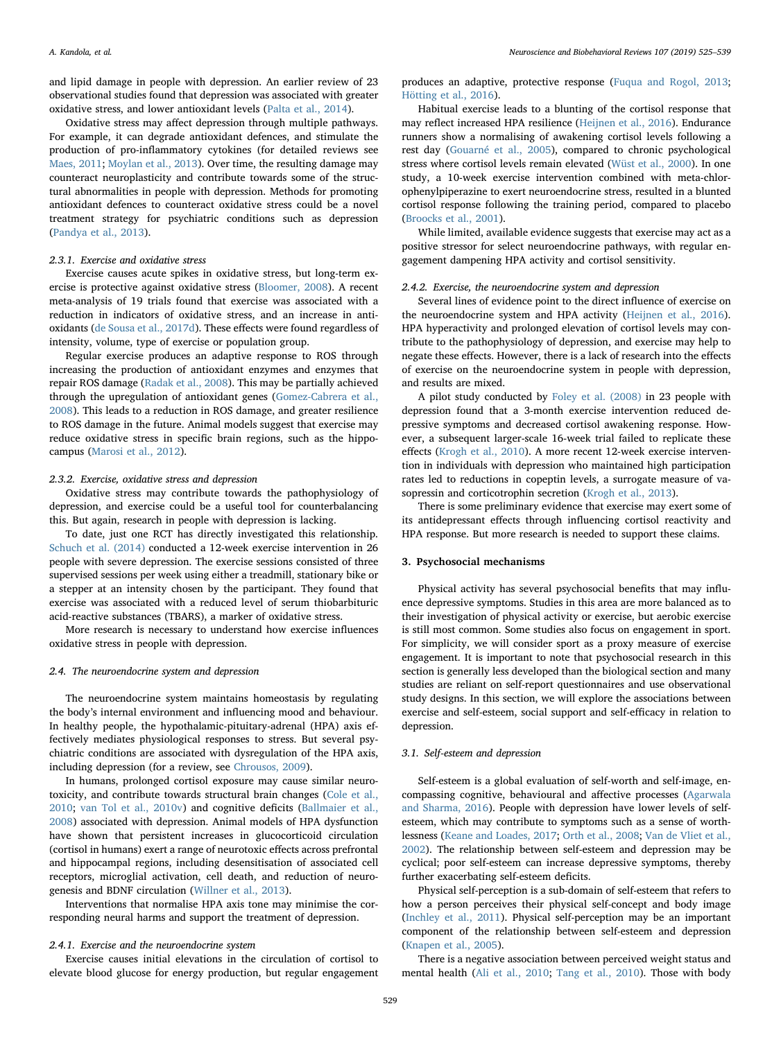and lipid damage in people with depression. An earlier review of 23 observational studies found that depression was associated with greater oxidative stress, and lower antioxidant levels ([Palta et al., 2014](#page-12-32)).

Oxidative stress may affect depression through multiple pathways. For example, it can degrade antioxidant defences, and stimulate the production of pro-inflammatory cytokines (for detailed reviews see [Maes, 2011](#page-12-31); [Moylan et al., 2013\)](#page-12-33). Over time, the resulting damage may counteract neuroplasticity and contribute towards some of the structural abnormalities in people with depression. Methods for promoting antioxidant defences to counteract oxidative stress could be a novel treatment strategy for psychiatric conditions such as depression ([Pandya et al., 2013\)](#page-12-34).

## 2.3.1. Exercise and oxidative stress

Exercise causes acute spikes in oxidative stress, but long-term exercise is protective against oxidative stress [\(Bloomer, 2008](#page-9-25)). A recent meta-analysis of 19 trials found that exercise was associated with a reduction in indicators of oxidative stress, and an increase in antioxidants [\(de Sousa et al., 2017d\)](#page-10-39). These effects were found regardless of intensity, volume, type of exercise or population group.

Regular exercise produces an adaptive response to ROS through increasing the production of antioxidant enzymes and enzymes that repair ROS damage [\(Radak et al., 2008\)](#page-12-35). This may be partially achieved through the upregulation of antioxidant genes ([Gomez-Cabrera et al.,](#page-11-31) [2008\)](#page-11-31). This leads to a reduction in ROS damage, and greater resilience to ROS damage in the future. Animal models suggest that exercise may reduce oxidative stress in specific brain regions, such as the hippocampus ([Marosi et al., 2012](#page-12-36)).

# 2.3.2. Exercise, oxidative stress and depression

Oxidative stress may contribute towards the pathophysiology of depression, and exercise could be a useful tool for counterbalancing this. But again, research in people with depression is lacking.

To date, just one RCT has directly investigated this relationship. [Schuch et al. \(2014\)](#page-13-29) conducted a 12-week exercise intervention in 26 people with severe depression. The exercise sessions consisted of three supervised sessions per week using either a treadmill, stationary bike or a stepper at an intensity chosen by the participant. They found that exercise was associated with a reduced level of serum thiobarbituric acid-reactive substances (TBARS), a marker of oxidative stress.

More research is necessary to understand how exercise influences oxidative stress in people with depression.

## 2.4. The neuroendocrine system and depression

The neuroendocrine system maintains homeostasis by regulating the body's internal environment and influencing mood and behaviour. In healthy people, the hypothalamic-pituitary-adrenal (HPA) axis effectively mediates physiological responses to stress. But several psychiatric conditions are associated with dysregulation of the HPA axis, including depression (for a review, see [Chrousos, 2009](#page-10-40)).

In humans, prolonged cortisol exposure may cause similar neurotoxicity, and contribute towards structural brain changes [\(Cole et al.,](#page-10-41) [2010;](#page-10-41) [van Tol et al., 2010v](#page-13-10)) and cognitive deficits [\(Ballmaier et al.,](#page-9-26) [2008\)](#page-9-26) associated with depression. Animal models of HPA dysfunction have shown that persistent increases in glucocorticoid circulation (cortisol in humans) exert a range of neurotoxic effects across prefrontal and hippocampal regions, including desensitisation of associated cell receptors, microglial activation, cell death, and reduction of neurogenesis and BDNF circulation ([Willner et al., 2013](#page-14-9)).

Interventions that normalise HPA axis tone may minimise the corresponding neural harms and support the treatment of depression.

#### 2.4.1. Exercise and the neuroendocrine system

Exercise causes initial elevations in the circulation of cortisol to elevate blood glucose for energy production, but regular engagement

produces an adaptive, protective response [\(Fuqua and Rogol, 2013](#page-10-42); [Hötting et al., 2016\)](#page-11-32).

Habitual exercise leads to a blunting of the cortisol response that may reflect increased HPA resilience [\(Heijnen et al., 2016](#page-11-33)). Endurance runners show a normalising of awakening cortisol levels following a rest day [\(Gouarné et al., 2005](#page-11-34)), compared to chronic psychological stress where cortisol levels remain elevated [\(Wüst et al., 2000](#page-14-10)). In one study, a 10-week exercise intervention combined with meta-chlorophenylpiperazine to exert neuroendocrine stress, resulted in a blunted cortisol response following the training period, compared to placebo ([Broocks et al., 2001\)](#page-9-27).

While limited, available evidence suggests that exercise may act as a positive stressor for select neuroendocrine pathways, with regular engagement dampening HPA activity and cortisol sensitivity.

## 2.4.2. Exercise, the neuroendocrine system and depression

Several lines of evidence point to the direct influence of exercise on the neuroendocrine system and HPA activity [\(Heijnen et al., 2016](#page-11-33)). HPA hyperactivity and prolonged elevation of cortisol levels may contribute to the pathophysiology of depression, and exercise may help to negate these effects. However, there is a lack of research into the effects of exercise on the neuroendocrine system in people with depression, and results are mixed.

A pilot study conducted by [Foley et al. \(2008\)](#page-10-43) in 23 people with depression found that a 3-month exercise intervention reduced depressive symptoms and decreased cortisol awakening response. However, a subsequent larger-scale 16-week trial failed to replicate these effects [\(Krogh et al., 2010](#page-12-37)). A more recent 12-week exercise intervention in individuals with depression who maintained high participation rates led to reductions in copeptin levels, a surrogate measure of vasopressin and corticotrophin secretion ([Krogh et al., 2013\)](#page-12-38).

There is some preliminary evidence that exercise may exert some of its antidepressant effects through influencing cortisol reactivity and HPA response. But more research is needed to support these claims.

# 3. Psychosocial mechanisms

Physical activity has several psychosocial benefits that may influence depressive symptoms. Studies in this area are more balanced as to their investigation of physical activity or exercise, but aerobic exercise is still most common. Some studies also focus on engagement in sport. For simplicity, we will consider sport as a proxy measure of exercise engagement. It is important to note that psychosocial research in this section is generally less developed than the biological section and many studies are reliant on self-report questionnaires and use observational study designs. In this section, we will explore the associations between exercise and self-esteem, social support and self-efficacy in relation to depression.

#### 3.1. Self-esteem and depression

Self-esteem is a global evaluation of self-worth and self-image, encompassing cognitive, behavioural and affective processes [\(Agarwala](#page-9-28) [and Sharma, 2016\)](#page-9-28). People with depression have lower levels of selfesteem, which may contribute to symptoms such as a sense of worthlessness [\(Keane and Loades, 2017;](#page-11-35) Orth [et al., 2008;](#page-12-39) [Van de Vliet et al.,](#page-13-30) [2002\)](#page-13-30). The relationship between self-esteem and depression may be cyclical; poor self-esteem can increase depressive symptoms, thereby further exacerbating self-esteem deficits.

Physical self-perception is a sub-domain of self-esteem that refers to how a person perceives their physical self-concept and body image ([Inchley et al., 2011\)](#page-11-36). Physical self-perception may be an important component of the relationship between self-esteem and depression ([Knapen et al., 2005\)](#page-11-37).

There is a negative association between perceived weight status and mental health ([Ali et al., 2010;](#page-9-29) [Tang et al., 2010\)](#page-13-31). Those with body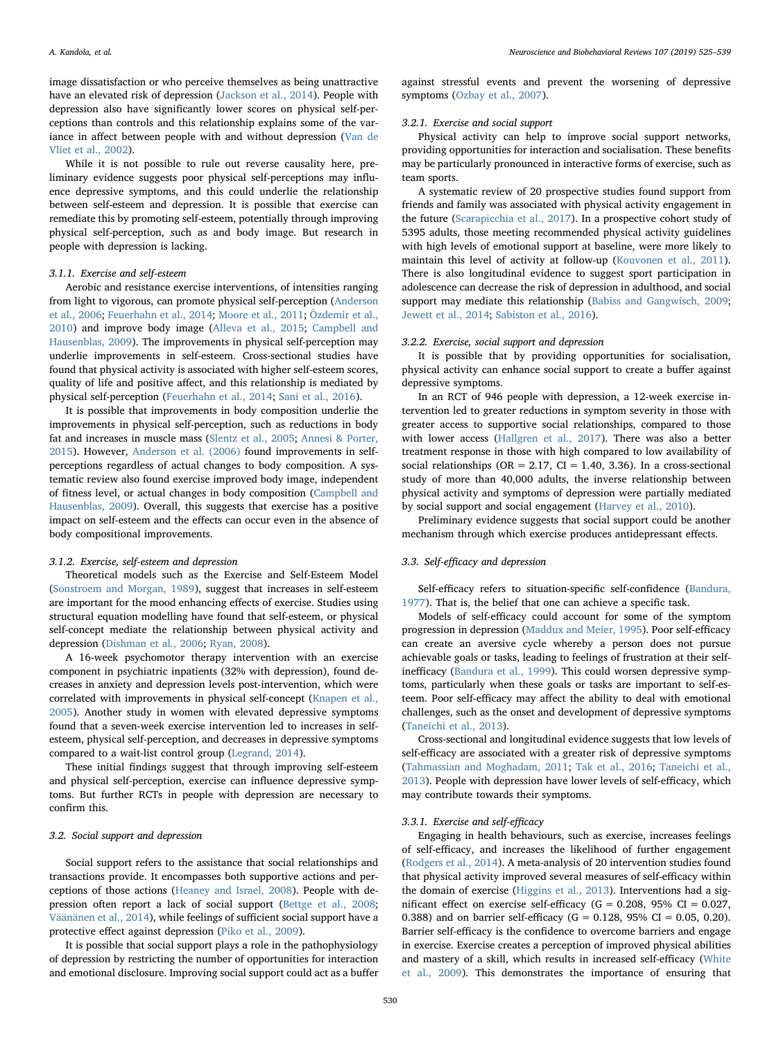image dissatisfaction or who perceive themselves as being unattractive have an elevated risk of depression ([Jackson et al., 2014\)](#page-11-38). People with depression also have significantly lower scores on physical self-perceptions than controls and this relationship explains some of the variance in affect between people with and without depression [\(Van de](#page-13-30) [Vliet et al., 2002\)](#page-13-30).

While it is not possible to rule out reverse causality here, preliminary evidence suggests poor physical self-perceptions may influence depressive symptoms, and this could underlie the relationship between self-esteem and depression. It is possible that exercise can remediate this by promoting self-esteem, potentially through improving physical self-perception, such as and body image. But research in people with depression is lacking.

## 3.1.1. Exercise and self-esteem

Aerobic and resistance exercise interventions, of intensities ranging from light to vigorous, can promote physical self-perception [\(Anderson](#page-9-30) [et al., 2006;](#page-9-30) [Feuerhahn et al., 2014](#page-10-44); [Moore et al., 2011;](#page-12-4) [Özdemir et al.,](#page-12-40) [2010\)](#page-12-40) and improve body image [\(Alleva et al., 2015](#page-9-31); [Campbell and](#page-9-32) [Hausenblas, 2009\)](#page-9-32). The improvements in physical self-perception may underlie improvements in self-esteem. Cross-sectional studies have found that physical activity is associated with higher self-esteem scores, quality of life and positive affect, and this relationship is mediated by physical self-perception [\(Feuerhahn et al., 2014;](#page-10-44) [Sani et al., 2016](#page-13-32)).

It is possible that improvements in body composition underlie the improvements in physical self-perception, such as reductions in body fat and increases in muscle mass ([Slentz et al., 2005;](#page-13-33) [Annesi & Porter,](#page-9-33) [2015\)](#page-9-33). However, [Anderson et al. \(2006\)](#page-9-30) found improvements in selfperceptions regardless of actual changes to body composition. A systematic review also found exercise improved body image, independent of fitness level, or actual changes in body composition [\(Campbell and](#page-9-32) [Hausenblas, 2009](#page-9-32)). Overall, this suggests that exercise has a positive impact on self-esteem and the effects can occur even in the absence of body compositional improvements.

## 3.1.2. Exercise, self-esteem and depression

Theoretical models such as the Exercise and Self-Esteem Model ([Sonstroem and Morgan, 1989](#page-13-34)), suggest that increases in self-esteem are important for the mood enhancing effects of exercise. Studies using structural equation modelling have found that self-esteem, or physical self-concept mediate the relationship between physical activity and depression ([Dishman et al., 2006](#page-10-45); [Ryan, 2008\)](#page-13-35).

A 16-week psychomotor therapy intervention with an exercise component in psychiatric inpatients (32% with depression), found decreases in anxiety and depression levels post-intervention, which were correlated with improvements in physical self-concept ([Knapen et al.,](#page-11-37) [2005\)](#page-11-37). Another study in women with elevated depressive symptoms found that a seven-week exercise intervention led to increases in selfesteem, physical self-perception, and decreases in depressive symptoms compared to a wait-list control group ([Legrand, 2014](#page-12-41)).

These initial findings suggest that through improving self-esteem and physical self-perception, exercise can influence depressive symptoms. But further RCTs in people with depression are necessary to confirm this.

#### 3.2. Social support and depression

Social support refers to the assistance that social relationships and transactions provide. It encompasses both supportive actions and perceptions of those actions ([Heaney and Israel, 2008\)](#page-11-39). People with depression often report a lack of social support ([Bettge et al., 2008](#page-9-34); [Väänänen et al., 2014\)](#page-13-36), while feelings of sufficient social support have a protective effect against depression ([Piko et al., 2009\)](#page-12-42).

It is possible that social support plays a role in the pathophysiology of depression by restricting the number of opportunities for interaction and emotional disclosure. Improving social support could act as a buffer

against stressful events and prevent the worsening of depressive symptoms ([Ozbay et al., 2007\)](#page-12-43).

## 3.2.1. Exercise and social support

Physical activity can help to improve social support networks, providing opportunities for interaction and socialisation. These benefits may be particularly pronounced in interactive forms of exercise, such as team sports.

A systematic review of 20 prospective studies found support from friends and family was associated with physical activity engagement in the future ([Scarapicchia et al., 2017\)](#page-13-37). In a prospective cohort study of 5395 adults, those meeting recommended physical activity guidelines with high levels of emotional support at baseline, were more likely to maintain this level of activity at follow-up [\(Kouvonen et al., 2011](#page-11-40)). There is also longitudinal evidence to suggest sport participation in adolescence can decrease the risk of depression in adulthood, and social support may mediate this relationship ([Babiss and Gangwisch, 2009](#page-9-35); [Jewett et al., 2014](#page-11-41); [Sabiston et al., 2016](#page-13-38)).

#### 3.2.2. Exercise, social support and depression

It is possible that by providing opportunities for socialisation, physical activity can enhance social support to create a buffer against depressive symptoms.

In an RCT of 946 people with depression, a 12-week exercise intervention led to greater reductions in symptom severity in those with greater access to supportive social relationships, compared to those with lower access ([Hallgren et al., 2017\)](#page-11-42). There was also a better treatment response in those with high compared to low availability of social relationships ( $OR = 2.17$ ,  $CI = 1.40$ , 3.36). In a cross-sectional study of more than 40,000 adults, the inverse relationship between physical activity and symptoms of depression were partially mediated by social support and social engagement ([Harvey et al., 2010\)](#page-11-43).

Preliminary evidence suggests that social support could be another mechanism through which exercise produces antidepressant effects.

# 3.3. Self-efficacy and depression

Self-efficacy refers to situation-specific self-confidence ([Bandura,](#page-9-36) [1977\)](#page-9-36). That is, the belief that one can achieve a specific task.

Models of self-efficacy could account for some of the symptom progression in depression [\(Maddux and Meier, 1995\)](#page-12-44). Poor self-efficacy can create an aversive cycle whereby a person does not pursue achievable goals or tasks, leading to feelings of frustration at their selfinefficacy ([Bandura et al., 1999](#page-9-37)). This could worsen depressive symptoms, particularly when these goals or tasks are important to self-esteem. Poor self-efficacy may affect the ability to deal with emotional challenges, such as the onset and development of depressive symptoms ([Taneichi et al., 2013](#page-13-39)).

Cross-sectional and longitudinal evidence suggests that low levels of self-efficacy are associated with a greater risk of depressive symptoms ([Tahmassian and Moghadam, 2011;](#page-13-40) [Tak et al., 2016;](#page-13-41) [Taneichi et al.,](#page-13-39) [2013\)](#page-13-39). People with depression have lower levels of self-efficacy, which may contribute towards their symptoms.

# 3.3.1. Exercise and self-efficacy

Engaging in health behaviours, such as exercise, increases feelings of self-efficacy, and increases the likelihood of further engagement ([Rodgers et al., 2014\)](#page-13-42). A meta-analysis of 20 intervention studies found that physical activity improved several measures of self-efficacy within the domain of exercise ([Higgins et al., 2013\)](#page-11-44). Interventions had a significant effect on exercise self-efficacy ( $G = 0.208$ ,  $95\%$  CI = 0.027, 0.388) and on barrier self-efficacy (G = 0.128, 95% CI = 0.05, 0.20). Barrier self-efficacy is the confidence to overcome barriers and engage in exercise. Exercise creates a perception of improved physical abilities and mastery of a skill, which results in increased self-efficacy ([White](#page-14-11) [et al., 2009](#page-14-11)). This demonstrates the importance of ensuring that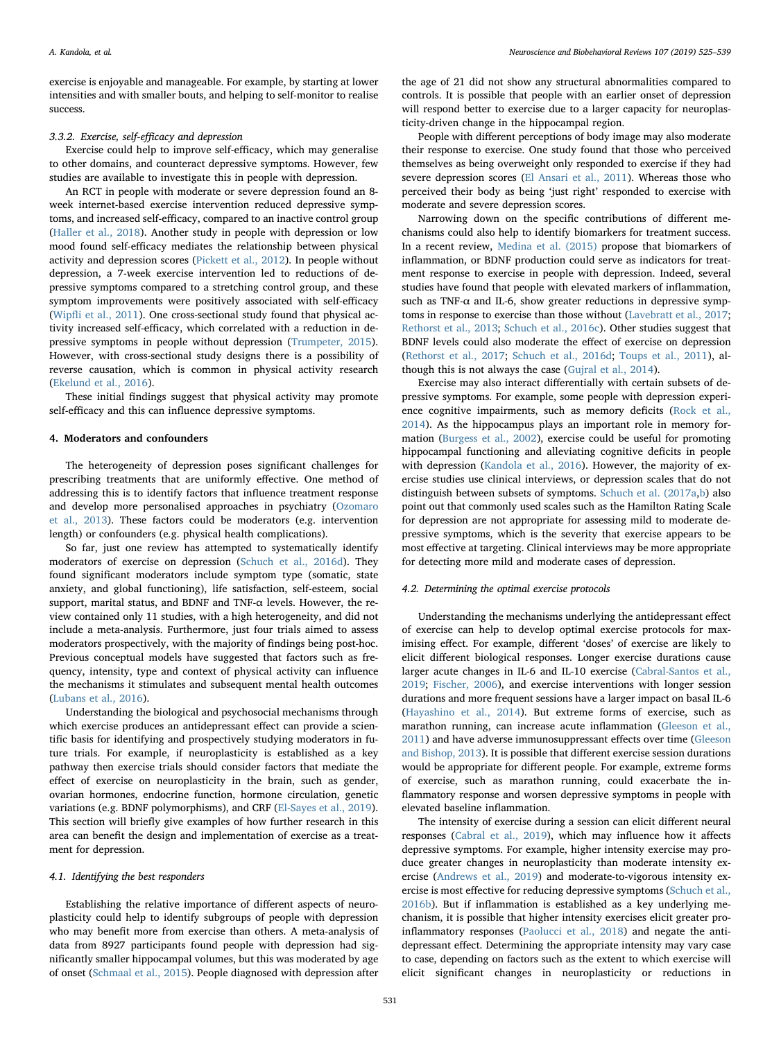exercise is enjoyable and manageable. For example, by starting at lower intensities and with smaller bouts, and helping to self-monitor to realise success.

#### 3.3.2. Exercise, self-efficacy and depression

Exercise could help to improve self-efficacy, which may generalise to other domains, and counteract depressive symptoms. However, few studies are available to investigate this in people with depression.

An RCT in people with moderate or severe depression found an 8 week internet-based exercise intervention reduced depressive symptoms, and increased self-efficacy, compared to an inactive control group ([Haller et al., 2018\)](#page-11-45). Another study in people with depression or low mood found self-efficacy mediates the relationship between physical activity and depression scores ([Pickett et al., 2012](#page-12-45)). In people without depression, a 7-week exercise intervention led to reductions of depressive symptoms compared to a stretching control group, and these symptom improvements were positively associated with self-efficacy (Wipfl[i et al., 2011\)](#page-14-12). One cross-sectional study found that physical activity increased self-efficacy, which correlated with a reduction in depressive symptoms in people without depression [\(Trumpeter, 2015](#page-13-43)). However, with cross-sectional study designs there is a possibility of reverse causation, which is common in physical activity research ([Ekelund et al., 2016\)](#page-10-46).

These initial findings suggest that physical activity may promote self-efficacy and this can influence depressive symptoms.

## 4. Moderators and confounders

The heterogeneity of depression poses significant challenges for prescribing treatments that are uniformly effective. One method of addressing this is to identify factors that influence treatment response and develop more personalised approaches in psychiatry ([Ozomaro](#page-12-46) [et al., 2013\)](#page-12-46). These factors could be moderators (e.g. intervention length) or confounders (e.g. physical health complications).

So far, just one review has attempted to systematically identify moderators of exercise on depression ([Schuch et al., 2016d\)](#page-13-44). They found significant moderators include symptom type (somatic, state anxiety, and global functioning), life satisfaction, self-esteem, social support, marital status, and BDNF and TNF- $\alpha$  levels. However, the review contained only 11 studies, with a high heterogeneity, and did not include a meta-analysis. Furthermore, just four trials aimed to assess moderators prospectively, with the majority of findings being post-hoc. Previous conceptual models have suggested that factors such as frequency, intensity, type and context of physical activity can influence the mechanisms it stimulates and subsequent mental health outcomes ([Lubans et al., 2016\)](#page-12-3).

Understanding the biological and psychosocial mechanisms through which exercise produces an antidepressant effect can provide a scientific basis for identifying and prospectively studying moderators in future trials. For example, if neuroplasticity is established as a key pathway then exercise trials should consider factors that mediate the effect of exercise on neuroplasticity in the brain, such as gender, ovarian hormones, endocrine function, hormone circulation, genetic variations (e.g. BDNF polymorphisms), and CRF [\(El-Sayes et al., 2019](#page-10-25)). This section will briefly give examples of how further research in this area can benefit the design and implementation of exercise as a treatment for depression.

## 4.1. Identifying the best responders

Establishing the relative importance of different aspects of neuroplasticity could help to identify subgroups of people with depression who may benefit more from exercise than others. A meta-analysis of data from 8927 participants found people with depression had significantly smaller hippocampal volumes, but this was moderated by age of onset ([Schmaal et al., 2015\)](#page-13-8). People diagnosed with depression after

the age of 21 did not show any structural abnormalities compared to controls. It is possible that people with an earlier onset of depression will respond better to exercise due to a larger capacity for neuroplasticity-driven change in the hippocampal region.

People with different perceptions of body image may also moderate their response to exercise. One study found that those who perceived themselves as being overweight only responded to exercise if they had severe depression scores ([El Ansari et al., 2011\)](#page-10-47). Whereas those who perceived their body as being 'just right' responded to exercise with moderate and severe depression scores.

Narrowing down on the specific contributions of different mechanisms could also help to identify biomarkers for treatment success. In a recent review, [Medina et al. \(2015\)](#page-12-47) propose that biomarkers of inflammation, or BDNF production could serve as indicators for treatment response to exercise in people with depression. Indeed, several studies have found that people with elevated markers of inflammation, such as TNF- $\alpha$  and IL-6, show greater reductions in depressive symptoms in response to exercise than those without ([Lavebratt et al., 2017](#page-12-28); [Rethorst et al., 2013;](#page-12-27) [Schuch et al., 2016c](#page-13-45)). Other studies suggest that BDNF levels could also moderate the effect of exercise on depression ([Rethorst et al., 2017](#page-12-48); [Schuch et al., 2016d;](#page-13-44) [Toups et al., 2011\)](#page-13-46), although this is not always the case [\(Gujral et al., 2014\)](#page-11-46).

Exercise may also interact differentially with certain subsets of depressive symptoms. For example, some people with depression experience cognitive impairments, such as memory deficits ([Rock et al.,](#page-12-49) [2014\)](#page-12-49). As the hippocampus plays an important role in memory formation ([Burgess et al., 2002](#page-9-38)), exercise could be useful for promoting hippocampal functioning and alleviating cognitive deficits in people with depression ([Kandola et al., 2016\)](#page-11-16). However, the majority of exercise studies use clinical interviews, or depression scales that do not distinguish between subsets of symptoms. [Schuch et al. \(2017a](#page-13-47),[b](#page-13-48)) also point out that commonly used scales such as the Hamilton Rating Scale for depression are not appropriate for assessing mild to moderate depressive symptoms, which is the severity that exercise appears to be most effective at targeting. Clinical interviews may be more appropriate for detecting more mild and moderate cases of depression.

## 4.2. Determining the optimal exercise protocols

Understanding the mechanisms underlying the antidepressant effect of exercise can help to develop optimal exercise protocols for maximising effect. For example, different 'doses' of exercise are likely to elicit different biological responses. Longer exercise durations cause larger acute changes in IL-6 and IL-10 exercise ([Cabral-Santos et al.,](#page-9-22) [2019;](#page-9-22) [Fischer, 2006\)](#page-10-48), and exercise interventions with longer session durations and more frequent sessions have a larger impact on basal IL-6 ([Hayashino et al., 2014](#page-11-47)). But extreme forms of exercise, such as marathon running, can increase acute inflammation ([Gleeson et al.,](#page-10-33) [2011\)](#page-10-33) and have adverse immunosuppressant effects over time ([Gleeson](#page-11-48) [and Bishop, 2013](#page-11-48)). It is possible that different exercise session durations would be appropriate for different people. For example, extreme forms of exercise, such as marathon running, could exacerbate the inflammatory response and worsen depressive symptoms in people with elevated baseline inflammation.

The intensity of exercise during a session can elicit different neural responses [\(Cabral et al., 2019](#page-9-39)), which may influence how it affects depressive symptoms. For example, higher intensity exercise may produce greater changes in neuroplasticity than moderate intensity exercise [\(Andrews et al., 2019](#page-9-40)) and moderate-to-vigorous intensity exercise is most effective for reducing depressive symptoms [\(Schuch et al.,](#page-13-5) [2016b\)](#page-13-5). But if inflammation is established as a key underlying mechanism, it is possible that higher intensity exercises elicit greater proinflammatory responses ([Paolucci et al., 2018\)](#page-12-29) and negate the antidepressant effect. Determining the appropriate intensity may vary case to case, depending on factors such as the extent to which exercise will elicit significant changes in neuroplasticity or reductions in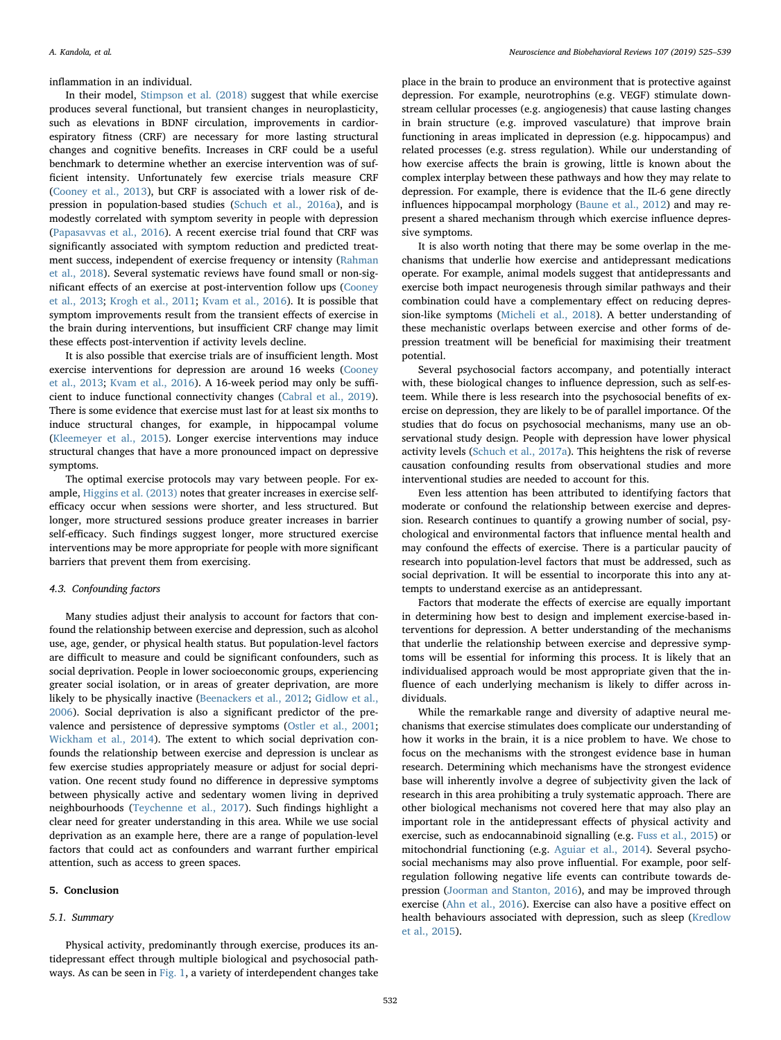inflammation in an individual.

In their model, [Stimpson et al. \(2018\)](#page-13-18) suggest that while exercise produces several functional, but transient changes in neuroplasticity, such as elevations in BDNF circulation, improvements in cardiorespiratory fitness (CRF) are necessary for more lasting structural changes and cognitive benefits. Increases in CRF could be a useful benchmark to determine whether an exercise intervention was of sufficient intensity. Unfortunately few exercise trials measure CRF ([Cooney et al., 2013](#page-10-5)), but CRF is associated with a lower risk of depression in population-based studies ([Schuch et al., 2016a](#page-13-4)), and is modestly correlated with symptom severity in people with depression ([Papasavvas et al., 2016\)](#page-12-2). A recent exercise trial found that CRF was significantly associated with symptom reduction and predicted treatment success, independent of exercise frequency or intensity ([Rahman](#page-12-50) [et al., 2018\)](#page-12-50). Several systematic reviews have found small or non-significant effects of an exercise at post-intervention follow ups [\(Cooney](#page-10-5) [et al., 2013;](#page-10-5) [Krogh et al., 2011](#page-12-51); [Kvam et al., 2016\)](#page-12-1). It is possible that symptom improvements result from the transient effects of exercise in the brain during interventions, but insufficient CRF change may limit these effects post-intervention if activity levels decline.

It is also possible that exercise trials are of insufficient length. Most exercise interventions for depression are around 16 weeks [\(Cooney](#page-10-5) [et al., 2013;](#page-10-5) [Kvam et al., 2016](#page-12-1)). A 16-week period may only be sufficient to induce functional connectivity changes [\(Cabral et al., 2019](#page-9-39)). There is some evidence that exercise must last for at least six months to induce structural changes, for example, in hippocampal volume ([Kleemeyer et al., 2015](#page-11-49)). Longer exercise interventions may induce structural changes that have a more pronounced impact on depressive symptoms.

The optimal exercise protocols may vary between people. For example, [Higgins et al. \(2013\)](#page-11-44) notes that greater increases in exercise selfefficacy occur when sessions were shorter, and less structured. But longer, more structured sessions produce greater increases in barrier self-efficacy. Such findings suggest longer, more structured exercise interventions may be more appropriate for people with more significant barriers that prevent them from exercising.

# 4.3. Confounding factors

Many studies adjust their analysis to account for factors that confound the relationship between exercise and depression, such as alcohol use, age, gender, or physical health status. But population-level factors are difficult to measure and could be significant confounders, such as social deprivation. People in lower socioeconomic groups, experiencing greater social isolation, or in areas of greater deprivation, are more likely to be physically inactive ([Beenackers et al., 2012](#page-9-41); [Gidlow et al.,](#page-10-49) [2006\)](#page-10-49). Social deprivation is also a significant predictor of the prevalence and persistence of depressive symptoms [\(Ostler et al., 2001](#page-12-52); [Wickham et al., 2014\)](#page-14-13). The extent to which social deprivation confounds the relationship between exercise and depression is unclear as few exercise studies appropriately measure or adjust for social deprivation. One recent study found no difference in depressive symptoms between physically active and sedentary women living in deprived neighbourhoods [\(Teychenne et al., 2017\)](#page-13-49). Such findings highlight a clear need for greater understanding in this area. While we use social deprivation as an example here, there are a range of population-level factors that could act as confounders and warrant further empirical attention, such as access to green spaces.

# 5. Conclusion

#### 5.1. Summary

Physical activity, predominantly through exercise, produces its antidepressant effect through multiple biological and psychosocial pathways. As can be seen in [Fig. 1,](#page-8-0) a variety of interdependent changes take

place in the brain to produce an environment that is protective against depression. For example, neurotrophins (e.g. VEGF) stimulate downstream cellular processes (e.g. angiogenesis) that cause lasting changes in brain structure (e.g. improved vasculature) that improve brain functioning in areas implicated in depression (e.g. hippocampus) and related processes (e.g. stress regulation). While our understanding of how exercise affects the brain is growing, little is known about the complex interplay between these pathways and how they may relate to depression. For example, there is evidence that the IL-6 gene directly influences hippocampal morphology [\(Baune et al., 2012](#page-9-42)) and may represent a shared mechanism through which exercise influence depressive symptoms.

It is also worth noting that there may be some overlap in the mechanisms that underlie how exercise and antidepressant medications operate. For example, animal models suggest that antidepressants and exercise both impact neurogenesis through similar pathways and their combination could have a complementary effect on reducing depression-like symptoms [\(Micheli et al., 2018\)](#page-12-53). A better understanding of these mechanistic overlaps between exercise and other forms of depression treatment will be beneficial for maximising their treatment potential.

Several psychosocial factors accompany, and potentially interact with, these biological changes to influence depression, such as self-esteem. While there is less research into the psychosocial benefits of exercise on depression, they are likely to be of parallel importance. Of the studies that do focus on psychosocial mechanisms, many use an observational study design. People with depression have lower physical activity levels ([Schuch et al., 2017a\)](#page-13-47). This heightens the risk of reverse causation confounding results from observational studies and more interventional studies are needed to account for this.

Even less attention has been attributed to identifying factors that moderate or confound the relationship between exercise and depression. Research continues to quantify a growing number of social, psychological and environmental factors that influence mental health and may confound the effects of exercise. There is a particular paucity of research into population-level factors that must be addressed, such as social deprivation. It will be essential to incorporate this into any attempts to understand exercise as an antidepressant.

Factors that moderate the effects of exercise are equally important in determining how best to design and implement exercise-based interventions for depression. A better understanding of the mechanisms that underlie the relationship between exercise and depressive symptoms will be essential for informing this process. It is likely that an individualised approach would be most appropriate given that the influence of each underlying mechanism is likely to differ across individuals.

While the remarkable range and diversity of adaptive neural mechanisms that exercise stimulates does complicate our understanding of how it works in the brain, it is a nice problem to have. We chose to focus on the mechanisms with the strongest evidence base in human research. Determining which mechanisms have the strongest evidence base will inherently involve a degree of subjectivity given the lack of research in this area prohibiting a truly systematic approach. There are other biological mechanisms not covered here that may also play an important role in the antidepressant effects of physical activity and exercise, such as endocannabinoid signalling (e.g. [Fuss et al., 2015\)](#page-10-50) or mitochondrial functioning (e.g. [Aguiar et al., 2014\)](#page-9-43). Several psychosocial mechanisms may also prove influential. For example, poor selfregulation following negative life events can contribute towards depression [\(Joorman and Stanton, 2016\)](#page-11-50), and may be improved through exercise ([Ahn et al., 2016\)](#page-9-44). Exercise can also have a positive effect on health behaviours associated with depression, such as sleep [\(Kredlow](#page-11-51) [et al., 2015](#page-11-51)).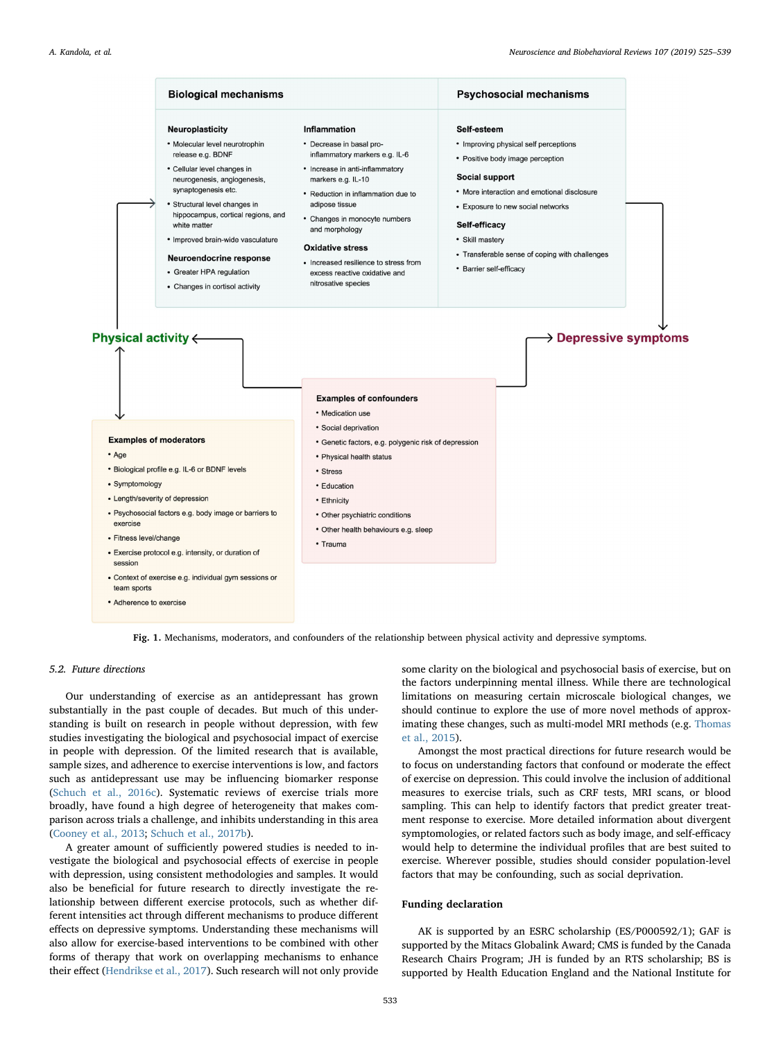<span id="page-8-0"></span>

Fig. 1. Mechanisms, moderators, and confounders of the relationship between physical activity and depressive symptoms.

# 5.2. Future directions

Our understanding of exercise as an antidepressant has grown substantially in the past couple of decades. But much of this understanding is built on research in people without depression, with few studies investigating the biological and psychosocial impact of exercise in people with depression. Of the limited research that is available, sample sizes, and adherence to exercise interventions is low, and factors such as antidepressant use may be influencing biomarker response ([Schuch et al., 2016c](#page-13-45)). Systematic reviews of exercise trials more broadly, have found a high degree of heterogeneity that makes comparison across trials a challenge, and inhibits understanding in this area ([Cooney et al., 2013](#page-10-5); [Schuch et al., 2017b](#page-13-48)).

A greater amount of sufficiently powered studies is needed to investigate the biological and psychosocial effects of exercise in people with depression, using consistent methodologies and samples. It would also be beneficial for future research to directly investigate the relationship between different exercise protocols, such as whether different intensities act through different mechanisms to produce different effects on depressive symptoms. Understanding these mechanisms will also allow for exercise-based interventions to be combined with other forms of therapy that work on overlapping mechanisms to enhance their effect ([Hendrikse et al., 2017\)](#page-11-15). Such research will not only provide

some clarity on the biological and psychosocial basis of exercise, but on the factors underpinning mental illness. While there are technological limitations on measuring certain microscale biological changes, we should continue to explore the use of more novel methods of approximating these changes, such as multi-model MRI methods (e.g. [Thomas](#page-13-50) [et al., 2015](#page-13-50)).

Amongst the most practical directions for future research would be to focus on understanding factors that confound or moderate the effect of exercise on depression. This could involve the inclusion of additional measures to exercise trials, such as CRF tests, MRI scans, or blood sampling. This can help to identify factors that predict greater treatment response to exercise. More detailed information about divergent symptomologies, or related factors such as body image, and self-efficacy would help to determine the individual profiles that are best suited to exercise. Wherever possible, studies should consider population-level factors that may be confounding, such as social deprivation.

#### Funding declaration

AK is supported by an ESRC scholarship (ES/P000592/1); GAF is supported by the Mitacs Globalink Award; CMS is funded by the Canada Research Chairs Program; JH is funded by an RTS scholarship; BS is supported by Health Education England and the National Institute for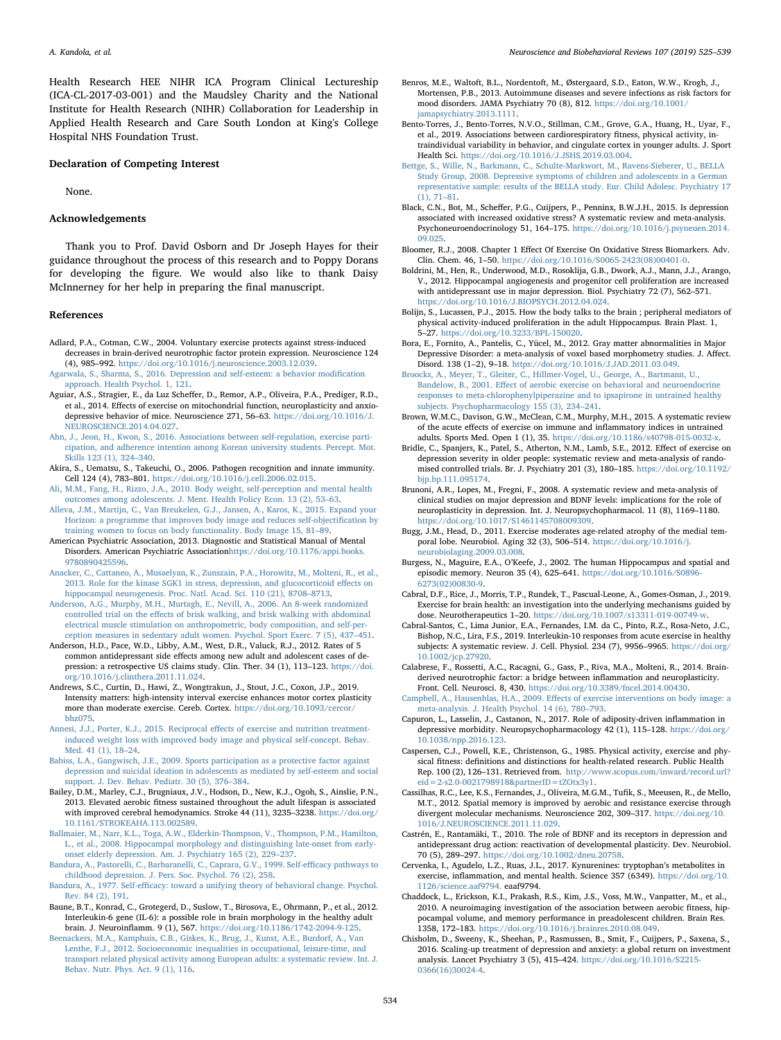Health Research HEE NIHR ICA Program Clinical Lectureship (ICA‐CL‐2017‐03‐001) and the Maudsley Charity and the National Institute for Health Research (NIHR) Collaboration for Leadership in Applied Health Research and Care South London at King's College Hospital NHS Foundation Trust.

#### Declaration of Competing Interest

None.

# Acknowledgements

Thank you to Prof. David Osborn and Dr Joseph Hayes for their guidance throughout the process of this research and to Poppy Dorans for developing the figure. We would also like to thank Daisy McInnerney for her help in preparing the final manuscript.

#### References

- <span id="page-9-16"></span>Adlard, P.A., Cotman, C.W., 2004. Voluntary exercise protects against stress-induced decreases in brain-derived neurotrophic factor protein expression. Neuroscience 124 (4), 985–992. <https://doi.org/10.1016/j.neuroscience.2003.12.039>.
- <span id="page-9-28"></span>[Agarwala, S., Sharma, S., 2016. Depression and self-esteem: a behavior modi](http://refhub.elsevier.com/S0149-7634(19)30564-0/sbref0010)fication [approach. Health Psychol. 1, 121](http://refhub.elsevier.com/S0149-7634(19)30564-0/sbref0010).
- <span id="page-9-43"></span>Aguiar, A.S., Stragier, E., da Luz Scheffer, D., Remor, A.P., Oliveira, P.A., Prediger, R.D., et al., 2014. Effects of exercise on mitochondrial function, neuroplasticity and anxiodepressive behavior of mice. Neuroscience 271, 56–63. [https://doi.org/10.1016/J.](https://doi.org/10.1016/J.NEUROSCIENCE.2014.04.027) [NEUROSCIENCE.2014.04.027](https://doi.org/10.1016/J.NEUROSCIENCE.2014.04.027).
- <span id="page-9-44"></span>[Ahn, J., Jeon, H., Kwon, S., 2016. Associations between self-regulation, exercise parti](http://refhub.elsevier.com/S0149-7634(19)30564-0/sbref0020)[cipation, and adherence intention among Korean university students. Percept. Mot.](http://refhub.elsevier.com/S0149-7634(19)30564-0/sbref0020) [Skills 123 \(1\), 324](http://refhub.elsevier.com/S0149-7634(19)30564-0/sbref0020)–340.
- <span id="page-9-23"></span>Akira, S., Uematsu, S., Takeuchi, O., 2006. Pathogen recognition and innate immunity. Cell 124 (4), 783–801. <https://doi.org/10.1016/j.cell.2006.02.015>.
- <span id="page-9-29"></span>[Ali, M.M., Fang, H., Rizzo, J.A., 2010. Body weight, self-perception and mental health](http://refhub.elsevier.com/S0149-7634(19)30564-0/sbref0030) [outcomes among adolescents. J. Ment. Health Policy Econ. 13 \(2\), 53](http://refhub.elsevier.com/S0149-7634(19)30564-0/sbref0030)–63.
- <span id="page-9-31"></span>[Alleva, J.M., Martijn, C., Van Breukelen, G.J., Jansen, A., Karos, K., 2015. Expand your](http://refhub.elsevier.com/S0149-7634(19)30564-0/sbref0035) [Horizon: a programme that improves body image and reduces self-objecti](http://refhub.elsevier.com/S0149-7634(19)30564-0/sbref0035)fication by [training women to focus on body functionality. Body Image 15, 81](http://refhub.elsevier.com/S0149-7634(19)30564-0/sbref0035)–89.
- <span id="page-9-0"></span>American Psychiatric Association, 2013. Diagnostic and Statistical Manual of Mental Disorders. American Psychiatric Association[https://doi.org/10.1176/appi.books.](https://doi.org/10.1176/appi.books.9780890425596) [9780890425596](https://doi.org/10.1176/appi.books.9780890425596).
- <span id="page-9-10"></span>[Anacker, C., Cattaneo, A., Musaelyan, K., Zunszain, P.A., Horowitz, M., Molteni, R., et al.,](http://refhub.elsevier.com/S0149-7634(19)30564-0/sbref0045) [2013. Role for the kinase SGK1 in stress, depression, and glucocorticoid e](http://refhub.elsevier.com/S0149-7634(19)30564-0/sbref0045)ffects on [hippocampal neurogenesis. Proc. Natl. Acad. Sci. 110 \(21\), 8708](http://refhub.elsevier.com/S0149-7634(19)30564-0/sbref0045)–8713.
- <span id="page-9-30"></span>[Anderson, A.G., Murphy, M.H., Murtagh, E., Nevill, A., 2006. An 8-week randomized](http://refhub.elsevier.com/S0149-7634(19)30564-0/sbref0050) controlled trial on the eff[ects of brisk walking, and brisk walking with abdominal](http://refhub.elsevier.com/S0149-7634(19)30564-0/sbref0050) [electrical muscle stimulation on anthropometric, body composition, and self-per](http://refhub.elsevier.com/S0149-7634(19)30564-0/sbref0050)[ception measures in sedentary adult women. Psychol. Sport Exerc. 7 \(5\), 437](http://refhub.elsevier.com/S0149-7634(19)30564-0/sbref0050)–451.
- <span id="page-9-3"></span>Anderson, H.D., Pace, W.D., Libby, A.M., West, D.R., Valuck, R.J., 2012. Rates of 5 common antidepressant side effects among new adult and adolescent cases of depression: a retrospective US claims study. Clin. Ther. 34 (1), 113–123. [https://doi.](https://doi.org/10.1016/j.clinthera.2011.11.024) [org/10.1016/j.clinthera.2011.11.024.](https://doi.org/10.1016/j.clinthera.2011.11.024)
- <span id="page-9-40"></span>Andrews, S.C., Curtin, D., Hawi, Z., Wongtrakun, J., Stout, J.C., Coxon, J.P., 2019. Intensity matters: high-intensity interval exercise enhances motor cortex plasticity more than moderate exercise. Cereb. Cortex. [https://doi.org/10.1093/cercor/](https://doi.org/10.1093/cercor/bhz075) [bhz075](https://doi.org/10.1093/cercor/bhz075).
- <span id="page-9-33"></span>[Annesi, J.J., Porter, K.J., 2015. Reciprocal e](http://refhub.elsevier.com/S0149-7634(19)30564-0/sbref0065)ffects of exercise and nutrition treatment[induced weight loss with improved body image and physical self-concept. Behav.](http://refhub.elsevier.com/S0149-7634(19)30564-0/sbref0065) [Med. 41 \(1\), 18](http://refhub.elsevier.com/S0149-7634(19)30564-0/sbref0065)–24.
- <span id="page-9-35"></span>[Babiss, L.A., Gangwisch, J.E., 2009. Sports participation as a protective factor against](http://refhub.elsevier.com/S0149-7634(19)30564-0/sbref0070) [depression and suicidal ideation in adolescents as mediated by self-esteem and social](http://refhub.elsevier.com/S0149-7634(19)30564-0/sbref0070) [support. J. Dev. Behav. Pediatr. 30 \(5\), 376](http://refhub.elsevier.com/S0149-7634(19)30564-0/sbref0070)–384.
- <span id="page-9-14"></span>Bailey, D.M., Marley, C.J., Brugniaux, J.V., Hodson, D., New, K.J., Ogoh, S., Ainslie, P.N., 2013. Elevated aerobic fitness sustained throughout the adult lifespan is associated with improved cerebral hemodynamics. Stroke 44 (11), 3235–3238. [https://doi.org/](https://doi.org/10.1161/STROKEAHA.113.002589) [10.1161/STROKEAHA.113.002589.](https://doi.org/10.1161/STROKEAHA.113.002589)
- <span id="page-9-26"></span>[Ballmaier, M., Narr, K.L., Toga, A.W., Elderkin-Thompson, V., Thompson, P.M., Hamilton,](http://refhub.elsevier.com/S0149-7634(19)30564-0/sbref0080) [L., et al., 2008. Hippocampal morphology and distinguishing late-onset from early](http://refhub.elsevier.com/S0149-7634(19)30564-0/sbref0080)[onset elderly depression. Am. J. Psychiatry 165 \(2\), 229](http://refhub.elsevier.com/S0149-7634(19)30564-0/sbref0080)–237.
- <span id="page-9-37"></span>[Bandura, A., Pastorelli, C., Barbaranelli, C., Caprara, G.V., 1999. Self-e](http://refhub.elsevier.com/S0149-7634(19)30564-0/sbref0085)fficacy pathways to [childhood depression. J. Pers. Soc. Psychol. 76 \(2\), 258](http://refhub.elsevier.com/S0149-7634(19)30564-0/sbref0085).
- <span id="page-9-36"></span>Bandura, A., 1977. Self-effi[cacy: toward a unifying theory of behavioral change. Psychol.](http://refhub.elsevier.com/S0149-7634(19)30564-0/sbref0090) [Rev. 84 \(2\), 191](http://refhub.elsevier.com/S0149-7634(19)30564-0/sbref0090).
- <span id="page-9-42"></span>Baune, B.T., Konrad, C., Grotegerd, D., Suslow, T., Birosova, E., Ohrmann, P., et al., 2012. Interleukin-6 gene (IL-6): a possible role in brain morphology in the healthy adult brain. J. Neuroinflamm. 9 (1), 567. [https://doi.org/10.1186/1742-2094-9-125.](https://doi.org/10.1186/1742-2094-9-125)
- <span id="page-9-41"></span>[Beenackers, M.A., Kamphuis, C.B., Giskes, K., Brug, J., Kunst, A.E., Burdorf, A., Van](http://refhub.elsevier.com/S0149-7634(19)30564-0/sbref0100) [Lenthe, F.J., 2012. Socioeconomic inequalities in occupational, leisure-time, and](http://refhub.elsevier.com/S0149-7634(19)30564-0/sbref0100) [transport related physical activity among European adults: a systematic review. Int. J.](http://refhub.elsevier.com/S0149-7634(19)30564-0/sbref0100) [Behav. Nutr. Phys. Act. 9 \(1\), 116.](http://refhub.elsevier.com/S0149-7634(19)30564-0/sbref0100)
- <span id="page-9-18"></span>Benros, M.E., Waltoft, B.L., Nordentoft, M., Østergaard, S.D., Eaton, W.W., Krogh, J., Mortensen, P.B., 2013. Autoimmune diseases and severe infections as risk factors for mood disorders. JAMA Psychiatry 70 (8), 812. [https://doi.org/10.1001/](https://doi.org/10.1001/jamapsychiatry.2013.1111) [jamapsychiatry.2013.1111.](https://doi.org/10.1001/jamapsychiatry.2013.1111)
- <span id="page-9-13"></span>Bento-Torres, J., Bento-Torres, N.V.O., Stillman, C.M., Grove, G.A., Huang, H., Uyar, F., et al., 2019. Associations between cardiorespiratory fitness, physical activity, intraindividual variability in behavior, and cingulate cortex in younger adults. J. Sport Health Sci. <https://doi.org/10.1016/J.JSHS.2019.03.004>.
- <span id="page-9-34"></span>[Bettge, S., Wille, N., Barkmann, C., Schulte-Markwort, M., Ravens-Sieberer, U., BELLA](http://refhub.elsevier.com/S0149-7634(19)30564-0/sbref0115) [Study Group, 2008. Depressive symptoms of children and adolescents in a German](http://refhub.elsevier.com/S0149-7634(19)30564-0/sbref0115) [representative sample: results of the BELLA study. Eur. Child Adolesc. Psychiatry 17](http://refhub.elsevier.com/S0149-7634(19)30564-0/sbref0115)  $(1)$ , 71–81.
- <span id="page-9-24"></span>Black, C.N., Bot, M., Scheffer, P.G., Cuijpers, P., Penninx, B.W.J.H., 2015. Is depression associated with increased oxidative stress? A systematic review and meta-analysis. Psychoneuroendocrinology 51, 164–175. [https://doi.org/10.1016/j.psyneuen.2014.](https://doi.org/10.1016/j.psyneuen.2014.09.025) [09.025](https://doi.org/10.1016/j.psyneuen.2014.09.025).
- <span id="page-9-25"></span>Bloomer, R.J., 2008. Chapter 1 Effect Of Exercise On Oxidative Stress Biomarkers. Adv. Clin. Chem. 46, 1–50. [https://doi.org/10.1016/S0065-2423\(08\)00401-0](https://doi.org/10.1016/S0065-2423(08)00401-0).
- <span id="page-9-15"></span>Boldrini, M., Hen, R., Underwood, M.D., Rosoklija, G.B., Dwork, A.J., Mann, J.J., Arango, V., 2012. Hippocampal angiogenesis and progenitor cell proliferation are increased with antidepressant use in major depression. Biol. Psychiatry 72 (7), 562–571. <https://doi.org/10.1016/J.BIOPSYCH.2012.04.024>.
- <span id="page-9-17"></span>Bolijn, S., Lucassen, P.J., 2015. How the body talks to the brain ; peripheral mediators of physical activity-induced proliferation in the adult Hippocampus. Brain Plast. 1, 5–27. [https://doi.org/10.3233/BPL-150020.](https://doi.org/10.3233/BPL-150020)
- <span id="page-9-7"></span>Bora, E., Fornito, A., Pantelis, C., Yücel, M., 2012. Gray matter abnormalities in Major Depressive Disorder: a meta-analysis of voxel based morphometry studies. J. Affect. Disord. 138 (1–2), 9–18. [https://doi.org/10.1016/J.JAD.2011.03.049.](https://doi.org/10.1016/J.JAD.2011.03.049)
- <span id="page-9-27"></span>[Broocks, A., Meyer, T., Gleiter, C., Hillmer-Vogel, U., George, A., Bartmann, U.,](http://refhub.elsevier.com/S0149-7634(19)30564-0/sbref0145) Bandelow, B., 2001. Effect [of aerobic exercise on behavioral and neuroendocrine](http://refhub.elsevier.com/S0149-7634(19)30564-0/sbref0145) [responses to meta-chlorophenylpiperazine and to ipsapirone in untrained healthy](http://refhub.elsevier.com/S0149-7634(19)30564-0/sbref0145) [subjects. Psychopharmacology 155 \(3\), 234](http://refhub.elsevier.com/S0149-7634(19)30564-0/sbref0145)–241.
- <span id="page-9-21"></span>Brown, W.M.C., Davison, G.W., McClean, C.M., Murphy, M.H., 2015. A systematic review of the acute effects of exercise on immune and inflammatory indices in untrained adults. Sports Med. Open 1 (1), 35. <https://doi.org/10.1186/s40798-015-0032-x>.
- <span id="page-9-5"></span>Bridle, C., Spanjers, K., Patel, S., Atherton, N.M., Lamb, S.E., 2012. Effect of exercise on depression severity in older people: systematic review and meta-analysis of randomised controlled trials. Br. J. Psychiatry 201 (3), 180–185. [https://doi.org/10.1192/](https://doi.org/10.1192/bjp.bp.111.095174) [bjp.bp.111.095174](https://doi.org/10.1192/bjp.bp.111.095174).
- <span id="page-9-8"></span>Brunoni, A.R., Lopes, M., Fregni, F., 2008. A systematic review and meta-analysis of clinical studies on major depression and BDNF levels: implications for the role of neuroplasticity in depression. Int. J. Neuropsychopharmacol. 11 (8), 1169–1180. <https://doi.org/10.1017/S1461145708009309>.
- <span id="page-9-11"></span>Bugg, J.M., Head, D., 2011. Exercise moderates age-related atrophy of the medial temporal lobe. Neurobiol. Aging 32 (3), 506–514. [https://doi.org/10.1016/j.](https://doi.org/10.1016/j.neurobiolaging.2009.03.008) [neurobiolaging.2009.03.008.](https://doi.org/10.1016/j.neurobiolaging.2009.03.008)
- <span id="page-9-38"></span>Burgess, N., Maguire, E.A., O'Keefe, J., 2002. The human Hippocampus and spatial and episodic memory. Neuron 35 (4), 625–641. [https://doi.org/10.1016/S0896-](https://doi.org/10.1016/S0896-6273(02)00830-9) [6273\(02\)00830-9](https://doi.org/10.1016/S0896-6273(02)00830-9).
- <span id="page-9-39"></span>Cabral, D.F., Rice, J., Morris, T.P., Rundek, T., Pascual-Leone, A., Gomes-Osman, J., 2019. Exercise for brain health: an investigation into the underlying mechanisms guided by dose. Neurotherapeutics 1–20. <https://doi.org/10.1007/s13311-019-00749-w>.
- <span id="page-9-22"></span>Cabral‐Santos, C., Lima Junior, E.A., Fernandes, I.M. da C., Pinto, R.Z., Rosa‐Neto, J.C., Bishop, N.C., Lira, F.S., 2019. Interleukin‐10 responses from acute exercise in healthy subjects: A systematic review. J. Cell. Physiol. 234 (7), 9956–9965. [https://doi.org/](https://doi.org/10.1002/jcp.27920) [10.1002/jcp.27920](https://doi.org/10.1002/jcp.27920).
- <span id="page-9-19"></span>Calabrese, F., Rossetti, A.C., Racagni, G., Gass, P., Riva, M.A., Molteni, R., 2014. Brainderived neurotrophic factor: a bridge between inflammation and neuroplasticity. Front. Cell. Neurosci. 8, 430. [https://doi.org/10.3389/fncel.2014.00430.](https://doi.org/10.3389/fncel.2014.00430)
- <span id="page-9-32"></span>Campbell, A., Hausenblas, H.A., 2009. Eff[ects of exercise interventions on body image: a](http://refhub.elsevier.com/S0149-7634(19)30564-0/sbref0190) [meta-analysis. J. Health Psychol. 14 \(6\), 780](http://refhub.elsevier.com/S0149-7634(19)30564-0/sbref0190)–793.
- <span id="page-9-1"></span>Capuron, L., Lasselin, J., Castanon, N., 2017. Role of adiposity-driven inflammation in depressive morbidity. Neuropsychopharmacology 42 (1), 115–128. [https://doi.org/](https://doi.org/10.1038/npp.2016.123) [10.1038/npp.2016.123](https://doi.org/10.1038/npp.2016.123).
- <span id="page-9-4"></span>Caspersen, C.J., Powell, K.E., Christenson, G., 1985. Physical activity, exercise and physical fitness: definitions and distinctions for health-related research. Public Health Rep. 100 (2), 126–131. Retrieved from. [http://www.scopus.com/inward/record.url?](http://www.scopus.com/inward/record.url?eid=2-s2.0-0021798918%26partnerID=tZOtx3y1) [eid=2-s2.0-0021798918&partnerID=tZOtx3y1](http://www.scopus.com/inward/record.url?eid=2-s2.0-0021798918%26partnerID=tZOtx3y1).
- <span id="page-9-6"></span>Cassilhas, R.C., Lee, K.S., Fernandes, J., Oliveira, M.G.M., Tufik, S., Meeusen, R., de Mello, M.T., 2012. Spatial memory is improved by aerobic and resistance exercise through divergent molecular mechanisms. Neuroscience 202, 309–317. [https://doi.org/10.](https://doi.org/10.1016/J.NEUROSCIENCE.2011.11.029) [1016/J.NEUROSCIENCE.2011.11.029.](https://doi.org/10.1016/J.NEUROSCIENCE.2011.11.029)
- <span id="page-9-9"></span>Castrén, E., Rantamäki, T., 2010. The role of BDNF and its receptors in depression and antidepressant drug action: reactivation of developmental plasticity. Dev. Neurobiol. 70 (5), 289–297. <https://doi.org/10.1002/dneu.20758>.
- <span id="page-9-20"></span>Cervenka, I., Agudelo, L.Z., Ruas, J.L., 2017. Kynurenines: tryptophan's metabolites in exercise, inflammation, and mental health. Science 357 (6349). [https://doi.org/10.](https://doi.org/10.1126/science.aaf9794) [1126/science.aaf9794.](https://doi.org/10.1126/science.aaf9794) eaaf9794.
- <span id="page-9-12"></span>Chaddock, L., Erickson, K.I., Prakash, R.S., Kim, J.S., Voss, M.W., Vanpatter, M., et al., 2010. A neuroimaging investigation of the association between aerobic fitness, hippocampal volume, and memory performance in preadolescent children. Brain Res. 1358, 172–183. [https://doi.org/10.1016/j.brainres.2010.08.049.](https://doi.org/10.1016/j.brainres.2010.08.049)
- <span id="page-9-2"></span>Chisholm, D., Sweeny, K., Sheehan, P., Rasmussen, B., Smit, F., Cuijpers, P., Saxena, S., 2016. Scaling-up treatment of depression and anxiety: a global return on investment analysis. Lancet Psychiatry 3 (5), 415–424. [https://doi.org/10.1016/S2215-](https://doi.org/10.1016/S2215-0366(16)30024-4) [0366\(16\)30024-4](https://doi.org/10.1016/S2215-0366(16)30024-4).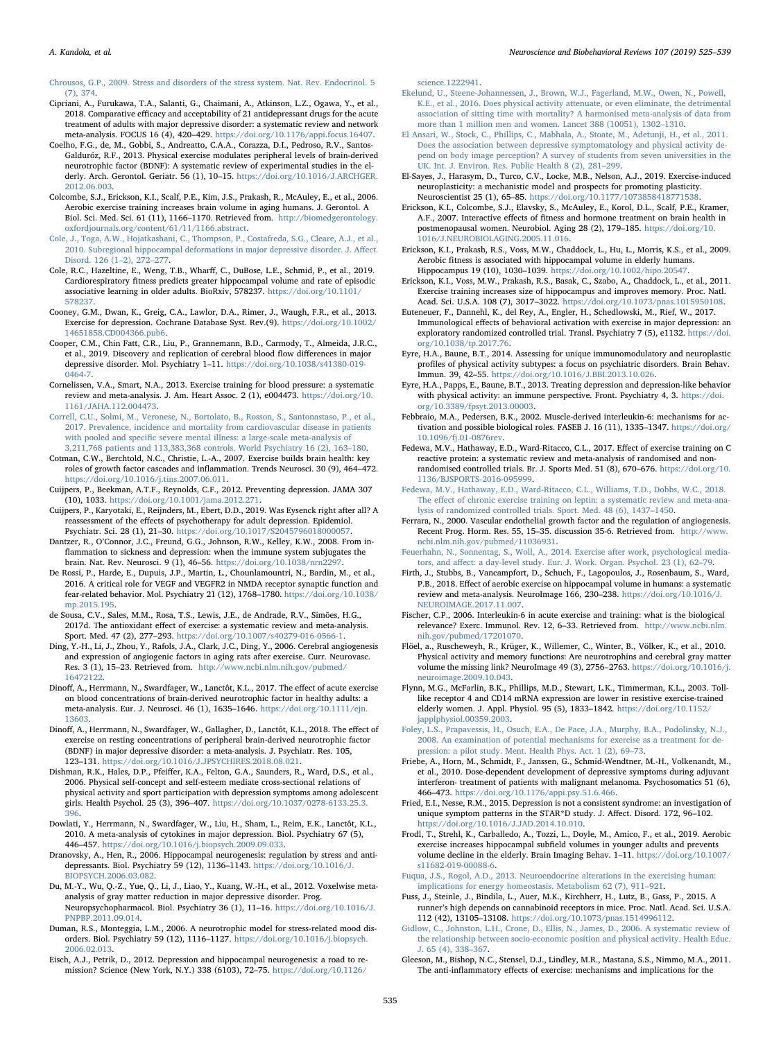<span id="page-10-40"></span>[Chrousos, G.P., 2009. Stress and disorders of the stress system. Nat. Rev. Endocrinol. 5](http://refhub.elsevier.com/S0149-7634(19)30564-0/sbref0230) [\(7\), 374.](http://refhub.elsevier.com/S0149-7634(19)30564-0/sbref0230)

- <span id="page-10-3"></span>Cipriani, A., Furukawa, T.A., Salanti, G., Chaimani, A., Atkinson, L.Z., Ogawa, Y., et al., 2018. Comparative efficacy and acceptability of 21 antidepressant drugs for the acute treatment of adults with major depressive disorder: a systematic review and network meta-analysis. FOCUS 16 (4), 420–429. <https://doi.org/10.1176/appi.focus.16407>.
- <span id="page-10-22"></span>Coelho, F.G., de, M., Gobbi, S., Andreatto, C.A.A., Corazza, D.I., Pedroso, R.V., Santos-Galduróz, R.F., 2013. Physical exercise modulates peripheral levels of brain-derived neurotrophic factor (BDNF): A systematic review of experimental studies in the elderly. Arch. Gerontol. Geriatr. 56 (1), 10–15. [https://doi.org/10.1016/J.ARCHGER.](https://doi.org/10.1016/J.ARCHGER.2012.06.003) [2012.06.003](https://doi.org/10.1016/J.ARCHGER.2012.06.003).
- <span id="page-10-13"></span>Colcombe, S.J., Erickson, K.I., Scalf, P.E., Kim, J.S., Prakash, R., McAuley, E., et al., 2006. Aerobic exercise training increases brain volume in aging humans. J. Gerontol. A Biol. Sci. Med. Sci. 61 (11), 1166–1170. Retrieved from. [http://biomedgerontology.](http://biomedgerontology.oxfordjournals.org/content/61/11/1166.abstract) [oxfordjournals.org/content/61/11/1166.abstract](http://biomedgerontology.oxfordjournals.org/content/61/11/1166.abstract).

<span id="page-10-41"></span>[Cole, J., Toga, A.W., Hojatkashani, C., Thompson, P., Costafreda, S.G., Cleare, A.J., et al.,](http://refhub.elsevier.com/S0149-7634(19)30564-0/sbref0250) [2010. Subregional hippocampal deformations in major depressive disorder. J. A](http://refhub.elsevier.com/S0149-7634(19)30564-0/sbref0250)ffect. [Disord. 126 \(1](http://refhub.elsevier.com/S0149-7634(19)30564-0/sbref0250)–2), 272–277.

- <span id="page-10-14"></span>Cole, R.C., Hazeltine, E., Weng, T.B., Wharff, C., DuBose, L.E., Schmid, P., et al., 2019. Cardiorespiratory fitness predicts greater hippocampal volume and rate of episodic associative learning in older adults. BioRxiv, 578237. [https://doi.org/10.1101/](https://doi.org/10.1101/578237) [578237](https://doi.org/10.1101/578237).
- <span id="page-10-5"></span>Cooney, G.M., Dwan, K., Greig, C.A., Lawlor, D.A., Rimer, J., Waugh, F.R., et al., 2013. Exercise for depression. Cochrane Database Syst. Rev.(9). [https://doi.org/10.1002/](https://doi.org/10.1002/14651858.CD004366.pub6) [14651858.CD004366.pub6](https://doi.org/10.1002/14651858.CD004366.pub6).
- <span id="page-10-8"></span>Cooper, C.M., Chin Fatt, C.R., Liu, P., Grannemann, B.D., Carmody, T., Almeida, J.R.C., et al., 2019. Discovery and replication of cerebral blood flow differences in major depressive disorder. Mol. Psychiatry 1–11. [https://doi.org/10.1038/s41380-019-](https://doi.org/10.1038/s41380-019-0464-7) [0464-7.](https://doi.org/10.1038/s41380-019-0464-7)
- <span id="page-10-6"></span>Cornelissen, V.A., Smart, N.A., 2013. Exercise training for blood pressure: a systematic review and meta-analysis. J. Am. Heart Assoc. 2 (1), e004473. [https://doi.org/10.](https://doi.org/10.1161/JAHA.112.004473) [1161/JAHA.112.004473](https://doi.org/10.1161/JAHA.112.004473).
- <span id="page-10-0"></span>[Correll, C.U., Solmi, M., Veronese, N., Bortolato, B., Rosson, S., Santonastaso, P., et al.,](http://refhub.elsevier.com/S0149-7634(19)30564-0/sbref0275) [2017. Prevalence, incidence and mortality from cardiovascular disease in patients](http://refhub.elsevier.com/S0149-7634(19)30564-0/sbref0275) with pooled and specifi[c severe mental illness: a large](http://refhub.elsevier.com/S0149-7634(19)30564-0/sbref0275)-scale meta-analysis of [3,211,768 patients and 113,383,368 controls. World Psychiatry 16 \(2\), 163](http://refhub.elsevier.com/S0149-7634(19)30564-0/sbref0275)–180.
- <span id="page-10-21"></span>Cotman, C.W., Berchtold, N.C., Christie, L.-A., 2007. Exercise builds brain health: key roles of growth factor cascades and inflammation. Trends Neurosci. 30 (9), 464–472. [https://doi.org/10.1016/j.tins.2007.06.011.](https://doi.org/10.1016/j.tins.2007.06.011)
- <span id="page-10-1"></span>Cuijpers, P., Beekman, A.T.F., Reynolds, C.F., 2012. Preventing depression. JAMA 307 (10), 1033. [https://doi.org/10.1001/jama.2012.271.](https://doi.org/10.1001/jama.2012.271)
- <span id="page-10-4"></span>Cuijpers, P., Karyotaki, E., Reijnders, M., Ebert, D.D., 2019. Was Eysenck right after all? A reassessment of the effects of psychotherapy for adult depression. Epidemiol. Psychiatr. Sci. 28 (1), 21–30. <https://doi.org/10.1017/S2045796018000057>.
- <span id="page-10-28"></span>Dantzer, R., O'Connor, J.C., Freund, G.G., Johnson, R.W., Kelley, K.W., 2008. From inflammation to sickness and depression: when the immune system subjugates the brain. Nat. Rev. Neurosci. 9 (1), 46–56. [https://doi.org/10.1038/nrn2297.](https://doi.org/10.1038/nrn2297)
- <span id="page-10-24"></span>De Rossi, P., Harde, E., Dupuis, J.P., Martin, L., Chounlamountri, N., Bardin, M., et al., 2016. A critical role for VEGF and VEGFR2 in NMDA receptor synaptic function and fear-related behavior. Mol. Psychiatry 21 (12), 1768–1780. [https://doi.org/10.1038/](https://doi.org/10.1038/mp.2015.195) [mp.2015.195](https://doi.org/10.1038/mp.2015.195).
- <span id="page-10-39"></span>de Sousa, C.V., Sales, M.M., Rosa, T.S., Lewis, J.E., de Andrade, R.V., Simões, H.G., 2017d. The antioxidant effect of exercise: a systematic review and meta-analysis. Sport. Med. 47 (2), 277–293. <https://doi.org/10.1007/s40279-016-0566-1>.
- <span id="page-10-19"></span>Ding, Y.-H., Li, J., Zhou, Y., Rafols, J.A., Clark, J.C., Ding, Y., 2006. Cerebral angiogenesis and expression of angiogenic factors in aging rats after exercise. Curr. Neurovasc. Res. 3 (1), 15–23. Retrieved from. [http://www.ncbi.nlm.nih.gov/pubmed/](http://www.ncbi.nlm.nih.gov/pubmed/16472122) [16472122](http://www.ncbi.nlm.nih.gov/pubmed/16472122).
- <span id="page-10-26"></span>Dinoff, A., Herrmann, N., Swardfager, W., Lanctôt, K.L., 2017. The effect of acute exercise on blood concentrations of brain-derived neurotrophic factor in healthy adults: a meta-analysis. Eur. J. Neurosci. 46 (1), 1635–1646. [https://doi.org/10.1111/ejn.](https://doi.org/10.1111/ejn.13603) [13603.](https://doi.org/10.1111/ejn.13603)

<span id="page-10-27"></span>Dinoff, A., Herrmann, N., Swardfager, W., Gallagher, D., Lanctôt, K.L., 2018. The effect of exercise on resting concentrations of peripheral brain-derived neurotrophic factor (BDNF) in major depressive disorder: a meta-analysis. J. Psychiatr. Res. 105, 123–131. [https://doi.org/10.1016/J.JPSYCHIRES.2018.08.021.](https://doi.org/10.1016/J.JPSYCHIRES.2018.08.021)

<span id="page-10-45"></span>Dishman, R.K., Hales, D.P., Pfeiffer, K.A., Felton, G.A., Saunders, R., Ward, D.S., et al., 2006. Physical self-concept and self-esteem mediate cross-sectional relations of physical activity and sport participation with depression symptoms among adolescent girls. Health Psychol. 25 (3), 396–407. [https://doi.org/10.1037/0278-6133.25.3.](https://doi.org/10.1037/0278-6133.25.3.396) [396](https://doi.org/10.1037/0278-6133.25.3.396).

- <span id="page-10-29"></span>Dowlati, Y., Herrmann, N., Swardfager, W., Liu, H., Sham, L., Reim, E.K., Lanctôt, K.L., 2010. A meta-analysis of cytokines in major depression. Biol. Psychiatry 67 (5), 446–457. <https://doi.org/10.1016/j.biopsych.2009.09.033>.
- <span id="page-10-9"></span>Dranovsky, A., Hen, R., 2006. Hippocampal neurogenesis: regulation by stress and antidepressants. Biol. Psychiatry 59 (12), 1136–1143. [https://doi.org/10.1016/J.](https://doi.org/10.1016/J.BIOPSYCH.2006.03.082) [BIOPSYCH.2006.03.082.](https://doi.org/10.1016/J.BIOPSYCH.2006.03.082)
- <span id="page-10-7"></span>Du, M.-Y., Wu, Q.-Z., Yue, Q., Li, J., Liao, Y., Kuang, W.-H., et al., 2012. Voxelwise metaanalysis of gray matter reduction in major depressive disorder. Prog. Neuropsychopharmacol. Biol. Psychiatry 36 (1), 11–16. [https://doi.org/10.1016/J.](https://doi.org/10.1016/J.PNPBP.2011.09.014) [PNPBP.2011.09.014.](https://doi.org/10.1016/J.PNPBP.2011.09.014)
- <span id="page-10-10"></span>Duman, R.S., Monteggia, L.M., 2006. A neurotrophic model for stress-related mood disorders. Biol. Psychiatry 59 (12), 1116–1127. [https://doi.org/10.1016/j.biopsych.](https://doi.org/10.1016/j.biopsych.2006.02.013) [2006.02.013](https://doi.org/10.1016/j.biopsych.2006.02.013).
- <span id="page-10-11"></span>Eisch, A.J., Petrik, D., 2012. Depression and hippocampal neurogenesis: a road to remission? Science (New York, N.Y.) 338 (6103), 72–75. [https://doi.org/10.1126/](https://doi.org/10.1126/science.1222941)

[science.1222941.](https://doi.org/10.1126/science.1222941)

- <span id="page-10-46"></span>[Ekelund, U., Steene-Johannessen, J., Brown, W.J., Fagerland, M.W., Owen, N., Powell,](http://refhub.elsevier.com/S0149-7634(19)30564-0/sbref0355) [K.E., et al., 2016. Does physical activity attenuate, or even eliminate, the detrimental](http://refhub.elsevier.com/S0149-7634(19)30564-0/sbref0355) [association of sitting time with mortality? A harmonised meta-analysis of data from](http://refhub.elsevier.com/S0149-7634(19)30564-0/sbref0355) [more than 1 million men and women. Lancet 388 \(10051\), 1302](http://refhub.elsevier.com/S0149-7634(19)30564-0/sbref0355)–1310.
- <span id="page-10-47"></span>[El Ansari, W., Stock, C., Phillips, C., Mabhala, A., Stoate, M., Adetunji, H., et al., 2011.](http://refhub.elsevier.com/S0149-7634(19)30564-0/sbref0360) [Does the association between depressive symptomatology and physical activity de](http://refhub.elsevier.com/S0149-7634(19)30564-0/sbref0360)[pend on body image perception? A survey of students from seven universities in the](http://refhub.elsevier.com/S0149-7634(19)30564-0/sbref0360) [UK. Int. J. Environ. Res. Public Health 8 \(2\), 281](http://refhub.elsevier.com/S0149-7634(19)30564-0/sbref0360)–299.
- <span id="page-10-25"></span>El-Sayes, J., Harasym, D., Turco, C.V., Locke, M.B., Nelson, A.J., 2019. Exercise-induced neuroplasticity: a mechanistic model and prospects for promoting plasticity. Neuroscientist 25 (1), 65–85. <https://doi.org/10.1177/1073858418771538>.
- <span id="page-10-17"></span>Erickson, K.I., Colcombe, S.J., Elavsky, S., McAuley, E., Korol, D.L., Scalf, P.E., Kramer, A.F., 2007. Interactive effects of fitness and hormone treatment on brain health in postmenopausal women. Neurobiol. Aging 28 (2), 179–185. [https://doi.org/10.](https://doi.org/10.1016/J.NEUROBIOLAGING.2005.11.016) [1016/J.NEUROBIOLAGING.2005.11.016](https://doi.org/10.1016/J.NEUROBIOLAGING.2005.11.016).
- <span id="page-10-15"></span>Erickson, K.I., Prakash, R.S., Voss, M.W., Chaddock, L., Hu, L., Morris, K.S., et al., 2009. Aerobic fitness is associated with hippocampal volume in elderly humans. Hippocampus 19 (10), 1030–1039. <https://doi.org/10.1002/hipo.20547>.
- <span id="page-10-20"></span>Erickson, K.I., Voss, M.W., Prakash, R.S., Basak, C., Szabo, A., Chaddock, L., et al., 2011. Exercise training increases size of hippocampus and improves memory. Proc. Natl. Acad. Sci. U.S.A. 108 (7), 3017–3022. [https://doi.org/10.1073/pnas.1015950108.](https://doi.org/10.1073/pnas.1015950108)
- <span id="page-10-38"></span>Euteneuer, F., Dannehl, K., del Rey, A., Engler, H., Schedlowski, M., Rief, W., 2017. Immunological effects of behavioral activation with exercise in major depression: an exploratory randomized controlled trial. Transl. Psychiatry 7 (5), e1132. [https://doi.](https://doi.org/10.1038/tp.2017.76) [org/10.1038/tp.2017.76](https://doi.org/10.1038/tp.2017.76).
- <span id="page-10-36"></span>Eyre, H.A., Baune, B.T., 2014. Assessing for unique immunomodulatory and neuroplastic profiles of physical activity subtypes: a focus on psychiatric disorders. Brain Behav. Immun. 39, 42–55. <https://doi.org/10.1016/J.BBI.2013.10.026>.
- <span id="page-10-37"></span>Eyre, H.A., Papps, E., Baune, B.T., 2013. Treating depression and depression-like behavior with physical activity: an immune perspective. Front. Psychiatry 4, 3. [https://doi.](https://doi.org/10.3389/fpsyt.2013.00003) [org/10.3389/fpsyt.2013.00003](https://doi.org/10.3389/fpsyt.2013.00003).
- <span id="page-10-34"></span>Febbraio, M.A., Pedersen, B.K., 2002. Muscle-derived interleukin-6: mechanisms for activation and possible biological roles. FASEB J. 16 (11), 1335–1347. [https://doi.org/](https://doi.org/10.1096/fj.01-0876rev) [10.1096/fj.01-0876rev](https://doi.org/10.1096/fj.01-0876rev).
- <span id="page-10-31"></span>Fedewa, M.V., Hathaway, E.D., Ward-Ritacco, C.L., 2017. Effect of exercise training on C reactive protein: a systematic review and meta-analysis of randomised and nonrandomised controlled trials. Br. J. Sports Med. 51 (8), 670–676. [https://doi.org/10.](https://doi.org/10.1136/BJSPORTS-2016-095999) [1136/BJSPORTS-2016-095999.](https://doi.org/10.1136/BJSPORTS-2016-095999)
- <span id="page-10-32"></span>[Fedewa, M.V., Hathaway, E.D., Ward-Ritacco, C.L., Williams, T.D., Dobbs, W.C., 2018.](http://refhub.elsevier.com/S0149-7634(19)30564-0/sbref0410) The eff[ect of chronic exercise training on leptin: a systematic review and meta-ana](http://refhub.elsevier.com/S0149-7634(19)30564-0/sbref0410)[lysis of randomized controlled trials. Sport. Med. 48 \(6\), 1437](http://refhub.elsevier.com/S0149-7634(19)30564-0/sbref0410)–1450.
- <span id="page-10-23"></span>Ferrara, N., 2000. Vascular endothelial growth factor and the regulation of angiogenesis. Recent Prog. Horm. Res. 55, 15–35. discussion 35-6. Retrieved from. [http://www.](http://www.ncbi.nlm.nih.gov/pubmed/11036931) [ncbi.nlm.nih.gov/pubmed/11036931](http://www.ncbi.nlm.nih.gov/pubmed/11036931).
- <span id="page-10-44"></span>[Feuerhahn, N., Sonnentag, S., Woll, A., 2014. Exercise after work, psychological media](http://refhub.elsevier.com/S0149-7634(19)30564-0/sbref0420)tors, and aff[ect: a day-level study. Eur. J. Work. Organ. Psychol. 23 \(1\), 62](http://refhub.elsevier.com/S0149-7634(19)30564-0/sbref0420)–79.
- <span id="page-10-12"></span>Firth, J., Stubbs, B., Vancampfort, D., Schuch, F., Lagopoulos, J., Rosenbaum, S., Ward, P.B., 2018. Effect of aerobic exercise on hippocampal volume in humans: a systematic review and meta-analysis. NeuroImage 166, 230–238. [https://doi.org/10.1016/J.](https://doi.org/10.1016/J.NEUROIMAGE.2017.11.007) [NEUROIMAGE.2017.11.007.](https://doi.org/10.1016/J.NEUROIMAGE.2017.11.007)
- <span id="page-10-48"></span>Fischer, C.P., 2006. Interleukin-6 in acute exercise and training: what is the biological relevance? Exerc. Immunol. Rev. 12, 6–33. Retrieved from. [http://www.ncbi.nlm.](http://www.ncbi.nlm.nih.gov/pubmed/17201070) [nih.gov/pubmed/17201070.](http://www.ncbi.nlm.nih.gov/pubmed/17201070)
- <span id="page-10-18"></span>Flöel, a., Ruscheweyh, R., Krüger, K., Willemer, C., Winter, B., Völker, K., et al., 2010. Physical activity and memory functions: Are neurotrophins and cerebral gray matter volume the missing link? NeuroImage 49 (3), 2756–2763. [https://doi.org/10.1016/j.](https://doi.org/10.1016/j.neuroimage.2009.10.043) [neuroimage.2009.10.043.](https://doi.org/10.1016/j.neuroimage.2009.10.043)
- <span id="page-10-35"></span>Flynn, M.G., McFarlin, B.K., Phillips, M.D., Stewart, L.K., Timmerman, K.L., 2003. Tolllike receptor 4 and CD14 mRNA expression are lower in resistive exercise-trained elderly women. J. Appl. Physiol. 95 (5), 1833–1842. [https://doi.org/10.1152/](https://doi.org/10.1152/japplphysiol.00359.2003) [japplphysiol.00359.2003.](https://doi.org/10.1152/japplphysiol.00359.2003)
- <span id="page-10-43"></span>[Foley, L.S., Prapavessis, H., Osuch, E.A., De Pace, J.A., Murphy, B.A., Podolinsky, N.J.,](http://refhub.elsevier.com/S0149-7634(19)30564-0/sbref0445) [2008. An examination of potential mechanisms for exercise as a treatment for de](http://refhub.elsevier.com/S0149-7634(19)30564-0/sbref0445)[pression: a pilot study. Ment. Health Phys. Act. 1 \(2\), 69](http://refhub.elsevier.com/S0149-7634(19)30564-0/sbref0445)–73.
- <span id="page-10-30"></span>Friebe, A., Horn, M., Schmidt, F., Janssen, G., Schmid-Wendtner, M.-H., Volkenandt, M., et al., 2010. Dose-dependent development of depressive symptoms during adjuvant interferon- treatment of patients with malignant melanoma. Psychosomatics 51 (6), 466–473. <https://doi.org/10.1176/appi.psy.51.6.466>.
- <span id="page-10-2"></span>Fried, E.I., Nesse, R.M., 2015. Depression is not a consistent syndrome: an investigation of unique symptom patterns in the STAR\*D study. J. Affect. Disord. 172, 96–102. [https://doi.org/10.1016/J.JAD.2014.10.010.](https://doi.org/10.1016/J.JAD.2014.10.010)
- <span id="page-10-16"></span>Frodl, T., Strehl, K., Carballedo, A., Tozzi, L., Doyle, M., Amico, F., et al., 2019. Aerobic exercise increases hippocampal subfield volumes in younger adults and prevents volume decline in the elderly. Brain Imaging Behav. 1–11. [https://doi.org/10.1007/](https://doi.org/10.1007/s11682-019-00088-6) [s11682-019-00088-6](https://doi.org/10.1007/s11682-019-00088-6).
- <span id="page-10-42"></span>[Fuqua, J.S., Rogol, A.D., 2013. Neuroendocrine alterations in the exercising human:](http://refhub.elsevier.com/S0149-7634(19)30564-0/sbref0465) [implications for energy homeostasis. Metabolism 62 \(7\), 911](http://refhub.elsevier.com/S0149-7634(19)30564-0/sbref0465)–921.
- <span id="page-10-50"></span>Fuss, J., Steinle, J., Bindila, L., Auer, M.K., Kirchherr, H., Lutz, B., Gass, P., 2015. A runner's high depends on cannabinoid receptors in mice. Proc. Natl. Acad. Sci. U.S.A. 112 (42), 13105–13108. [https://doi.org/10.1073/pnas.1514996112.](https://doi.org/10.1073/pnas.1514996112)
- <span id="page-10-49"></span>[Gidlow, C., Johnston, L.H., Crone, D., Ellis, N., James, D., 2006. A systematic review of](http://refhub.elsevier.com/S0149-7634(19)30564-0/sbref0475) [the relationship between socio-economic position and physical activity. Health Educ.](http://refhub.elsevier.com/S0149-7634(19)30564-0/sbref0475) [J. 65 \(4\), 338](http://refhub.elsevier.com/S0149-7634(19)30564-0/sbref0475)–367.
- <span id="page-10-33"></span>Gleeson, M., Bishop, N.C., Stensel, D.J., Lindley, M.R., Mastana, S.S., Nimmo, M.A., 2011. The anti-inflammatory effects of exercise: mechanisms and implications for the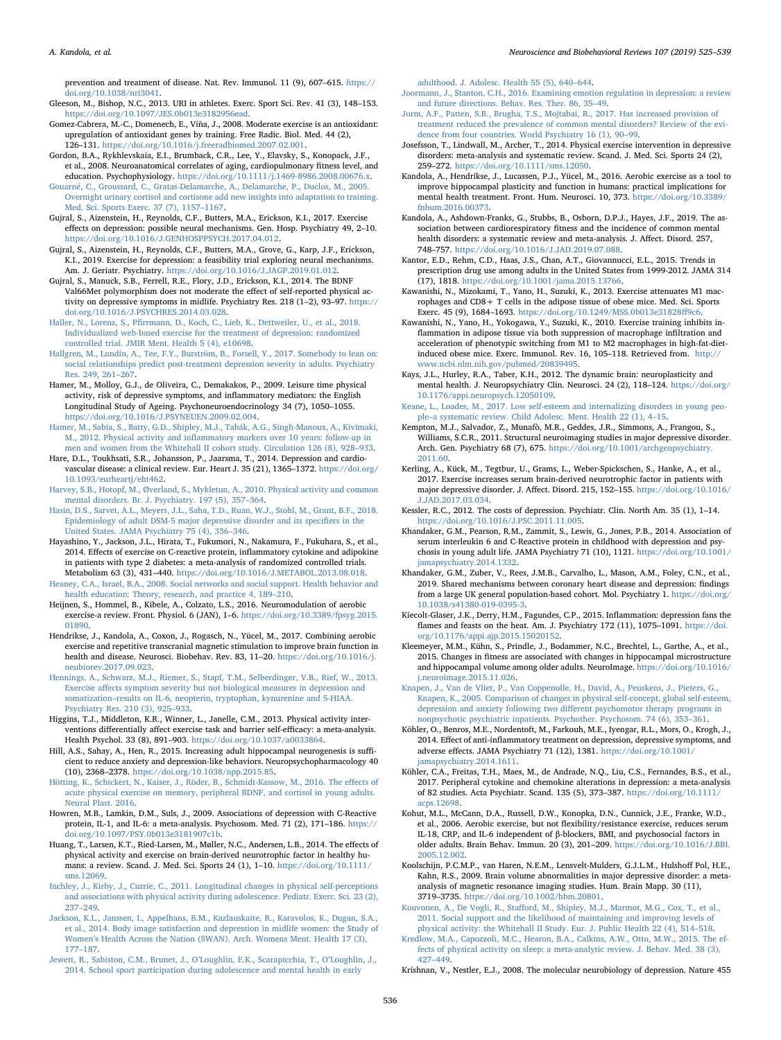prevention and treatment of disease. Nat. Rev. Immunol. 11 (9), 607–615. [https://](https://doi.org/10.1038/nri3041) [doi.org/10.1038/nri3041.](https://doi.org/10.1038/nri3041)

<span id="page-11-48"></span>Gleeson, M., Bishop, N.C., 2013. URI in athletes. Exerc. Sport Sci. Rev. 41 (3), 148–153. <https://doi.org/10.1097/JES.0b013e3182956ead>.

- <span id="page-11-31"></span>Gomez-Cabrera, M.-C., Domenech, E., Viña, J., 2008. Moderate exercise is an antioxidant: upregulation of antioxidant genes by training. Free Radic. Biol. Med. 44 (2), 126–131. [https://doi.org/10.1016/j.freeradbiomed.2007.02.001.](https://doi.org/10.1016/j.freeradbiomed.2007.02.001)
- <span id="page-11-12"></span>Gordon, B.A., Rykhlevskaia, E.I., Brumback, C.R., Lee, Y., Elavsky, S., Konopack, J.F., et al., 2008. Neuroanatomical correlates of aging, cardiopulmonary fitness level, and education. Psychophysiology. [https://doi.org/10.1111/j.1469-8986.2008.00676.x.](https://doi.org/10.1111/j.1469-8986.2008.00676.x)
- <span id="page-11-34"></span>[Gouarné, C., Groussard, C., Gratas-Delamarche, A., Delamarche, P., Duclos, M., 2005.](http://refhub.elsevier.com/S0149-7634(19)30564-0/sbref0500) [Overnight urinary cortisol and cortisone add new insights into adaptation to training.](http://refhub.elsevier.com/S0149-7634(19)30564-0/sbref0500) [Med. Sci. Sports Exerc. 37 \(7\), 1157](http://refhub.elsevier.com/S0149-7634(19)30564-0/sbref0500)–1167.
- <span id="page-11-17"></span>Gujral, S., Aizenstein, H., Reynolds, C.F., Butters, M.A., Erickson, K.I., 2017. Exercise effects on depression: possible neural mechanisms. Gen. Hosp. Psychiatry 49, 2–10. [https://doi.org/10.1016/J.GENHOSPPSYCH.2017.04.012.](https://doi.org/10.1016/J.GENHOSPPSYCH.2017.04.012)
- <span id="page-11-13"></span>Gujral, S., Aizenstein, H., Reynolds, C.F., Butters, M.A., Grove, G., Karp, J.F., Erickson, K.I., 2019. Exercise for depression: a feasibility trial exploring neural mechanisms. Am. J. Geriatr. Psychiatry. <https://doi.org/10.1016/J.JAGP.2019.01.012>.
- <span id="page-11-46"></span>Gujral, S., Manuck, S.B., Ferrell, R.E., Flory, J.D., Erickson, K.I., 2014. The BDNF Val66Met polymorphism does not moderate the effect of self-reported physical activity on depressive symptoms in midlife. Psychiatry Res. 218 (1–2), 93–97. [https://](https://doi.org/10.1016/J.PSYCHRES.2014.03.028) [doi.org/10.1016/J.PSYCHRES.2014.03.028.](https://doi.org/10.1016/J.PSYCHRES.2014.03.028)
- <span id="page-11-45"></span>Haller, N., Lorenz, S., Pfi[rrmann, D., Koch, C., Lieb, K., Dettweiler, U., et al., 2018.](http://refhub.elsevier.com/S0149-7634(19)30564-0/sbref0520) [Individualized web-based exercise for the treatment of depression: randomized](http://refhub.elsevier.com/S0149-7634(19)30564-0/sbref0520) [controlled trial. JMIR Ment. Health 5 \(4\), e10698.](http://refhub.elsevier.com/S0149-7634(19)30564-0/sbref0520)
- <span id="page-11-42"></span>[Hallgren, M., Lundin, A., Tee, F.Y., Burström, B., Forsell, Y., 2017. Somebody to lean on:](http://refhub.elsevier.com/S0149-7634(19)30564-0/sbref0525) [social relationships predict post-treatment depression severity in adults. Psychiatry](http://refhub.elsevier.com/S0149-7634(19)30564-0/sbref0525) [Res. 249, 261](http://refhub.elsevier.com/S0149-7634(19)30564-0/sbref0525)–267.
- <span id="page-11-30"></span>Hamer, M., Molloy, G.J., de Oliveira, C., Demakakos, P., 2009. Leisure time physical activity, risk of depressive symptoms, and inflammatory mediators: the English Longitudinal Study of Ageing. Psychoneuroendocrinology 34 (7), 1050–1055. <https://doi.org/10.1016/J.PSYNEUEN.2009.02.004>.
- <span id="page-11-25"></span>[Hamer, M., Sabia, S., Batty, G.D., Shipley, M.J., Tabák, A.G., Singh-Manoux, A., Kivimaki,](http://refhub.elsevier.com/S0149-7634(19)30564-0/sbref0535) M., 2012. Physical activity and infl[ammatory markers over 10 years: follow-up in](http://refhub.elsevier.com/S0149-7634(19)30564-0/sbref0535) [men and women from the Whitehall II cohort study. Circulation 126 \(8\), 928](http://refhub.elsevier.com/S0149-7634(19)30564-0/sbref0535)–933.
- <span id="page-11-1"></span>Hare, D.L., Toukhsati, S.R., Johansson, P., Jaarsma, T., 2014. Depression and cardiovascular disease: a clinical review. Eur. Heart J. 35 (21), 1365–1372. [https://doi.org/](https://doi.org/10.1093/eurheartj/eht462) [10.1093/eurheartj/eht462.](https://doi.org/10.1093/eurheartj/eht462)
- <span id="page-11-43"></span>[Harvey, S.B., Hotopf, M., Øverland, S., Mykletun, A., 2010. Physical activity and common](http://refhub.elsevier.com/S0149-7634(19)30564-0/sbref0545) [mental disorders. Br. J. Psychiatry. 197 \(5\), 357](http://refhub.elsevier.com/S0149-7634(19)30564-0/sbref0545)–364.
- <span id="page-11-4"></span>[Hasin, D.S., Sarvet, A.L., Meyers, J.L., Saha, T.D., Ruan, W.J., Stohl, M., Grant, B.F., 2018.](http://refhub.elsevier.com/S0149-7634(19)30564-0/sbref0550) [Epidemiology of adult DSM-5 major depressive disorder and its speci](http://refhub.elsevier.com/S0149-7634(19)30564-0/sbref0550)fiers in the [United States. JAMA Psychiatry 75 \(4\), 336](http://refhub.elsevier.com/S0149-7634(19)30564-0/sbref0550)–346.
- <span id="page-11-47"></span>Hayashino, Y., Jackson, J.L., Hirata, T., Fukumori, N., Nakamura, F., Fukuhara, S., et al., 2014. Effects of exercise on C-reactive protein, inflammatory cytokine and adipokine in patients with type 2 diabetes: a meta-analysis of randomized controlled trials. Metabolism 63 (3), 431–440. <https://doi.org/10.1016/J.METABOL.2013.08.018>.

<span id="page-11-39"></span>[Heaney, C.A., Israel, B.A., 2008. Social networks and social support. Health behavior and](http://refhub.elsevier.com/S0149-7634(19)30564-0/sbref0560) [health education: Theory, research, and practice 4, 189](http://refhub.elsevier.com/S0149-7634(19)30564-0/sbref0560)–210.

- <span id="page-11-33"></span>Heijnen, S., Hommel, B., Kibele, A., Colzato, L.S., 2016. Neuromodulation of aerobic exercise-a review. Front. Physiol. 6 (JAN), 1–6. [https://doi.org/10.3389/fpsyg.2015.](https://doi.org/10.3389/fpsyg.2015.01890) [01890.](https://doi.org/10.3389/fpsyg.2015.01890)
- <span id="page-11-15"></span>Hendrikse, J., Kandola, A., Coxon, J., Rogasch, N., Yücel, M., 2017. Combining aerobic exercise and repetitive transcranial magnetic stimulation to improve brain function in health and disease. Neurosci. Biobehav. Rev. 83, 11–20. [https://doi.org/10.1016/j.](https://doi.org/10.1016/j.neubiorev.2017.09.023) [neubiorev.2017.09.023.](https://doi.org/10.1016/j.neubiorev.2017.09.023)
- <span id="page-11-28"></span>[Hennings, A., Schwarz, M.J., Riemer, S., Stapf, T.M., Selberdinger, V.B., Rief, W., 2013.](http://refhub.elsevier.com/S0149-7634(19)30564-0/sbref0575) Exercise aff[ects symptom severity but not biological measures in depression and](http://refhub.elsevier.com/S0149-7634(19)30564-0/sbref0575) somatization–[results on IL-6, neopterin, tryptophan, kynurenine and 5-HIAA.](http://refhub.elsevier.com/S0149-7634(19)30564-0/sbref0575) [Psychiatry Res. 210 \(3\), 925](http://refhub.elsevier.com/S0149-7634(19)30564-0/sbref0575)–933.
- <span id="page-11-44"></span>Higgins, T.J., Middleton, K.R., Winner, L., Janelle, C.M., 2013. Physical activity interventions differentially affect exercise task and barrier self-efficacy: a meta-analysis. Health Psychol. 33 (8), 891–903. <https://doi.org/10.1037/a0033864>.
- <span id="page-11-11"></span>Hill, A.S., Sahay, A., Hen, R., 2015. Increasing adult hippocampal neurogenesis is sufficient to reduce anxiety and depression-like behaviors. Neuropsychopharmacology 40 (10), 2368–2378. [https://doi.org/10.1038/npp.2015.85.](https://doi.org/10.1038/npp.2015.85)
- <span id="page-11-32"></span>[Hötting, K., Schickert, N., Kaiser, J., Röder, B., Schmidt-Kassow, M., 2016. The e](http://refhub.elsevier.com/S0149-7634(19)30564-0/sbref0590)ffects of [acute physical exercise on memory, peripheral BDNF, and cortisol in young adults.](http://refhub.elsevier.com/S0149-7634(19)30564-0/sbref0590) [Neural Plast. 2016](http://refhub.elsevier.com/S0149-7634(19)30564-0/sbref0590).
- <span id="page-11-19"></span>Howren, M.B., Lamkin, D.M., Suls, J., 2009. Associations of depression with C-Reactive protein, IL-1, and IL-6: a meta-analysis. Psychosom. Med. 71 (2), 171–186. [https://](https://doi.org/10.1097/PSY.0b013e3181907c1b) [doi.org/10.1097/PSY.0b013e3181907c1b](https://doi.org/10.1097/PSY.0b013e3181907c1b).
- <span id="page-11-14"></span>Huang, T., Larsen, K.T., Ried-Larsen, M., Møller, N.C., Andersen, L.B., 2014. The effects of physical activity and exercise on brain-derived neurotrophic factor in healthy humans: a review. Scand. J. Med. Sci. Sports 24 (1), 1–10. [https://doi.org/10.1111/](https://doi.org/10.1111/sms.12069) [sms.12069.](https://doi.org/10.1111/sms.12069)
- <span id="page-11-36"></span>[Inchley, J., Kirby, J., Currie, C., 2011. Longitudinal changes in physical self-perceptions](http://refhub.elsevier.com/S0149-7634(19)30564-0/sbref0605) [and associations with physical activity during adolescence. Pediatr. Exerc. Sci. 23 \(2\),](http://refhub.elsevier.com/S0149-7634(19)30564-0/sbref0605) 237–[249](http://refhub.elsevier.com/S0149-7634(19)30564-0/sbref0605).
- <span id="page-11-38"></span>[Jackson, K.L., Janssen, I., Appelhans, B.M., Kazlauskaite, R., Karavolos, K., Dugan, S.A.,](http://refhub.elsevier.com/S0149-7634(19)30564-0/sbref0610) [et al., 2014. Body image satisfaction and depression in midlife women: the Study of](http://refhub.elsevier.com/S0149-7634(19)30564-0/sbref0610) Women'[s Health Across the Nation \(SWAN\). Arch. Womens Ment. Health 17 \(3\),](http://refhub.elsevier.com/S0149-7634(19)30564-0/sbref0610) 177–[187](http://refhub.elsevier.com/S0149-7634(19)30564-0/sbref0610).
- <span id="page-11-41"></span>Jewett, R., Sabiston, C.M., Brunet, J., O'[Loughlin, E.K., Scarapicchia, T., O](http://refhub.elsevier.com/S0149-7634(19)30564-0/sbref0615)'Loughlin, J., [2014. School sport participation during adolescence and mental health in early](http://refhub.elsevier.com/S0149-7634(19)30564-0/sbref0615)

[adulthood. J. Adolesc. Health 55 \(5\), 640](http://refhub.elsevier.com/S0149-7634(19)30564-0/sbref0615)–644.

- <span id="page-11-50"></span>[Joormann, J., Stanton, C.H., 2016. Examining emotion regulation in depression: a review](http://refhub.elsevier.com/S0149-7634(19)30564-0/sbref0620) [and future directions. Behav. Res. Ther. 86, 35](http://refhub.elsevier.com/S0149-7634(19)30564-0/sbref0620)–49.
- <span id="page-11-2"></span>[Jorm, A.F., Patten, S.B., Brugha, T.S., Mojtabai, R., 2017. Has increased provision of](http://refhub.elsevier.com/S0149-7634(19)30564-0/sbref0625) [treatment reduced the prevalence of common mental disorders? Review of the evi](http://refhub.elsevier.com/S0149-7634(19)30564-0/sbref0625)[dence from four countries. World Psychiatry 16 \(1\), 90](http://refhub.elsevier.com/S0149-7634(19)30564-0/sbref0625)–99.
- <span id="page-11-6"></span>Josefsson, T., Lindwall, M., Archer, T., 2014. Physical exercise intervention in depressive disorders: meta-analysis and systematic review. Scand. J. Med. Sci. Sports 24 (2), 259–272. <https://doi.org/10.1111/sms.12050>.
- <span id="page-11-16"></span>Kandola, A., Hendrikse, J., Lucassen, P.J., Yücel, M., 2016. Aerobic exercise as a tool to improve hippocampal plasticity and function in humans: practical implications for mental health treatment. Front. Hum. Neurosci. 10, 373. [https://doi.org/10.3389/](https://doi.org/10.3389/fnhum.2016.00373) [fnhum.2016.00373.](https://doi.org/10.3389/fnhum.2016.00373)
- <span id="page-11-5"></span>Kandola, A., Ashdown-Franks, G., Stubbs, B., Osborn, D.P.J., Hayes, J.F., 2019. The association between cardiorespiratory fitness and the incidence of common mental health disorders: a systematic review and meta-analysis. J. Affect. Disord. 257, 748–757. <https://doi.org/10.1016/J.JAD.2019.07.088>.
- <span id="page-11-3"></span>Kantor, E.D., Rehm, C.D., Haas, J.S., Chan, A.T., Giovannucci, E.L., 2015. Trends in prescription drug use among adults in the United States from 1999-2012. JAMA 314 (17), 1818. <https://doi.org/10.1001/jama.2015.13766>.
- <span id="page-11-27"></span>Kawanishi, N., Mizokami, T., Yano, H., Suzuki, K., 2013. Exercise attenuates M1 macrophages and CD8+ T cells in the adipose tissue of obese mice. Med. Sci. Sports Exerc. 45 (9), 1684–1693. [https://doi.org/10.1249/MSS.0b013e31828](https://doi.org/10.1249/MSS.0b013e31828ff9c6)ff9c6.
- <span id="page-11-26"></span>Kawanishi, N., Yano, H., Yokogawa, Y., Suzuki, K., 2010. Exercise training inhibits inflammation in adipose tissue via both suppression of macrophage infiltration and acceleration of phenotypic switching from M1 to M2 macrophages in high-fat-dietinduced obese mice. Exerc. Immunol. Rev. 16, 105–118. Retrieved from. [http://](http://www.ncbi.nlm.nih.gov/pubmed/20839495) [www.ncbi.nlm.nih.gov/pubmed/20839495.](http://www.ncbi.nlm.nih.gov/pubmed/20839495)
- <span id="page-11-7"></span>Kays, J.L., Hurley, R.A., Taber, K.H., 2012. The dynamic brain: neuroplasticity and mental health. J. Neuropsychiatry Clin. Neurosci. 24 (2), 118–124. [https://doi.org/](https://doi.org/10.1176/appi.neuropsych.12050109) [10.1176/appi.neuropsych.12050109](https://doi.org/10.1176/appi.neuropsych.12050109).
- <span id="page-11-35"></span>Keane, L., Loades, M., 2017. Low self-[esteem and internalizing disorders in young peo](http://refhub.elsevier.com/S0149-7634(19)30564-0/sbref0665)ple–[a systematic review. Child Adolesc. Ment. Health 22 \(1\), 4](http://refhub.elsevier.com/S0149-7634(19)30564-0/sbref0665)–15.
- <span id="page-11-8"></span>Kempton, M.J., Salvador, Z., Munafò, M.R., Geddes, J.R., Simmons, A., Frangou, S., Williams, S.C.R., 2011. Structural neuroimaging studies in major depressive disorder. Arch. Gen. Psychiatry 68 (7), 675. [https://doi.org/10.1001/archgenpsychiatry.](https://doi.org/10.1001/archgenpsychiatry.2011.60) [2011.60.](https://doi.org/10.1001/archgenpsychiatry.2011.60)
- <span id="page-11-18"></span>Kerling, A., Kück, M., Tegtbur, U., Grams, L., Weber-Spickschen, S., Hanke, A., et al., 2017. Exercise increases serum brain-derived neurotrophic factor in patients with major depressive disorder. J. Affect. Disord. 215, 152–155. [https://doi.org/10.1016/](https://doi.org/10.1016/J.JAD.2017.03.034) [J.JAD.2017.03.034.](https://doi.org/10.1016/J.JAD.2017.03.034)
- <span id="page-11-0"></span>Kessler, R.C., 2012. The costs of depression. Psychiatr. Clin. North Am. 35 (1), 1–14. [https://doi.org/10.1016/J.PSC.2011.11.005.](https://doi.org/10.1016/J.PSC.2011.11.005)
- <span id="page-11-21"></span>Khandaker, G.M., Pearson, R.M., Zammit, S., Lewis, G., Jones, P.B., 2014. Association of serum interleukin 6 and C-Reactive protein in childhood with depression and psychosis in young adult life. JAMA Psychiatry 71 (10), 1121. [https://doi.org/10.1001/](https://doi.org/10.1001/jamapsychiatry.2014.1332) [jamapsychiatry.2014.1332.](https://doi.org/10.1001/jamapsychiatry.2014.1332)
- <span id="page-11-22"></span>Khandaker, G.M., Zuber, V., Rees, J.M.B., Carvalho, L., Mason, A.M., Foley, C.N., et al., 2019. Shared mechanisms between coronary heart disease and depression: findings from a large UK general population-based cohort. Mol. Psychiatry 1. [https://doi.org/](https://doi.org/10.1038/s41380-019-0395-3) [10.1038/s41380-019-0395-3](https://doi.org/10.1038/s41380-019-0395-3).
- <span id="page-11-23"></span>Kiecolt-Glaser, J.K., Derry, H.M., Fagundes, C.P., 2015. Inflammation: depression fans the flames and feasts on the heat. Am. J. Psychiatry 172 (11), 1075–1091. [https://doi.](https://doi.org/10.1176/appi.ajp.2015.15020152) [org/10.1176/appi.ajp.2015.15020152.](https://doi.org/10.1176/appi.ajp.2015.15020152)
- <span id="page-11-49"></span>Kleemeyer, M.M., Kühn, S., Prindle, J., Bodammer, N.C., Brechtel, L., Garthe, A., et al., 2015. Changes in fitness are associated with changes in hippocampal microstructure and hippocampal volume among older adults. NeuroImage. [https://doi.org/10.1016/](https://doi.org/10.1016/j.neuroimage.2015.11.026) [j.neuroimage.2015.11.026](https://doi.org/10.1016/j.neuroimage.2015.11.026).
- <span id="page-11-37"></span>[Knapen, J., Van de Vliet, P., Van Coppenolle, H., David, A., Peuskens, J., Pieters, G.,](http://refhub.elsevier.com/S0149-7634(19)30564-0/sbref0705) [Knapen, K., 2005. Comparison of changes in physical self-concept, global self-esteem,](http://refhub.elsevier.com/S0149-7634(19)30564-0/sbref0705) [depression and anxiety following two di](http://refhub.elsevier.com/S0149-7634(19)30564-0/sbref0705)fferent psychomotor therapy programs in [nonpsychotic psychiatric inpatients. Psychother. Psychosom. 74 \(6\), 353](http://refhub.elsevier.com/S0149-7634(19)30564-0/sbref0705)–361.
- <span id="page-11-24"></span>Köhler, O., Benros, M.E., Nordentoft, M., Farkouh, M.E., Iyengar, R.L., Mors, O., Krogh, J., 2014. Effect of anti-inflammatory treatment on depression, depressive symptoms, and adverse effects. JAMA Psychiatry 71 (12), 1381. [https://doi.org/10.1001/](https://doi.org/10.1001/jamapsychiatry.2014.1611) [jamapsychiatry.2014.1611.](https://doi.org/10.1001/jamapsychiatry.2014.1611)
- <span id="page-11-20"></span>Köhler, C.A., Freitas, T.H., Maes, M., de Andrade, N.Q., Liu, C.S., Fernandes, B.S., et al., 2017. Peripheral cytokine and chemokine alterations in depression: a meta-analysis of 82 studies. Acta Psychiatr. Scand. 135 (5), 373–387. [https://doi.org/10.1111/](https://doi.org/10.1111/acps.12698) [acps.12698.](https://doi.org/10.1111/acps.12698)
- <span id="page-11-29"></span>Kohut, M.L., McCann, D.A., Russell, D.W., Konopka, D.N., Cunnick, J.E., Franke, W.D., et al., 2006. Aerobic exercise, but not flexibility/resistance exercise, reduces serum IL-18, CRP, and IL-6 independent of β-blockers, BMI, and psychosocial factors in older adults. Brain Behav. Immun. 20 (3), 201–209. [https://doi.org/10.1016/J.BBI.](https://doi.org/10.1016/J.BBI.2005.12.002) [2005.12.002](https://doi.org/10.1016/J.BBI.2005.12.002).
- <span id="page-11-9"></span>Koolschijn, P.C.M.P., van Haren, N.E.M., Lensvelt-Mulders, G.J.L.M., Hulshoff Pol, H.E., Kahn, R.S., 2009. Brain volume abnormalities in major depressive disorder: a metaanalysis of magnetic resonance imaging studies. Hum. Brain Mapp. 30 (11), 3719–3735. [https://doi.org/10.1002/hbm.20801.](https://doi.org/10.1002/hbm.20801)
- <span id="page-11-40"></span>Kouvonen, A., De Vogli, R., Staff[ord, M., Shipley, M.J., Marmot, M.G., Cox, T., et al.,](http://refhub.elsevier.com/S0149-7634(19)30564-0/sbref0730) [2011. Social support and the likelihood of maintaining and improving levels of](http://refhub.elsevier.com/S0149-7634(19)30564-0/sbref0730) [physical activity: the Whitehall II Study. Eur. J. Public Health 22 \(4\), 514](http://refhub.elsevier.com/S0149-7634(19)30564-0/sbref0730)–518.
- <span id="page-11-51"></span>Kredlow, [M.A., Capozzoli, M.C., Hearon, B.A., Calkins, A.W., Otto, M.W., 2015. The ef](http://refhub.elsevier.com/S0149-7634(19)30564-0/sbref0735)[fects of physical activity on sleep: a meta-analytic review. J. Behav. Med. 38 \(3\),](http://refhub.elsevier.com/S0149-7634(19)30564-0/sbref0735) 427–[449](http://refhub.elsevier.com/S0149-7634(19)30564-0/sbref0735).
- <span id="page-11-10"></span>Krishnan, V., Nestler, E.J., 2008. The molecular neurobiology of depression. Nature 455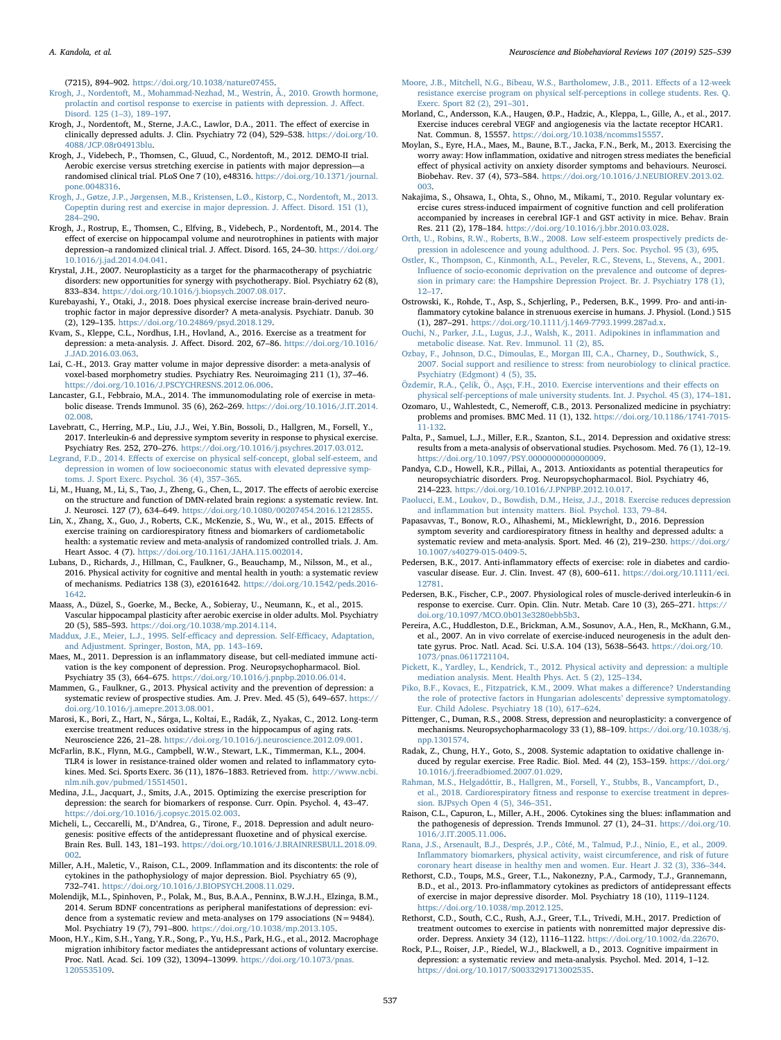(7215), 894–902. <https://doi.org/10.1038/nature07455>.

- <span id="page-12-37"></span>[Krogh, J., Nordentoft, M., Mohammad-Nezhad, M., Westrin, Å., 2010. Growth hormone,](http://refhub.elsevier.com/S0149-7634(19)30564-0/sbref0745) [prolactin and cortisol response to exercise in patients with depression. J. A](http://refhub.elsevier.com/S0149-7634(19)30564-0/sbref0745)ffect. [Disord. 125 \(1](http://refhub.elsevier.com/S0149-7634(19)30564-0/sbref0745)–3), 189–197.
- <span id="page-12-51"></span>Krogh, J., Nordentoft, M., Sterne, J.A.C., Lawlor, D.A., 2011. The effect of exercise in clinically depressed adults. J. Clin. Psychiatry 72 (04), 529–538. [https://doi.org/10.](https://doi.org/10.4088/JCP.08r04913blu) [4088/JCP.08r04913blu](https://doi.org/10.4088/JCP.08r04913blu).
- <span id="page-12-16"></span>Krogh, J., Videbech, P., Thomsen, C., Gluud, C., Nordentoft, M., 2012. DEMO-II trial. Aerobic exercise versus stretching exercise in patients with major depression—a randomised clinical trial. PLoS One 7 (10), e48316. [https://doi.org/10.1371/journal.](https://doi.org/10.1371/journal.pone.0048316) [pone.0048316](https://doi.org/10.1371/journal.pone.0048316).
- <span id="page-12-38"></span>[Krogh, J., Gøtze, J.P., Jørgensen, M.B., Kristensen, L.Ø., Kistorp, C., Nordentoft, M., 2013.](http://refhub.elsevier.com/S0149-7634(19)30564-0/sbref0760) [Copeptin during rest and exercise in major depression. J. A](http://refhub.elsevier.com/S0149-7634(19)30564-0/sbref0760)ffect. Disord. 151 (1), 284–[290](http://refhub.elsevier.com/S0149-7634(19)30564-0/sbref0760).
- <span id="page-12-10"></span>Krogh, J., Rostrup, E., Thomsen, C., Elfving, B., Videbech, P., Nordentoft, M., 2014. The effect of exercise on hippocampal volume and neurotrophines in patients with major depression–a randomized clinical trial. J. Affect. Disord. 165, 24–30. [https://doi.org/](https://doi.org/10.1016/j.jad.2014.04.041) [10.1016/j.jad.2014.04.041](https://doi.org/10.1016/j.jad.2014.04.041).
- <span id="page-12-6"></span>Krystal, J.H., 2007. Neuroplasticity as a target for the pharmacotherapy of psychiatric disorders: new opportunities for synergy with psychotherapy. Biol. Psychiatry 62 (8), 833–834. <https://doi.org/10.1016/j.biopsych.2007.08.017>.
- <span id="page-12-15"></span>Kurebayashi, Y., Otaki, J., 2018. Does physical exercise increase brain-derived neurotrophic factor in major depressive disorder? A meta-analysis. Psychiatr. Danub. 30 (2), 129–135. [https://doi.org/10.24869/psyd.2018.129.](https://doi.org/10.24869/psyd.2018.129)
- <span id="page-12-1"></span>Kvam, S., Kleppe, C.L., Nordhus, I.H., Hovland, A., 2016. Exercise as a treatment for depression: a meta-analysis. J. Affect. Disord. 202, 67–86. [https://doi.org/10.1016/](https://doi.org/10.1016/J.JAD.2016.03.063) [J.JAD.2016.03.063.](https://doi.org/10.1016/J.JAD.2016.03.063)
- <span id="page-12-7"></span>Lai, C.-H., 2013. Gray matter volume in major depressive disorder: a meta-analysis of voxel-based morphometry studies. Psychiatry Res. Neuroimaging 211 (1), 37–46. [https://doi.org/10.1016/J.PSCYCHRESNS.2012.06.006.](https://doi.org/10.1016/J.PSCYCHRESNS.2012.06.006)
- <span id="page-12-24"></span>Lancaster, G.I., Febbraio, M.A., 2014. The immunomodulating role of exercise in metabolic disease. Trends Immunol. 35 (6), 262–269. [https://doi.org/10.1016/J.IT.2014.](https://doi.org/10.1016/J.IT.2014.02.008) [02.008](https://doi.org/10.1016/J.IT.2014.02.008).
- <span id="page-12-28"></span>Lavebratt, C., Herring, M.P., Liu, J.J., Wei, Y.Bin, Bossoli, D., Hallgren, M., Forsell, Y., 2017. Interleukin-6 and depressive symptom severity in response to physical exercise. Psychiatry Res. 252, 270–276. [https://doi.org/10.1016/j.psychres.2017.03.012.](https://doi.org/10.1016/j.psychres.2017.03.012)
- <span id="page-12-41"></span>Legrand, F.D., 2014. Eff[ects of exercise on physical self-concept, global self-esteem, and](http://refhub.elsevier.com/S0149-7634(19)30564-0/sbref0800) [depression in women of low socioeconomic status with elevated depressive symp](http://refhub.elsevier.com/S0149-7634(19)30564-0/sbref0800)[toms. J. Sport Exerc. Psychol. 36 \(4\), 357](http://refhub.elsevier.com/S0149-7634(19)30564-0/sbref0800)–365.
- <span id="page-12-9"></span>Li, M., Huang, M., Li, S., Tao, J., Zheng, G., Chen, L., 2017. The effects of aerobic exercise on the structure and function of DMN-related brain regions: a systematic review. Int. J. Neurosci. 127 (7), 634–649. [https://doi.org/10.1080/00207454.2016.1212855.](https://doi.org/10.1080/00207454.2016.1212855)
- <span id="page-12-19"></span>Lin, X., Zhang, X., Guo, J., Roberts, C.K., McKenzie, S., Wu, W., et al., 2015. Effects of exercise training on cardiorespiratory fitness and biomarkers of cardiometabolic health: a systematic review and meta‐analysis of randomized controlled trials. J. Am. Heart Assoc. 4 (7). <https://doi.org/10.1161/JAHA.115.002014>.
- <span id="page-12-3"></span>Lubans, D., Richards, J., Hillman, C., Faulkner, G., Beauchamp, M., Nilsson, M., et al., 2016. Physical activity for cognitive and mental health in youth: a systematic review of mechanisms. Pediatrics 138 (3), e20161642. [https://doi.org/10.1542/peds.2016-](https://doi.org/10.1542/peds.2016-1642) [1642.](https://doi.org/10.1542/peds.2016-1642)
- <span id="page-12-11"></span>Maass, A., Düzel, S., Goerke, M., Becke, A., Sobieray, U., Neumann, K., et al., 2015. Vascular hippocampal plasticity after aerobic exercise in older adults. Mol. Psychiatry 20 (5), 585–593. <https://doi.org/10.1038/mp.2014.114>.
- <span id="page-12-44"></span>[Maddux, J.E., Meier, L.J., 1995. Self-e](http://refhub.elsevier.com/S0149-7634(19)30564-0/sbref0825)fficacy and depression. Self-Efficacy, Adaptation, [and Adjustment. Springer, Boston, MA, pp. 143](http://refhub.elsevier.com/S0149-7634(19)30564-0/sbref0825)–169.
- <span id="page-12-31"></span>Maes, M., 2011. Depression is an inflammatory disease, but cell-mediated immune activation is the key component of depression. Prog. Neuropsychopharmacol. Biol. Psychiatry 35 (3), 664–675. <https://doi.org/10.1016/j.pnpbp.2010.06.014>.
- <span id="page-12-0"></span>Mammen, G., Faulkner, G., 2013. Physical activity and the prevention of depression: a systematic review of prospective studies. Am. J. Prev. Med. 45 (5), 649–657. [https://](https://doi.org/10.1016/j.amepre.2013.08.001) [doi.org/10.1016/j.amepre.2013.08.001.](https://doi.org/10.1016/j.amepre.2013.08.001)
- <span id="page-12-36"></span>Marosi, K., Bori, Z., Hart, N., Sárga, L., Koltai, E., Radák, Z., Nyakas, C., 2012. Long-term exercise treatment reduces oxidative stress in the hippocampus of aging rats. Neuroscience 226, 21–28. <https://doi.org/10.1016/j.neuroscience.2012.09.001>.
- <span id="page-12-26"></span>McFarlin, B.K., Flynn, M.G., Campbell, W.W., Stewart, L.K., Timmerman, K.L., 2004. TLR4 is lower in resistance-trained older women and related to inflammatory cytokines. Med. Sci. Sports Exerc. 36 (11), 1876–1883. Retrieved from. [http://www.ncbi.](http://www.ncbi.nlm.nih.gov/pubmed/15514501) [nlm.nih.gov/pubmed/15514501](http://www.ncbi.nlm.nih.gov/pubmed/15514501).
- <span id="page-12-47"></span>Medina, J.L., Jacquart, J., Smits, J.A., 2015. Optimizing the exercise prescription for depression: the search for biomarkers of response. Curr. Opin. Psychol. 4, 43–47. [https://doi.org/10.1016/j.copsyc.2015.02.003.](https://doi.org/10.1016/j.copsyc.2015.02.003)
- <span id="page-12-53"></span>Micheli, L., Ceccarelli, M., D'Andrea, G., Tirone, F., 2018. Depression and adult neurogenesis: positive effects of the antidepressant fluoxetine and of physical exercise. Brain Res. Bull. 143, 181–193. [https://doi.org/10.1016/J.BRAINRESBULL.2018.09.](https://doi.org/10.1016/J.BRAINRESBULL.2018.09.002) [002](https://doi.org/10.1016/J.BRAINRESBULL.2018.09.002).
- <span id="page-12-17"></span>Miller, A.H., Maletic, V., Raison, C.L., 2009. Inflammation and its discontents: the role of cytokines in the pathophysiology of major depression. Biol. Psychiatry 65 (9), 732–741. [https://doi.org/10.1016/J.BIOPSYCH.2008.11.029.](https://doi.org/10.1016/J.BIOPSYCH.2008.11.029)
- <span id="page-12-8"></span>Molendijk, M.L., Spinhoven, P., Polak, M., Bus, B.A.A., Penninx, B.W.J.H., Elzinga, B.M., 2014. Serum BDNF concentrations as peripheral manifestations of depression: evidence from a systematic review and meta-analyses on 179 associations (N=9484). Mol. Psychiatry 19 (7), 791–800. [https://doi.org/10.1038/mp.2013.105.](https://doi.org/10.1038/mp.2013.105)
- <span id="page-12-30"></span>Moon, H.Y., Kim, S.H., Yang, Y.R., Song, P., Yu, H.S., Park, H.G., et al., 2012. Macrophage migration inhibitory factor mediates the antidepressant actions of voluntary exercise. Proc. Natl. Acad. Sci. 109 (32), 13094–13099. [https://doi.org/10.1073/pnas.](https://doi.org/10.1073/pnas.1205535109) [1205535109](https://doi.org/10.1073/pnas.1205535109).
- <span id="page-12-4"></span>[Moore, J.B., Mitchell, N.G., Bibeau, W.S., Bartholomew, J.B., 2011. E](http://refhub.elsevier.com/S0149-7634(19)30564-0/sbref0875)ffects of a 12-week [resistance exercise program on physical self-perceptions in college students. Res. Q.](http://refhub.elsevier.com/S0149-7634(19)30564-0/sbref0875) [Exerc. Sport 82 \(2\), 291](http://refhub.elsevier.com/S0149-7634(19)30564-0/sbref0875)–301.
- <span id="page-12-13"></span>Morland, C., Andersson, K.A., Haugen, Ø.P., Hadzic, A., Kleppa, L., Gille, A., et al., 2017. Exercise induces cerebral VEGF and angiogenesis via the lactate receptor HCAR1. Nat. Commun. 8, 15557. <https://doi.org/10.1038/ncomms15557>.
- <span id="page-12-33"></span>Moylan, S., Eyre, H.A., Maes, M., Baune, B.T., Jacka, F.N., Berk, M., 2013. Exercising the worry away: How inflammation, oxidative and nitrogen stress mediates the beneficial effect of physical activity on anxiety disorder symptoms and behaviours. Neurosci. Biobehav. Rev. 37 (4), 573–584. [https://doi.org/10.1016/J.NEUBIOREV.2013.02.](https://doi.org/10.1016/J.NEUBIOREV.2013.02.003) [003](https://doi.org/10.1016/J.NEUBIOREV.2013.02.003).
- <span id="page-12-14"></span>Nakajima, S., Ohsawa, I., Ohta, S., Ohno, M., Mikami, T., 2010. Regular voluntary exercise cures stress-induced impairment of cognitive function and cell proliferation accompanied by increases in cerebral IGF-1 and GST activity in mice. Behav. Brain Res. 211 (2), 178–184. [https://doi.org/10.1016/j.bbr.2010.03.028.](https://doi.org/10.1016/j.bbr.2010.03.028)
- <span id="page-12-39"></span>[Orth, U., Robins, R.W., Roberts, B.W., 2008. Low self-esteem prospectively predicts de](http://refhub.elsevier.com/S0149-7634(19)30564-0/sbref0895)[pression in adolescence and young adulthood. J. Pers. Soc. Psychol. 95 \(3\), 695](http://refhub.elsevier.com/S0149-7634(19)30564-0/sbref0895).
- <span id="page-12-52"></span>[Ostler, K., Thompson, C., Kinmonth, A.L., Peveler, R.C., Stevens, L., Stevens, A., 2001.](http://refhub.elsevier.com/S0149-7634(19)30564-0/sbref0900) Infl[uence of socio-economic deprivation on the prevalence and outcome of depres](http://refhub.elsevier.com/S0149-7634(19)30564-0/sbref0900)[sion in primary care: the Hampshire Depression Project. Br. J. Psychiatry 178 \(1\),](http://refhub.elsevier.com/S0149-7634(19)30564-0/sbref0900) 12–[17](http://refhub.elsevier.com/S0149-7634(19)30564-0/sbref0900).
- <span id="page-12-22"></span>Ostrowski, K., Rohde, T., Asp, S., Schjerling, P., Pedersen, B.K., 1999. Pro- and anti-inflammatory cytokine balance in strenuous exercise in humans. J. Physiol. (Lond.) 515 (1), 287–291. <https://doi.org/10.1111/j.1469-7793.1999.287ad.x>.
- <span id="page-12-25"></span>[Ouchi, N., Parker, J.L., Lugus, J.J., Walsh, K., 2011. Adipokines in in](http://refhub.elsevier.com/S0149-7634(19)30564-0/sbref0910)flammation and [metabolic disease. Nat. Rev. Immunol. 11 \(2\), 85](http://refhub.elsevier.com/S0149-7634(19)30564-0/sbref0910).
- <span id="page-12-43"></span>[Ozbay, F., Johnson, D.C., Dimoulas, E., Morgan III, C.A., Charney, D., Southwick, S.,](http://refhub.elsevier.com/S0149-7634(19)30564-0/sbref0915) [2007. Social support and resilience to stress: from neurobiology to clinical practice.](http://refhub.elsevier.com/S0149-7634(19)30564-0/sbref0915) [Psychiatry \(Edgmont\) 4 \(5\), 35.](http://refhub.elsevier.com/S0149-7634(19)30564-0/sbref0915)
- <span id="page-12-40"></span>Özdemir, R.A., Çelik, Ö., Aşçı[, F.H., 2010. Exercise interventions and their e](http://refhub.elsevier.com/S0149-7634(19)30564-0/sbref0920)ffects on [physical self-perceptions of male university students. Int. J. Psychol. 45 \(3\), 174](http://refhub.elsevier.com/S0149-7634(19)30564-0/sbref0920)–181.
- <span id="page-12-46"></span>Ozomaro, U., Wahlestedt, C., Nemeroff, C.B., 2013. Personalized medicine in psychiatry: problems and promises. BMC Med. 11 (1), 132. [https://doi.org/10.1186/1741-7015-](https://doi.org/10.1186/1741-7015-11-132) [11-132.](https://doi.org/10.1186/1741-7015-11-132)
- <span id="page-12-32"></span>Palta, P., Samuel, L.J., Miller, E.R., Szanton, S.L., 2014. Depression and oxidative stress: results from a meta-analysis of observational studies. Psychosom. Med. 76 (1), 12–19. [https://doi.org/10.1097/PSY.0000000000000009.](https://doi.org/10.1097/PSY.0000000000000009)
- <span id="page-12-34"></span>Pandya, C.D., Howell, K.R., Pillai, A., 2013. Antioxidants as potential therapeutics for neuropsychiatric disorders. Prog. Neuropsychopharmacol. Biol. Psychiatry 46, 214–223. <https://doi.org/10.1016/J.PNPBP.2012.10.017>.
- <span id="page-12-29"></span>[Paolucci, E.M., Loukov, D., Bowdish, D.M., Heisz, J.J., 2018. Exercise reduces depression](http://refhub.elsevier.com/S0149-7634(19)30564-0/sbref0940) and infl[ammation but intensity matters. Biol. Psychol. 133, 79](http://refhub.elsevier.com/S0149-7634(19)30564-0/sbref0940)–84.
- <span id="page-12-2"></span>Papasavvas, T., Bonow, R.O., Alhashemi, M., Micklewright, D., 2016. Depression symptom severity and cardiorespiratory fitness in healthy and depressed adults: a systematic review and meta-analysis. Sport. Med. 46 (2), 219–230. [https://doi.org/](https://doi.org/10.1007/s40279-015-0409-5) [10.1007/s40279-015-0409-5](https://doi.org/10.1007/s40279-015-0409-5).
- <span id="page-12-21"></span>Pedersen, B.K., 2017. Anti-inflammatory effects of exercise: role in diabetes and cardiovascular disease. Eur. J. Clin. Invest. 47 (8), 600–611. [https://doi.org/10.1111/eci.](https://doi.org/10.1111/eci.12781) [12781.](https://doi.org/10.1111/eci.12781)
- <span id="page-12-23"></span>Pedersen, B.K., Fischer, C.P., 2007. Physiological roles of muscle-derived interleukin-6 in response to exercise. Curr. Opin. Clin. Nutr. Metab. Care 10 (3), 265–271. [https://](https://doi.org/10.1097/MCO.0b013e3280ebb5b3) [doi.org/10.1097/MCO.0b013e3280ebb5b3.](https://doi.org/10.1097/MCO.0b013e3280ebb5b3)
- <span id="page-12-12"></span>Pereira, A.C., Huddleston, D.E., Brickman, A.M., Sosunov, A.A., Hen, R., McKhann, G.M., et al., 2007. An in vivo correlate of exercise-induced neurogenesis in the adult dentate gyrus. Proc. Natl. Acad. Sci. U.S.A. 104 (13), 5638–5643. [https://doi.org/10.](https://doi.org/10.1073/pnas.0611721104) [1073/pnas.0611721104.](https://doi.org/10.1073/pnas.0611721104)
- <span id="page-12-45"></span>[Pickett, K., Yardley, L., Kendrick, T., 2012. Physical activity and depression: a multiple](http://refhub.elsevier.com/S0149-7634(19)30564-0/sbref0965) [mediation analysis. Ment. Health Phys. Act. 5 \(2\), 125](http://refhub.elsevier.com/S0149-7634(19)30564-0/sbref0965)–134.
- <span id="page-12-42"></span>[Piko, B.F., Kovacs, E., Fitzpatrick, K.M., 2009. What makes a di](http://refhub.elsevier.com/S0149-7634(19)30564-0/sbref0970)fference? Understanding [the role of protective factors in Hungarian adolescents](http://refhub.elsevier.com/S0149-7634(19)30564-0/sbref0970)' depressive symptomatology. [Eur. Child Adolesc. Psychiatry 18 \(10\), 617](http://refhub.elsevier.com/S0149-7634(19)30564-0/sbref0970)–624.
- <span id="page-12-5"></span>Pittenger, C., Duman, R.S., 2008. Stress, depression and neuroplasticity: a convergence of mechanisms. Neuropsychopharmacology 33 (1), 88–109. [https://doi.org/10.1038/sj.](https://doi.org/10.1038/sj.npp.1301574) [npp.1301574](https://doi.org/10.1038/sj.npp.1301574).
- <span id="page-12-35"></span>Radak, Z., Chung, H.Y., Goto, S., 2008. Systemic adaptation to oxidative challenge induced by regular exercise. Free Radic. Biol. Med. 44 (2), 153–159. [https://doi.org/](https://doi.org/10.1016/j.freeradbiomed.2007.01.029) [10.1016/j.freeradbiomed.2007.01.029.](https://doi.org/10.1016/j.freeradbiomed.2007.01.029)
- <span id="page-12-50"></span>[Rahman, M.S., Helgadóttir, B., Hallgren, M., Forsell, Y., Stubbs, B., Vancampfort, D.,](http://refhub.elsevier.com/S0149-7634(19)30564-0/sbref0985) et al., 2018. Cardiorespiratory fi[tness and response to exercise treatment in depres](http://refhub.elsevier.com/S0149-7634(19)30564-0/sbref0985)[sion. BJPsych Open 4 \(5\), 346](http://refhub.elsevier.com/S0149-7634(19)30564-0/sbref0985)–351.
- <span id="page-12-18"></span>Raison, C.L., Capuron, L., Miller, A.H., 2006. Cytokines sing the blues: inflammation and the pathogenesis of depression. Trends Immunol. 27 (1), 24–31. [https://doi.org/10.](https://doi.org/10.1016/J.IT.2005.11.006) [1016/J.IT.2005.11.006](https://doi.org/10.1016/J.IT.2005.11.006).
- <span id="page-12-20"></span>Rana, [J.S., Arsenault, B.J., Després, J.P., Côté, M., Talmud, P.J., Ninio, E., et al., 2009.](http://refhub.elsevier.com/S0149-7634(19)30564-0/sbref0995) Infl[ammatory biomarkers, physical activity, waist circumference, and risk of future](http://refhub.elsevier.com/S0149-7634(19)30564-0/sbref0995) [coronary heart disease in healthy men and women. Eur. Heart J. 32 \(3\), 336](http://refhub.elsevier.com/S0149-7634(19)30564-0/sbref0995)–344.
- <span id="page-12-27"></span>Rethorst, C.D., Toups, M.S., Greer, T.L., Nakonezny, P.A., Carmody, T.J., Grannemann, B.D., et al., 2013. Pro-inflammatory cytokines as predictors of antidepressant effects of exercise in major depressive disorder. Mol. Psychiatry 18 (10), 1119–1124. <https://doi.org/10.1038/mp.2012.125>.
- <span id="page-12-48"></span>Rethorst, C.D., South, C.C., Rush, A.J., Greer, T.L., Trivedi, M.H., 2017. Prediction of treatment outcomes to exercise in patients with nonremitted major depressive disorder. Depress. Anxiety 34 (12), 1116–1122. [https://doi.org/10.1002/da.22670.](https://doi.org/10.1002/da.22670)
- <span id="page-12-49"></span>Rock, P.L., Roiser, J.P., Riedel, W.J., Blackwell, a D., 2013. Cognitive impairment in depression: a systematic review and meta-analysis. Psychol. Med. 2014, 1–12. <https://doi.org/10.1017/S0033291713002535>.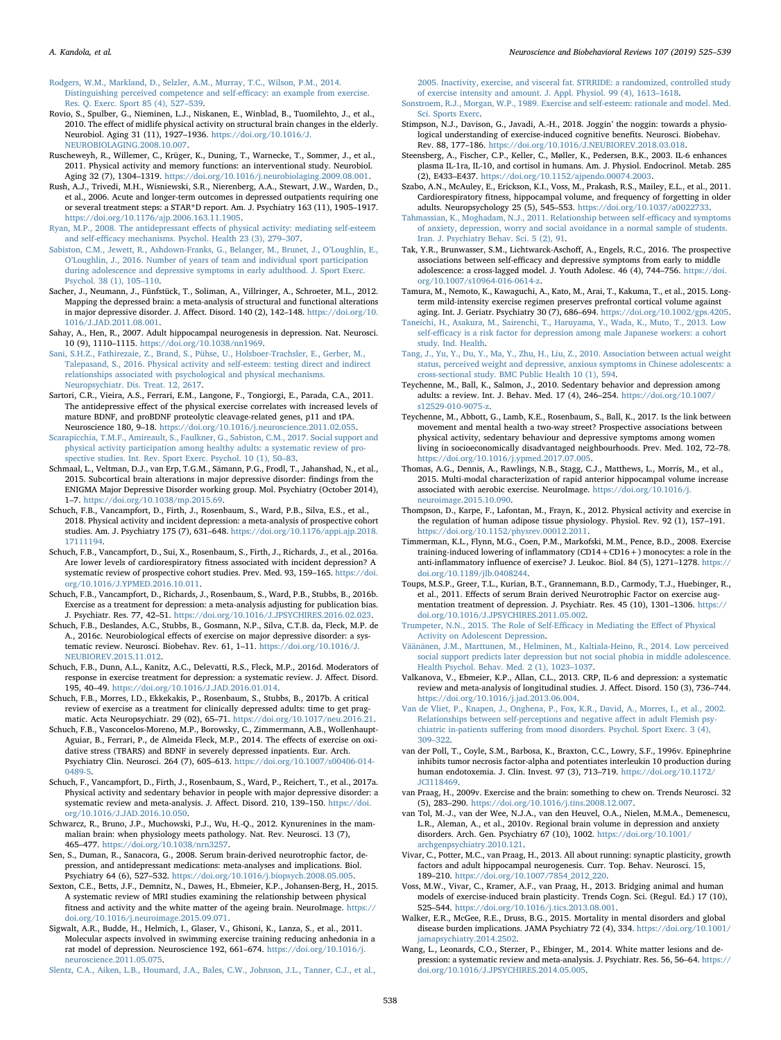<span id="page-13-42"></span>[Rodgers, W.M., Markland, D., Selzler, A.M., Murray, T.C., Wilson, P.M., 2014.](http://refhub.elsevier.com/S0149-7634(19)30564-0/sbref1015) [Distinguishing perceived competence and self-e](http://refhub.elsevier.com/S0149-7634(19)30564-0/sbref1015)fficacy: an example from exercise. [Res. Q. Exerc. Sport 85 \(4\), 527](http://refhub.elsevier.com/S0149-7634(19)30564-0/sbref1015)–539.

- <span id="page-13-15"></span>Rovio, S., Spulber, G., Nieminen, L.J., Niskanen, E., Winblad, B., Tuomilehto, J., et al., 2010. The effect of midlife physical activity on structural brain changes in the elderly. Neurobiol. Aging 31 (11), 1927–1936. [https://doi.org/10.1016/J.](https://doi.org/10.1016/J.NEUROBIOLAGING.2008.10.007) [NEUROBIOLAGING.2008.10.007.](https://doi.org/10.1016/J.NEUROBIOLAGING.2008.10.007)
- <span id="page-13-13"></span>Ruscheweyh, R., Willemer, C., Krüger, K., Duning, T., Warnecke, T., Sommer, J., et al., 2011. Physical activity and memory functions: an interventional study. Neurobiol. Aging 32 (7), 1304–1319. <https://doi.org/10.1016/j.neurobiolaging.2009.08.001>.
- <span id="page-13-1"></span>Rush, A.J., Trivedi, M.H., Wisniewski, S.R., Nierenberg, A.A., Stewart, J.W., Warden, D., et al., 2006. Acute and longer-term outcomes in depressed outpatients requiring one or several treatment steps: a STAR\*D report. Am. J. Psychiatry 163 (11), 1905–1917. [https://doi.org/10.1176/ajp.2006.163.11.1905.](https://doi.org/10.1176/ajp.2006.163.11.1905)
- <span id="page-13-35"></span>Ryan, M.P., 2008. The antidepressant eff[ects of physical activity: mediating self-esteem](http://refhub.elsevier.com/S0149-7634(19)30564-0/sbref1035) and self-effi[cacy mechanisms. Psychol. Health 23 \(3\), 279](http://refhub.elsevier.com/S0149-7634(19)30564-0/sbref1035)–307.
- <span id="page-13-38"></span>[Sabiston, C.M., Jewett, R., Ashdown-Franks, G., Belanger, M., Brunet, J., O](http://refhub.elsevier.com/S0149-7634(19)30564-0/sbref1040)'Loughlin, E., O'[Loughlin, J., 2016. Number of years of team and individual sport participation](http://refhub.elsevier.com/S0149-7634(19)30564-0/sbref1040) [during adolescence and depressive symptoms in early adulthood. J. Sport Exerc.](http://refhub.elsevier.com/S0149-7634(19)30564-0/sbref1040) [Psychol. 38 \(1\), 105](http://refhub.elsevier.com/S0149-7634(19)30564-0/sbref1040)–110.
- <span id="page-13-7"></span>Sacher, J., Neumann, J., Fünfstück, T., Soliman, A., Villringer, A., Schroeter, M.L., 2012. Mapping the depressed brain: a meta-analysis of structural and functional alterations in major depressive disorder. J. Affect. Disord. 140 (2), 142–148. [https://doi.org/10.](https://doi.org/10.1016/J.JAD.2011.08.001) [1016/J.JAD.2011.08.001](https://doi.org/10.1016/J.JAD.2011.08.001).
- <span id="page-13-12"></span>Sahay, A., Hen, R., 2007. Adult hippocampal neurogenesis in depression. Nat. Neurosci. 10 (9), 1110–1115. <https://doi.org/10.1038/nn1969>.
- <span id="page-13-32"></span>[Sani, S.H.Z., Fathirezaie, Z., Brand, S., Pühse, U., Holsboer-Trachsler, E., Gerber, M.,](http://refhub.elsevier.com/S0149-7634(19)30564-0/sbref1055) [Talepasand, S., 2016. Physical activity and self-esteem: testing direct and indirect](http://refhub.elsevier.com/S0149-7634(19)30564-0/sbref1055) [relationships associated with psychological and physical mechanisms.](http://refhub.elsevier.com/S0149-7634(19)30564-0/sbref1055) [Neuropsychiatr. Dis. Treat. 12, 2617.](http://refhub.elsevier.com/S0149-7634(19)30564-0/sbref1055)
- <span id="page-13-20"></span>Sartori, C.R., Vieira, A.S., Ferrari, E.M., Langone, F., Tongiorgi, E., Parada, C.A., 2011. The antidepressive effect of the physical exercise correlates with increased levels of mature BDNF, and proBDNF proteolytic cleavage-related genes, p11 and tPA. Neuroscience 180, 9–18. [https://doi.org/10.1016/j.neuroscience.2011.02.055.](https://doi.org/10.1016/j.neuroscience.2011.02.055)
- <span id="page-13-37"></span>[Scarapicchia, T.M.F., Amireault, S., Faulkner, G., Sabiston, C.M., 2017. Social support and](http://refhub.elsevier.com/S0149-7634(19)30564-0/sbref1065) [physical activity participation among healthy adults: a systematic review of pro](http://refhub.elsevier.com/S0149-7634(19)30564-0/sbref1065)[spective studies. Int. Rev. Sport Exerc. Psychol. 10 \(1\), 50](http://refhub.elsevier.com/S0149-7634(19)30564-0/sbref1065)–83.
- <span id="page-13-8"></span>Schmaal, L., Veltman, D.J., van Erp, T.G.M., Sämann, P.G., Frodl, T., Jahanshad, N., et al., 2015. Subcortical brain alterations in major depressive disorder: findings from the ENIGMA Major Depressive Disorder working group. Mol. Psychiatry (October 2014), 1–7. [https://doi.org/10.1038/mp.2015.69.](https://doi.org/10.1038/mp.2015.69)
- <span id="page-13-2"></span>Schuch, F.B., Vancampfort, D., Firth, J., Rosenbaum, S., Ward, P.B., Silva, E.S., et al., 2018. Physical activity and incident depression: a meta-analysis of prospective cohort studies. Am. J. Psychiatry 175 (7), 631–648. [https://doi.org/10.1176/appi.ajp.2018.](https://doi.org/10.1176/appi.ajp.2018.17111194) [17111194](https://doi.org/10.1176/appi.ajp.2018.17111194).
- <span id="page-13-4"></span>Schuch, F.B., Vancampfort, D., Sui, X., Rosenbaum, S., Firth, J., Richards, J., et al., 2016a. Are lower levels of cardiorespiratory fitness associated with incident depression? A systematic review of prospective cohort studies. Prev. Med. 93, 159–165. [https://doi.](https://doi.org/10.1016/J.YPMED.2016.10.011) [org/10.1016/J.YPMED.2016.10.011](https://doi.org/10.1016/J.YPMED.2016.10.011).
- <span id="page-13-5"></span>Schuch, F.B., Vancampfort, D., Richards, J., Rosenbaum, S., Ward, P.B., Stubbs, B., 2016b. Exercise as a treatment for depression: a meta-analysis adjusting for publication bias. J. Psychiatr. Res. 77, 42–51. <https://doi.org/10.1016/J.JPSYCHIRES.2016.02.023>.
- <span id="page-13-45"></span>Schuch, F.B., Deslandes, A.C., Stubbs, B., Gosmann, N.P., Silva, C.T.B. da, Fleck, M.P. de A., 2016c. Neurobiological effects of exercise on major depressive disorder: a systematic review. Neurosci. Biobehav. Rev. 61, 1–11. [https://doi.org/10.1016/J.](https://doi.org/10.1016/J.NEUBIOREV.2015.11.012) [NEUBIOREV.2015.11.012.](https://doi.org/10.1016/J.NEUBIOREV.2015.11.012)
- <span id="page-13-44"></span>Schuch, F.B., Dunn, A.L., Kanitz, A.C., Delevatti, R.S., Fleck, M.P., 2016d. Moderators of response in exercise treatment for depression: a systematic review. J. Affect. Disord. 195, 40–49. [https://doi.org/10.1016/J.JAD.2016.01.014.](https://doi.org/10.1016/J.JAD.2016.01.014)
- <span id="page-13-48"></span>Schuch, F.B., Morres, I.D., Ekkekakis, P., Rosenbaum, S., Stubbs, B., 2017b. A critical review of exercise as a treatment for clinically depressed adults: time to get pragmatic. Acta Neuropsychiatr. 29 (02), 65–71. <https://doi.org/10.1017/neu.2016.21>.
- <span id="page-13-29"></span>Schuch, F.B., Vasconcelos-Moreno, M.P., Borowsky, C., Zimmermann, A.B., Wollenhaupt-Aguiar, B., Ferrari, P., de Almeida Fleck, M.P., 2014. The effects of exercise on oxidative stress (TBARS) and BDNF in severely depressed inpatients. Eur. Arch. Psychiatry Clin. Neurosci. 264 (7), 605–613. [https://doi.org/10.1007/s00406-014-](https://doi.org/10.1007/s00406-014-0489-5) [0489-5.](https://doi.org/10.1007/s00406-014-0489-5)
- <span id="page-13-47"></span>Schuch, F., Vancampfort, D., Firth, J., Rosenbaum, S., Ward, P., Reichert, T., et al., 2017a. Physical activity and sedentary behavior in people with major depressive disorder: a systematic review and meta-analysis. J. Affect. Disord. 210, 139–150. [https://doi.](https://doi.org/10.1016/J.JAD.2016.10.050) [org/10.1016/J.JAD.2016.10.050.](https://doi.org/10.1016/J.JAD.2016.10.050)
- <span id="page-13-23"></span>Schwarcz, R., Bruno, J.P., Muchowski, P.J., Wu, H.-Q., 2012. Kynurenines in the mammalian brain: when physiology meets pathology. Nat. Rev. Neurosci. 13 (7), 465–477. <https://doi.org/10.1038/nrn3257>.
- <span id="page-13-11"></span>Sen, S., Duman, R., Sanacora, G., 2008. Serum brain-derived neurotrophic factor, depression, and antidepressant medications: meta-analyses and implications. Biol. Psychiatry 64 (6), 527–532. [https://doi.org/10.1016/j.biopsych.2008.05.005.](https://doi.org/10.1016/j.biopsych.2008.05.005)
- <span id="page-13-17"></span>Sexton, C.E., Betts, J.F., Demnitz, N., Dawes, H., Ebmeier, K.P., Johansen-Berg, H., 2015. A systematic review of MRI studies examining the relationship between physical fitness and activity and the white matter of the ageing brain. NeuroImage. [https://](https://doi.org/10.1016/j.neuroimage.2015.09.071) [doi.org/10.1016/j.neuroimage.2015.09.071.](https://doi.org/10.1016/j.neuroimage.2015.09.071)
- <span id="page-13-28"></span>Sigwalt, A.R., Budde, H., Helmich, I., Glaser, V., Ghisoni, K., Lanza, S., et al., 2011. Molecular aspects involved in swimming exercise training reducing anhedonia in a rat model of depression. Neuroscience 192, 661–674. [https://doi.org/10.1016/j.](https://doi.org/10.1016/j.neuroscience.2011.05.075) [neuroscience.2011.05.075.](https://doi.org/10.1016/j.neuroscience.2011.05.075)

<span id="page-13-33"></span>[Slentz, C.A., Aiken, L.B., Houmard, J.A., Bales, C.W., Johnson, J.L., Tanner, C.J., et al.,](http://refhub.elsevier.com/S0149-7634(19)30564-0/sbref1135)

[2005. Inactivity, exercise, and visceral fat. STRRIDE: a randomized, controlled study](http://refhub.elsevier.com/S0149-7634(19)30564-0/sbref1135) [of exercise intensity and amount. J. Appl. Physiol. 99 \(4\), 1613](http://refhub.elsevier.com/S0149-7634(19)30564-0/sbref1135)–1618. [Sonstroem, R.J., Morgan, W.P., 1989. Exercise and self-esteem: rationale and model. Med.](http://refhub.elsevier.com/S0149-7634(19)30564-0/sbref1140)

- <span id="page-13-34"></span><span id="page-13-18"></span>Sci. [Sports Exerc.](http://refhub.elsevier.com/S0149-7634(19)30564-0/sbref1140) Stimpson, N.J., Davison, G., Javadi, A.-H., 2018. Joggin' the noggin: towards a physio-
- logical understanding of exercise-induced cognitive benefits. Neurosci. Biobehav. Rev. 88, 177–186. [https://doi.org/10.1016/J.NEUBIOREV.2018.03.018.](https://doi.org/10.1016/J.NEUBIOREV.2018.03.018)
- <span id="page-13-24"></span>Steensberg, A., Fischer, C.P., Keller, C., Møller, K., Pedersen, B.K., 2003. IL-6 enhances plasma IL-1ra, IL-10, and cortisol in humans. Am. J. Physiol. Endocrinol. Metab. 285 (2), E433–E437. <https://doi.org/10.1152/ajpendo.00074.2003>.
- <span id="page-13-14"></span>Szabo, A.N., McAuley, E., Erickson, K.I., Voss, M., Prakash, R.S., Mailey, E.L., et al., 2011. Cardiorespiratory fitness, hippocampal volume, and frequency of forgetting in older adults. Neuropsychology 25 (5), 545–553. <https://doi.org/10.1037/a0022733>.
- <span id="page-13-40"></span>[Tahmassian, K., Moghadam, N.J., 2011. Relationship between self-e](http://refhub.elsevier.com/S0149-7634(19)30564-0/sbref1160)fficacy and symptoms [of anxiety, depression, worry and social avoidance in a normal sample of students.](http://refhub.elsevier.com/S0149-7634(19)30564-0/sbref1160) [Iran. J. Psychiatry Behav. Sci. 5 \(2\), 91.](http://refhub.elsevier.com/S0149-7634(19)30564-0/sbref1160)
- <span id="page-13-41"></span>Tak, Y.R., Brunwasser, S.M., Lichtwarck-Aschoff, A., Engels, R.C., 2016. The prospective associations between self-efficacy and depressive symptoms from early to middle adolescence: a cross-lagged model. J. Youth Adolesc. 46 (4), 744–756. [https://doi.](https://doi.org/10.1007/s10964-016-0614-z) [org/10.1007/s10964-016-0614-z](https://doi.org/10.1007/s10964-016-0614-z).

<span id="page-13-16"></span>Tamura, M., Nemoto, K., Kawaguchi, A., Kato, M., Arai, T., Kakuma, T., et al., 2015. Longterm mild-intensity exercise regimen preserves prefrontal cortical volume against aging. Int. J. Geriatr. Psychiatry 30 (7), 686–694. [https://doi.org/10.1002/gps.4205.](https://doi.org/10.1002/gps.4205)

- <span id="page-13-39"></span>[Taneichi, H., Asakura, M., Sairenchi, T., Haruyama, Y., Wada, K., Muto, T., 2013. Low](http://refhub.elsevier.com/S0149-7634(19)30564-0/sbref1175) self-effi[cacy is a risk factor for depression among male Japanese workers: a cohort](http://refhub.elsevier.com/S0149-7634(19)30564-0/sbref1175) [study. Ind. Health.](http://refhub.elsevier.com/S0149-7634(19)30564-0/sbref1175)
- <span id="page-13-31"></span>[Tang, J., Yu, Y., Du, Y., Ma, Y., Zhu, H., Liu, Z., 2010. Association between actual weight](http://refhub.elsevier.com/S0149-7634(19)30564-0/sbref1180) [status, perceived weight and depressive, anxious symptoms in Chinese adolescents: a](http://refhub.elsevier.com/S0149-7634(19)30564-0/sbref1180) [cross-sectional study. BMC Public Health 10 \(1\), 594.](http://refhub.elsevier.com/S0149-7634(19)30564-0/sbref1180)
- <span id="page-13-3"></span>Teychenne, M., Ball, K., Salmon, J., 2010. Sedentary behavior and depression among adults: a review. Int. J. Behav. Med. 17 (4), 246–254. [https://doi.org/10.1007/](https://doi.org/10.1007/s12529-010-9075-z) [s12529-010-9075-z](https://doi.org/10.1007/s12529-010-9075-z).
- <span id="page-13-49"></span>Teychenne, M., Abbott, G., Lamb, K.E., Rosenbaum, S., Ball, K., 2017. Is the link between movement and mental health a two-way street? Prospective associations between physical activity, sedentary behaviour and depressive symptoms among women living in socioeconomically disadvantaged neighbourhoods. Prev. Med. 102, 72–78. [https://doi.org/10.1016/j.ypmed.2017.07.005.](https://doi.org/10.1016/j.ypmed.2017.07.005)
- <span id="page-13-50"></span>Thomas, A.G., Dennis, A., Rawlings, N.B., Stagg, C.J., Matthews, L., Morris, M., et al., 2015. Multi-modal characterization of rapid anterior hippocampal volume increase associated with aerobic exercise. NeuroImage. [https://doi.org/10.1016/j.](https://doi.org/10.1016/j.neuroimage.2015.10.090) [neuroimage.2015.10.090.](https://doi.org/10.1016/j.neuroimage.2015.10.090)
- <span id="page-13-26"></span>Thompson, D., Karpe, F., Lafontan, M., Frayn, K., 2012. Physical activity and exercise in the regulation of human adipose tissue physiology. Physiol. Rev. 92 (1), 157–191. <https://doi.org/10.1152/physrev.00012.2011>.
- <span id="page-13-27"></span>Timmerman, K.L., Flynn, M.G., Coen, P.M., Markofski, M.M., Pence, B.D., 2008. Exercise training-induced lowering of inflammatory (CD14+CD16+) monocytes: a role in the anti-inflammatory influence of exercise? J. Leukoc. Biol. 84 (5), 1271–1278. [https://](https://doi.org/10.1189/jlb.0408244) [doi.org/10.1189/jlb.0408244](https://doi.org/10.1189/jlb.0408244).
- <span id="page-13-46"></span>Toups, M.S.P., Greer, T.L., Kurian, B.T., Grannemann, B.D., Carmody, T.J., Huebinger, R., et al., 2011. Effects of serum Brain derived Neurotrophic Factor on exercise augmentation treatment of depression. J. Psychiatr. Res. 45 (10), 1301–1306. [https://](https://doi.org/10.1016/J.JPSYCHIRES.2011.05.002) [doi.org/10.1016/J.JPSYCHIRES.2011.05.002.](https://doi.org/10.1016/J.JPSYCHIRES.2011.05.002)
- <span id="page-13-43"></span>[Trumpeter, N.N., 2015. The Role of Self-E](http://refhub.elsevier.com/S0149-7634(19)30564-0/sbref1215)fficacy in Mediating the Effect of Physical [Activity on Adolescent Depression.](http://refhub.elsevier.com/S0149-7634(19)30564-0/sbref1215)
- <span id="page-13-36"></span>[Väänänen, J.M., Marttunen, M., Helminen, M., Kaltiala-Heino, R., 2014. Low perceived](http://refhub.elsevier.com/S0149-7634(19)30564-0/sbref1220) [social support predicts later depression but not social phobia in middle adolescence.](http://refhub.elsevier.com/S0149-7634(19)30564-0/sbref1220) [Health Psychol. Behav. Med. 2 \(1\), 1023](http://refhub.elsevier.com/S0149-7634(19)30564-0/sbref1220)–1037.
- <span id="page-13-22"></span>Valkanova, V., Ebmeier, K.P., Allan, C.L., 2013. CRP, IL-6 and depression: a systematic review and meta-analysis of longitudinal studies. J. Affect. Disord. 150 (3), 736–744. <https://doi.org/10.1016/j.jad.2013.06.004>.
- <span id="page-13-30"></span>[Van de Vliet, P., Knapen, J., Onghena, P., Fox, K.R., David, A., Morres, I., et al., 2002.](http://refhub.elsevier.com/S0149-7634(19)30564-0/sbref1230) [Relationships between self-perceptions and negative a](http://refhub.elsevier.com/S0149-7634(19)30564-0/sbref1230)ffect in adult Flemish psychiatric in-patients suff[ering from mood disorders. Psychol. Sport Exerc. 3 \(4\),](http://refhub.elsevier.com/S0149-7634(19)30564-0/sbref1230) 309–[322](http://refhub.elsevier.com/S0149-7634(19)30564-0/sbref1230).
- <span id="page-13-25"></span>van der Poll, T., Coyle, S.M., Barbosa, K., Braxton, C.C., Lowry, S.F., 1996v. Epinephrine inhibits tumor necrosis factor-alpha and potentiates interleukin 10 production during human endotoxemia. J. Clin. Invest. 97 (3), 713–719. [https://doi.org/10.1172/](https://doi.org/10.1172/JCI118469) [JCI118469](https://doi.org/10.1172/JCI118469).
- <span id="page-13-21"></span>van Praag, H., 2009v. Exercise and the brain: something to chew on. Trends Neurosci. 32 (5), 283–290. [https://doi.org/10.1016/j.tins.2008.12.007.](https://doi.org/10.1016/j.tins.2008.12.007)
- <span id="page-13-10"></span>van Tol, M.-J., van der Wee, N.J.A., van den Heuvel, O.A., Nielen, M.M.A., Demenescu, L.R., Aleman, A., et al., 2010v. Regional brain volume in depression and anxiety disorders. Arch. Gen. Psychiatry 67 (10), 1002. [https://doi.org/10.1001/](https://doi.org/10.1001/archgenpsychiatry.2010.121) [archgenpsychiatry.2010.121](https://doi.org/10.1001/archgenpsychiatry.2010.121).
- <span id="page-13-19"></span>Vivar, C., Potter, M.C., van Praag, H., 2013. All about running: synaptic plasticity, growth factors and adult hippocampal neurogenesis. Curr. Top. Behav. Neurosci. 15, 189–210. [https://doi.org/10.1007/7854\\_2012\\_220.](https://doi.org/10.1007/7854_2012_220)
- <span id="page-13-6"></span>Voss, M.W., Vivar, C., Kramer, A.F., van Praag, H., 2013. Bridging animal and human models of exercise-induced brain plasticity. Trends Cogn. Sci. (Regul. Ed.) 17 (10), 525–544. [https://doi.org/10.1016/j.tics.2013.08.001.](https://doi.org/10.1016/j.tics.2013.08.001)
- <span id="page-13-0"></span>Walker, E.R., McGee, R.E., Druss, B.G., 2015. Mortality in mental disorders and global disease burden implications. JAMA Psychiatry 72 (4), 334. [https://doi.org/10.1001/](https://doi.org/10.1001/jamapsychiatry.2014.2502) [jamapsychiatry.2014.2502.](https://doi.org/10.1001/jamapsychiatry.2014.2502)
- <span id="page-13-9"></span>Wang, L., Leonards, C.O., Sterzer, P., Ebinger, M., 2014. White matter lesions and depression: a systematic review and meta-analysis. J. Psychiatr. Res. 56, 56–64. [https://](https://doi.org/10.1016/J.JPSYCHIRES.2014.05.005) [doi.org/10.1016/J.JPSYCHIRES.2014.05.005.](https://doi.org/10.1016/J.JPSYCHIRES.2014.05.005)